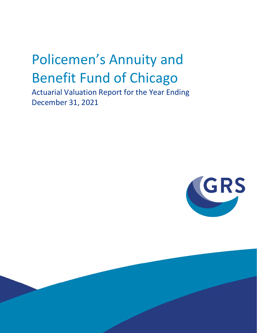# Policemen's Annuity and Benefit Fund of Chicago

Actuarial Valuation Report for the Year Ending December 31, 2021

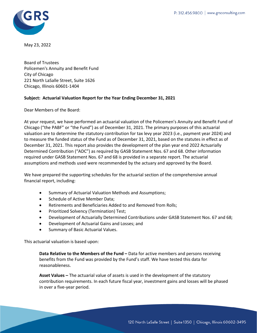

May 23, 2022

Board of Trustees Policemen's Annuity and Benefit Fund City of Chicago 221 North LaSalle Street, Suite 1626 Chicago, Illinois 60601-1404

#### **Subject: Actuarial Valuation Report for the Year Ending December 31, 2021**

Dear Members of the Board:

At your request, we have performed an actuarial valuation of the Policemen's Annuity and Benefit Fund of Chicago ("the PABF" or "the Fund") as of December 31, 2021. The primary purposes of this actuarial valuation are to determine the statutory contribution for tax levy year 2023 (i.e., payment year 2024) and to measure the funded status of the Fund as of December 31, 2021, based on the statutes in effect as of December 31, 2021. This report also provides the development of the plan year end 2022 Actuarially Determined Contribution ("ADC") as required by GASB Statement Nos. 67 and 68. Other information required under GASB Statement Nos. 67 and 68 is provided in a separate report. The actuarial assumptions and methods used were recommended by the actuary and approved by the Board.

We have prepared the supporting schedules for the actuarial section of the comprehensive annual financial report, including:

- Summary of Actuarial Valuation Methods and Assumptions;
- Schedule of Active Member Data;
- Retirements and Beneficiaries Added to and Removed from Rolls;
- Prioritized Solvency (Termination) Test;
- Development of Actuarially Determined Contributions under GASB Statement Nos. 67 and 68;
- Development of Actuarial Gains and Losses; and
- Summary of Basic Actuarial Values.

This actuarial valuation is based upon:

**Data Relative to the Members of the Fund –** Data for active members and persons receiving benefits from the Fund was provided by the Fund's staff. We have tested this data for reasonableness.

**Asset Values –** The actuarial value of assets is used in the development of the statutory contribution requirements. In each future fiscal year, investment gains and losses will be phased in over a five-year period.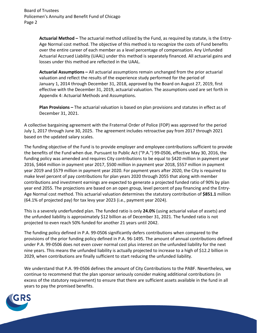**Actuarial Method –** The actuarial method utilized by the Fund, as required by statute, is the Entry-Age Normal cost method. The objective of this method is to recognize the costs of Fund benefits over the entire career of each member as a level percentage of compensation. Any Unfunded Actuarial Accrued Liability (UAAL) under this method is separately financed. All actuarial gains and losses under this method are reflected in the UAAL.

**Actuarial Assumptions –** All actuarial assumptions remain unchanged from the prior actuarial valuation and reflect the results of the experience study performed for the period of January 1, 2014 through December 31, 2018, approved by the Board on August 27, 2019, first effective with the December 31, 2019, actuarial valuation. The assumptions used are set forth in Appendix 4: Actuarial Methods and Assumptions.

**Plan Provisions –** The actuarial valuation is based on plan provisions and statutes in effect as of December 31, 2021.

A collective bargaining agreement with the Fraternal Order of Police (FOP) was approved for the period July 1, 2017 through June 30, 2025. The agreement includes retroactive pay from 2017 through 2021 based on the updated salary scales.

The funding objective of the Fund is to provide employer and employee contributions sufficient to provide the benefits of the Fund when due. Pursuant to Public Act ("P.A.") 99-0506, effective May 30, 2016, the funding policy was amended and requires City contributions to be equal to \$420 million in payment year 2016, \$464 million in payment year 2017, \$500 million in payment year 2018, \$557 million in payment year 2019 and \$579 million in payment year 2020. For payment years after 2020, the City is required to make level percent of pay contributions for plan years 2020 through 2055 that along with member contributions and investment earnings are expected to generate a projected funded ratio of 90% by plan year end 2055. The projections are based on an open group, level percent of pay financing and the Entry-Age Normal cost method. This actuarial valuation determines the statutory contribution of **\$851.1** million (64.1% of projected pay) for tax levy year 2023 (i.e., payment year 2024).

This is a severely underfunded plan. The funded ratio is only **24.0%** (using actuarial value of assets) and the unfunded liability is approximately \$12 billion as of December 31, 2021. The funded ratio is not projected to even reach 50% funded for another 21 years until 2042.

The funding policy defined in P.A. 99-0506 significantly defers contributions when compared to the provisions of the prior funding policy defined in P.A. 96-1495. The amount of annual contributions defined under P.A. 99-0506 does not even cover normal cost plus interest on the unfunded liability for the next nine years. This means the unfunded liability is actually projected to increase to a high of \$12.2 billion in 2029, when contributions are finally sufficient to start reducing the unfunded liability.

We understand that P.A. 99-0506 defines the amount of City Contributions to the PABF. Nevertheless, we continue to recommend that the plan sponsor seriously consider making additional contributions (in excess of the statutory requirement) to ensure that there are sufficient assets available in the fund in all years to pay the promised benefits.

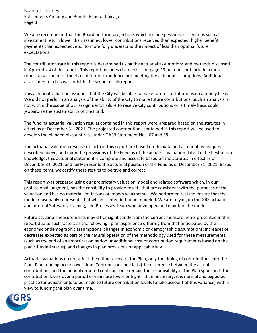Board of Trustees Policemen's Annuity and Benefit Fund of Chicago Page 3

We also recommend that the Board perform projections which include pessimistic scenarios such as investment return lower than assumed, lower contributions received than expected, higher benefit payments than expected, etc., to more fully understand the impact of less than optimal future expectations.

The contribution rate in this report is determined using the actuarial assumptions and methods disclosed in Appendix 4 of this report. This report includes risk metrics on page 13 but does not include a more robust assessment of the risks of future experience not meeting the actuarial assumptions. Additional assessment of risks was outside the scope of this report.

This actuarial valuation assumes that the City will be able to make future contributions on a timely basis. We did not perform an analysis of the ability of the City to make future contributions. Such an analysis is not within the scope of our assignment. Failure to receive City contributions on a timely basis could jeopardize the sustainability of the Fund.

The funding actuarial valuation results contained in this report were prepared based on the statutes in effect as of December 31, 2021. The projected contributions contained in this report will be used to develop the blended discount rate under GASB Statement Nos. 67 and 68.

The actuarial valuation results set forth in this report are based on the data and actuarial techniques described above, and upon the provisions of the Fund as of the actuarial valuation date. To the best of our knowledge, this actuarial statement is complete and accurate based on the statutes in effect as of December 31, 2021, and fairly presents the actuarial position of the Fund as of December 31, 2021. Based on these items, we certify these results to be true and correct.

This report was prepared using our proprietary valuation model and related software which, in our professional judgment, has the capability to provide results that are consistent with the purposes of the valuation and has no material limitations or known weaknesses. We performed tests to ensure that the model reasonably represents that which is intended to be modeled. We are relying on the GRS actuaries and Internal Software, Training, and Processes Team who developed and maintain the model.

Future actuarial measurements may differ significantly from the current measurements presented in this report due to such factors as the following: plan experience differing from that anticipated by the economic or demographic assumptions; changes in economic or demographic assumptions; increases or decreases expected as part of the natural operation of the methodology used for these measurements (such as the end of an amortization period or additional cost or contribution requirements based on the plan's funded status); and changes in plan provisions or applicable law.

Actuarial valuations do not affect the ultimate cost of the Plan, only the timing of contributions into the Plan. Plan funding occurs over time. Contribution shortfalls (the difference between the actual contributions and the annual required contributions) remain the responsibility of the Plan sponsor. If the contribution levels over a period of years are lower or higher than necessary, it is normal and expected practice for adjustments to be made to future contribution levels to take account of this variance, with a view to funding the plan over time.

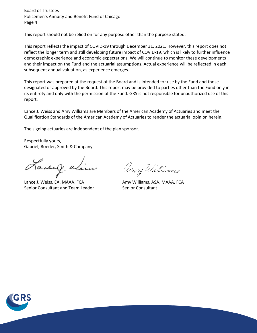Board of Trustees Policemen's Annuity and Benefit Fund of Chicago Page 4

This report should not be relied on for any purpose other than the purpose stated.

This report reflects the impact of COVID-19 through December 31, 2021. However, this report does not reflect the longer term and still developing future impact of COVID-19, which is likely to further influence demographic experience and economic expectations. We will continue to monitor these developments and their impact on the Fund and the actuarial assumptions. Actual experience will be reflected in each subsequent annual valuation, as experience emerges.

This report was prepared at the request of the Board and is intended for use by the Fund and those designated or approved by the Board. This report may be provided to parties other than the Fund only in its entirety and only with the permission of the Fund. GRS is not responsible for unauthorized use of this report.

Lance J. Weiss and Amy Williams are Members of the American Academy of Actuaries and meet the Qualification Standards of the American Academy of Actuaries to render the actuarial opinion herein.

The signing actuaries are independent of the plan sponsor.

Respectfully yours, Gabriel, Roeder, Smith & Company

Laneig alim

Lance J. Weiss, EA, MAAA, FCA Amy Williams, ASA, MAAA, FCA Senior Consultant and Team Leader Senior Consultant

Amy Williams

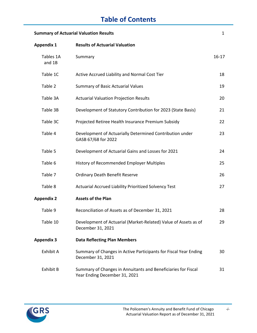# **Table of Contents**

| <b>Summary of Actuarial Valuation Results</b> |                                                                                                |           |  |
|-----------------------------------------------|------------------------------------------------------------------------------------------------|-----------|--|
| <b>Appendix 1</b>                             | <b>Results of Actuarial Valuation</b>                                                          |           |  |
| Tables 1A<br>and 1B                           | Summary                                                                                        | $16 - 17$ |  |
| Table 1C                                      | Active Accrued Liability and Normal Cost Tier                                                  | 18        |  |
| Table 2                                       | <b>Summary of Basic Actuarial Values</b>                                                       | 19        |  |
| Table 3A                                      | <b>Actuarial Valuation Projection Results</b>                                                  | 20        |  |
| Table 3B                                      | Development of Statutory Contribution for 2023 (State Basis)                                   | 21        |  |
| Table 3C                                      | Projected Retiree Health Insurance Premium Subsidy                                             | 22        |  |
| Table 4                                       | Development of Actuarially Determined Contribution under<br>GASB 67/68 for 2022                | 23        |  |
| Table 5                                       | Development of Actuarial Gains and Losses for 2021                                             | 24        |  |
| Table 6                                       | History of Recommended Employer Multiples                                                      | 25        |  |
| Table 7                                       | <b>Ordinary Death Benefit Reserve</b>                                                          | 26        |  |
| Table 8                                       | <b>Actuarial Accrued Liability Prioritized Solvency Test</b>                                   | 27        |  |
| <b>Appendix 2</b>                             | <b>Assets of the Plan</b>                                                                      |           |  |
| Table 9                                       | Reconciliation of Assets as of December 31, 2021                                               | 28        |  |
| Table 10                                      | Development of Actuarial (Market-Related) Value of Assets as of<br>December 31, 2021           | 29        |  |
| <b>Appendix 3</b>                             | <b>Data Reflecting Plan Members</b>                                                            |           |  |
| Exhibit A                                     | Summary of Changes in Active Participants for Fiscal Year Ending<br>December 31, 2021          | 30        |  |
| Exhibit B                                     | Summary of Changes in Annuitants and Beneficiaries for Fiscal<br>Year Ending December 31, 2021 | 31        |  |



*-i-*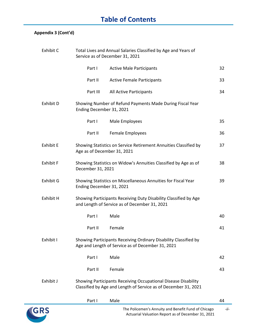# **Table of Contents**

### **Appendix 3 (Cont'd)**

| Exhibit C        |                             | Total Lives and Annual Salaries Classified by Age and Years of<br>Service as of December 31, 2021                                 |    |
|------------------|-----------------------------|-----------------------------------------------------------------------------------------------------------------------------------|----|
|                  | Part I                      | <b>Active Male Participants</b>                                                                                                   | 32 |
|                  | Part II                     | <b>Active Female Participants</b>                                                                                                 | 33 |
|                  | Part III                    | All Active Participants                                                                                                           | 34 |
| Exhibit D        | Ending December 31, 2021    | Showing Number of Refund Payments Made During Fiscal Year                                                                         |    |
|                  | Part I                      | Male Employees                                                                                                                    | 35 |
|                  | Part II                     | Female Employees                                                                                                                  | 36 |
| <b>Exhibit E</b> | Age as of December 31, 2021 | Showing Statistics on Service Retirement Annuities Classified by                                                                  | 37 |
| <b>Exhibit F</b> | December 31, 2021           | Showing Statistics on Widow's Annuities Classified by Age as of                                                                   | 38 |
| Exhibit G        | Ending December 31, 2021    | Showing Statistics on Miscellaneous Annuities for Fiscal Year                                                                     | 39 |
| Exhibit H        |                             | Showing Participants Receiving Duty Disability Classified by Age<br>and Length of Service as of December 31, 2021                 |    |
|                  | Part I                      | Male                                                                                                                              | 40 |
|                  | Part II                     | Female                                                                                                                            | 41 |
| Exhibit I        |                             | Showing Participants Receiving Ordinary Disability Classified by<br>Age and Length of Service as of December 31, 2021             |    |
|                  | Part I                      | Male                                                                                                                              | 42 |
|                  | Part II                     | Female                                                                                                                            | 43 |
| Exhibit J        |                             | Showing Participants Receiving Occupational Disease Disability<br>Classified by Age and Length of Service as of December 31, 2021 |    |
|                  | Part I                      | Male                                                                                                                              | 44 |

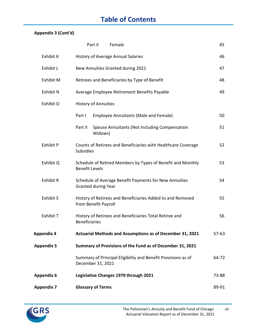# **Table of Contents**

### **Appendix 3 (Cont'd)**

|                   | Part II<br>Female                                                                    | 45      |
|-------------------|--------------------------------------------------------------------------------------|---------|
| Exhibit K         | History of Average Annual Salaries                                                   | 46      |
| Exhibit L         | New Annuities Granted during 2021                                                    | 47      |
| Exhibit M         | Retirees and Beneficiaries by Type of Benefit                                        | 48      |
| <b>Exhibit N</b>  | Average Employee Retirement Benefits Payable                                         | 49      |
| Exhibit O         | <b>History of Annuities</b>                                                          |         |
|                   | Part I<br><b>Employee Annuitants (Male and Female)</b>                               | 50      |
|                   | Spouse Annuitants (Not Including Compensation<br>Part II<br>Widows)                  | 51      |
| <b>Exhibit P</b>  | Counts of Retirees and Beneficiaries with Healthcare Coverage<br>Subsidies           | 52      |
| Exhibit Q         | Schedule of Retired Members by Types of Benefit and Monthly<br><b>Benefit Levels</b> | 53      |
| <b>Exhibit R</b>  | Schedule of Average Benefit Payments for New Annuities<br><b>Granted during Year</b> | 54      |
| <b>Exhibit S</b>  | History of Retirees and Beneficiaries Added to and Removed<br>from Benefit Payroll   | 55      |
| Exhibit T         | History of Retirees and Beneficiaries Total Retiree and<br><b>Beneficiaries</b>      | 56      |
| Appendix 4        | Actuarial Methods and Assumptions as of December 31, 2021                            | $57-63$ |
| <b>Appendix 5</b> | Summary of Provisions of the Fund as of December 31, 2021                            |         |
|                   | Summary of Principal Eligibility and Benefit Provisions as of<br>December 31, 2021   | 64-72   |
| <b>Appendix 6</b> | Legislative Changes 1979 through 2021                                                | 73-88   |
| <b>Appendix 7</b> | <b>Glossary of Terms</b>                                                             | 89-91   |

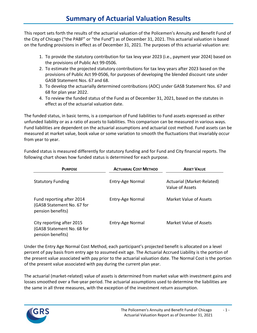This report sets forth the results of the actuarial valuation of the Policemen's Annuity and Benefit Fund of the City of Chicago ("the PABF" or "the Fund") as of December 31, 2021. This actuarial valuation is based on the funding provisions in effect as of December 31, 2021. The purposes of this actuarial valuation are:

- 1. To provide the statutory contribution for tax levy year 2023 (i.e., payment year 2024) based on the provisions of Public Act 99-0506.
- 2. To estimate the projected statutory contributions for tax levy years after 2023 based on the provisions of Public Act 99-0506, for purposes of developing the blended discount rate under GASB Statement Nos. 67 and 68.
- 3. To develop the actuarially determined contributions (ADC) under GASB Statement Nos. 67 and 68 for plan year 2022.
- 4. To review the funded status of the Fund as of December 31, 2021, based on the statutes in effect as of the actuarial valuation date.

The funded status, in basic terms, is a comparison of Fund liabilities to Fund assets expressed as either unfunded liability or as a ratio of assets to liabilities. This comparison can be measured in various ways. Fund liabilities are dependent on the actuarial assumptions and actuarial cost method. Fund assets can be measured at market value, book value or some variation to smooth the fluctuations that invariably occur from year to year.

Funded status is measured differently for statutory funding and for Fund and City financial reports. The following chart shows how funded status is determined for each purpose.

| <b>PURPOSE</b>                                                               | <b>ACTUARIAL COST METHOD</b> | <b>ASSET VALUE</b>                            |  |  |  |
|------------------------------------------------------------------------------|------------------------------|-----------------------------------------------|--|--|--|
| <b>Statutory Funding</b>                                                     | Entry-Age Normal             | Actuarial (Market-Related)<br>Value of Assets |  |  |  |
| Fund reporting after 2014<br>(GASB Statement No. 67 for<br>pension benefits) | Entry-Age Normal             | Market Value of Assets                        |  |  |  |
| City reporting after 2015<br>(GASB Statement No. 68 for<br>pension benefits) | Entry-Age Normal             | Market Value of Assets                        |  |  |  |

Under the Entry Age Normal Cost Method, each participant's projected benefit is allocated on a level percent of pay basis from entry age to assumed exit age. The Actuarial Accrued Liability is the portion of the present value associated with pay prior to the actuarial valuation date. The Normal Cost is the portion of the present value associated with pay during the current plan year.

The actuarial (market-related) value of assets is determined from market value with investment gains and losses smoothed over a five-year period. The actuarial assumptions used to determine the liabilities are the same in all three measures, with the exception of the investment return assumption.

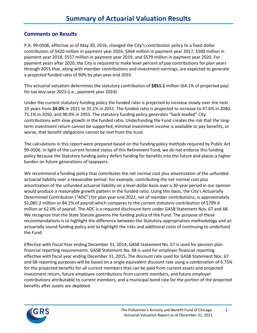### **Comments on Results**

P.A. 99-0506, effective as of May 30, 2016, changed the City's contribution policy to a fixed dollar contribution of \$420 million in payment year 2016, \$464 million in payment year 2017, \$500 million in payment year 2018, \$557 million in payment year 2019, and \$579 million in payment year 2020. For payment years after 2020, the City is required to make level percent of pay contributions for plan years through 2055 that, along with member contributions and investment earnings, are expected to generate a projected funded ratio of 90% by plan year end 2055.

This actuarial valuation determines the statutory contribution of **\$851.1** million (64.1% of projected pay) for tax levy year 2023 (i.e., payment year 2024).

Under the current statutory funding policy the funded ratio is projected to increase slowly over the next 10 years from **24.0%** in 2021 to 35.1% in 2031. The funded ratio is projected to increase to 47.6% in 2040, 71.1% in 2050, and 90.0% in 2055. The statutory funding policy generates "back-loaded" City contributions with slow growth in the funded ratio. Underfunding the Fund creates the risk that the longterm investment return cannot be supported, minimal investment income is available to pay benefits, or worse, that benefit obligations cannot be met from the trust.

The calculations in this report were prepared based on the funding policy methods required by Public Act 99-0506. In light of the current funded status of this Retirement Fund, we do not endorse this funding policy because the Statutory funding policy defers funding for benefits into the future and places a higher burden on future generations of taxpayers.

We recommend a funding policy that contributes the net normal cost plus amortization of the unfunded actuarial liability over a reasonable period. For example, contributing the net normal cost plus amortization of the unfunded actuarial liability on a level dollar basis over a 30-year period in our opinion would produce a reasonable growth pattern in the funded ratio. Using this basis, the City's Actuarially Determined Contribution ("ADC") for plan year end 2022, net of member contributions, is approximately \$1,085.2 million or 84.2% of payroll which compares to the current statutory contribution of \$799.4 million or 62.0% of payroll. The ADC is a required disclosure item under GASB Statement Nos. 67 and 68. We recognize that the State Statute governs the funding policy of the Fund. The purpose of these recommendations is to highlight the difference between the Statutory appropriation methodology and an actuarially sound funding policy and to highlight the risks and additional costs of continuing to underfund the Fund.

Effective with Fiscal Year ending December 31, 2014, GASB Statement No. 67 is used for pension plan financial reporting requirements. GASB Statement No. 68 is used for employer financial reporting effective with fiscal year ending December 31, 2015. The discount rate used for GASB Statement Nos. 67 and 68 reporting purposes will be based on a single equivalent discount rate using a combination of 6.75% for the projected benefits for all current members that can be paid from current assets and projected investment return, future employee contributions from current members, and future employer contributions attributable to current members, and a municipal bond rate for the portion of the projected benefits after assets are depleted.

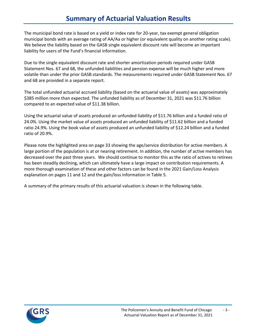# **Summary of Actuarial Valuation Results**

The municipal bond rate is based on a yield or index rate for 20-year, tax exempt general obligation municipal bonds with an average rating of AA/Aa or higher (or equivalent quality on another rating scale). We believe the liability based on the GASB single equivalent discount rate will become an important liability for users of the Fund's financial information.

Due to the single equivalent discount rate and shorter amortization periods required under GASB Statement Nos. 67 and 68, the unfunded liabilities and pension expense will be much higher and more volatile than under the prior GASB standards. The measurements required under GASB Statement Nos. 67 and 68 are provided in a separate report.

The total unfunded actuarial accrued liability (based on the actuarial value of assets) was approximately \$385 million more than expected. The unfunded liability as of December 31, 2021 was \$11.76 billion compared to an expected value of \$11.38 billion.

Using the actuarial value of assets produced an unfunded liability of \$11.76 billion and a funded ratio of 24.0%. Using the market value of assets produced an unfunded liability of \$11.62 billion and a funded ratio 24.9%. Using the book value of assets produced an unfunded liability of \$12.24 billion and a funded ratio of 20.9%.

Please note the highlighted area on page 33 showing the age/service distribution for active members. A large portion of the population is at or nearing retirement. In addition, the number of active members has decreased over the past three years. We should continue to monitor this as the ratio of actives to retirees has been steadily declining, which can ultimately have a large impact on contribution requirements. A more thorough examination of these and other factors can be found in the 2021 Gain/Loss Analysis explanation on pages 11 and 12 and the gain/loss information in Table 5.

A summary of the primary results of this actuarial valuation is shown in the following table.

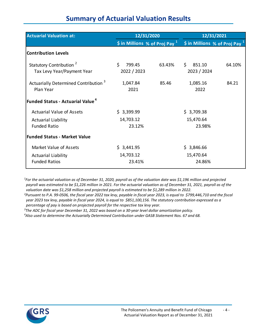# **Summary of Actuarial Valuation Results**

| <b>Actuarial Valuation at:</b>                                    | 12/31/2020                                   |        | 12/31/2021<br>\$ in Millions % of Proj Pay $1$ |        |  |
|-------------------------------------------------------------------|----------------------------------------------|--------|------------------------------------------------|--------|--|
|                                                                   | $\frac{2}{3}$ in Millions % of Proj Pay $^1$ |        |                                                |        |  |
| <b>Contribution Levels</b>                                        |                                              |        |                                                |        |  |
| Statutory Contribution <sup>2</sup><br>Tax Levy Year/Payment Year | Ś.<br>799.45<br>2022 / 2023                  | 63.43% | \$<br>851.10<br>2023 / 2024                    | 64.10% |  |
| Actuarially Determined Contribution <sup>3</sup><br>Plan Year     | 1,047.84<br>2021                             | 85.46  | 1,085.16<br>2022                               | 84.21  |  |
| <b>Funded Status - Actuarial Value<sup>4</sup></b>                |                                              |        |                                                |        |  |
| <b>Actuarial Value of Assets</b>                                  | \$3,399.99                                   |        | \$3,709.38                                     |        |  |
| <b>Actuarial Liability</b>                                        | 14,703.12                                    |        | 15,470.64                                      |        |  |
| <b>Funded Ratio</b>                                               | 23.12%                                       |        | 23.98%                                         |        |  |
| <b>Funded Status - Market Value</b>                               |                                              |        |                                                |        |  |
| <b>Market Value of Assets</b>                                     | \$3,441.95                                   |        | \$3,846.66                                     |        |  |
| <b>Actuarial Liability</b>                                        | 14,703.12                                    |        | 15,470.64                                      |        |  |
| <b>Funded Ratios</b>                                              | 23.41%                                       |        | 24.86%                                         |        |  |

*1 For the actuarial valuation as of December 31, 2020, payroll as of the valuation date was \$1,196 million and projected payroll was estimated to be \$1,226 million in 2021. For the actuarial valuation as of December 31, 2021, payroll as of the valuation date was \$1,258 million and projected payroll is estimated to be \$1,289 million in 2022.*

*2 Pursuant to P.A. 99-0506, the fiscal year 2022 tax levy, payable in fiscal year 2023, is equal to \$799,446,710 and the fiscal year 2023 tax levy, payable in fiscal year 2024, is equal to \$851,100,156. The statutory contribution expressed as a percentage of pay is based on projected payroll for the respective tax levy year.*

*3 The ADC for fiscal year December 31, 2022 was based on a 30-year level dollar amortization policy.*

*4 Also used to determine the Actuarially Determined Contribution under GASB Statement Nos. 67 and 68.*

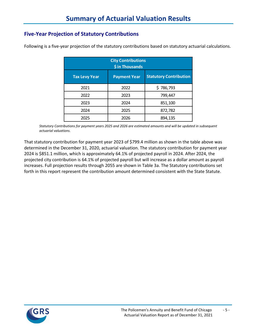### **Five-Year Projection of Statutory Contributions**

| <b>City Contributions</b><br>\$ in Thousands                                 |      |           |  |  |  |  |
|------------------------------------------------------------------------------|------|-----------|--|--|--|--|
| <b>Statutory Contribution</b><br><b>Tax Levy Year</b><br><b>Payment Year</b> |      |           |  |  |  |  |
| 2021                                                                         | 2022 | \$786,793 |  |  |  |  |
| 2022                                                                         | 2023 | 799,447   |  |  |  |  |
| 2023                                                                         | 2024 | 851,100   |  |  |  |  |
| 2024                                                                         | 2025 | 872,782   |  |  |  |  |
| 2025                                                                         | 2026 | 894,135   |  |  |  |  |

Following is a five-year projection of the statutory contributions based on statutory actuarial calculations.

*Statutory Contributions for payment years 2025 and 2026 are estimated amounts and will be updated in subsequent actuarial valuations.*

That statutory contribution for payment year 2023 of \$799.4 million as shown in the table above was determined in the December 31, 2020, actuarial valuation. The statutory contribution for payment year 2024 is \$851.1 million, which is approximately 64.1% of projected payroll in 2024. After 2024, the projected city contribution is 64.1% of projected payroll but will increase as a dollar amount as payroll increases. Full projection results through 2055 are shown in Table 3a. The Statutory contributions set forth in this report represent the contribution amount determined consistent with the State Statute.

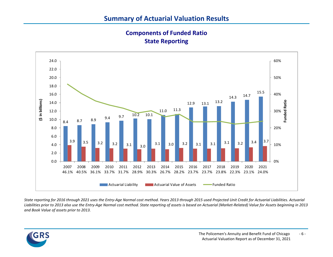**Components of Funded Ratio State Reporting**



*State reporting for 2016 through 2021 uses the Entry-Age Normal cost method. Years 2013 through 2015 used Projected Unit Credit for Actuarial Liabilities. Actuarial Liabilities prior to 2013 also use the Entry-Age Normal cost method. State reporting of assets is based on Actuarial (Market-Related) Value for Assets beginning in 2013 and Book Value of assets prior to 2013.*

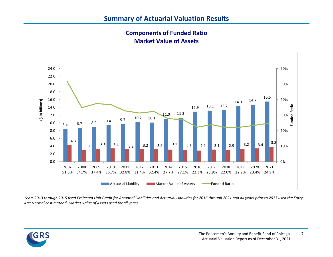**Components of Funded Ratio Market Value of Assets**



*Years 2013 through 2015 used Projected Unit Credit for Actuarial Liabilities and Actuarial Liabilities for 2016 through 2021 and all years prior to 2013 used the Entry-Age Normal cost method. Market Value of Assets used for all years.*

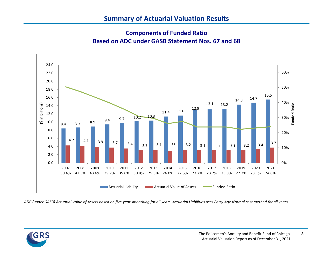# **Summary of Actuarial Valuation Results**

### **Components of Funded Ratio Based on ADC under GASB Statement Nos. 67 and 68**



*ADC (under GASB) Actuarial Value of Assets based on five-year smoothing for all years. Actuarial Liabilities uses Entry-Age Normal cost method for all years.*

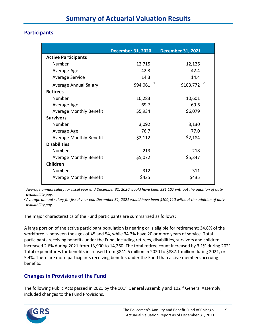### **Participants**

|                                | <b>December 31, 2020</b> | <b>December 31, 2021</b> |
|--------------------------------|--------------------------|--------------------------|
| <b>Active Participants</b>     |                          |                          |
| Number                         | 12,715                   | 12,126                   |
| Average Age                    | 42.3                     | 42.4                     |
| Average Service                | 14.3                     | 14.4                     |
| Average Annual Salary          | $$94,061$ <sup>1</sup>   | $$103,772$ <sup>2</sup>  |
| <b>Retirees</b>                |                          |                          |
| Number                         | 10,283                   | 10,601                   |
| Average Age                    | 69.7                     | 69.6                     |
| Average Monthly Benefit        | \$5,934                  | \$6,079                  |
| <b>Survivors</b>               |                          |                          |
| Number                         | 3,092                    | 3,130                    |
| Average Age                    | 76.7                     | 77.0                     |
| Average Monthly Benefit        | \$2,112                  | \$2,184                  |
| <b>Disabilities</b>            |                          |                          |
| Number                         | 213                      | 218                      |
| <b>Average Monthly Benefit</b> | \$5,072                  | \$5,347                  |
| Children                       |                          |                          |
| Number                         | 312                      | 311                      |
| Average Monthly Benefit        | \$435                    | \$435                    |

*<sup>1</sup> Average annual salary for fiscal year end December 31, 2020 would have been \$91,107 without the addition of duty availability pay.*

*2 Average annual salary for fiscal year end December 31, 2021 would have been \$100,110 without the addition of duty availability pay.*

The major characteristics of the Fund participants are summarized as follows:

A large portion of the active participant population is nearing or is eligible for retirement; 34.8% of the workforce is between the ages of 45 and 54, while 34.3% have 20 or more years of service. Total participants receiving benefits under the Fund, including retirees, disabilities, survivors and children increased 2.6% during 2021 from 13,900 to 14,260. The total retiree count increased by 3.1% during 2021. Total expenditures for benefits increased from \$841.6 million in 2020 to \$887.1 million during 2021, or 5.4%. There are more participants receiving benefits under the Fund than active members accruing benefits.

### **Changes in Provisions of the Fund**

The following Public Acts passed in 2021 by the 101<sup>st</sup> General Assembly and 102<sup>nd</sup> General Assembly, included changes to the Fund Provisions.

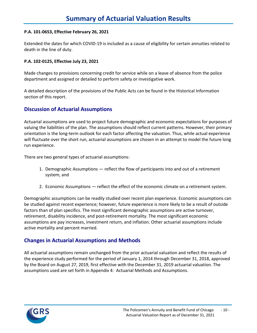#### **P.A. 101-0653, Effective February 26, 2021**

Extended the dates for which COVID-19 is included as a cause of eligibility for certain annuities related to death in the line of duty.

#### **P.A. 102-0125, Effective July 23, 2021**

Made changes to provisions concerning credit for service while on a leave of absence from the police department and assigned or detailed to perform safety or investigative work.

A detailed description of the provisions of the Public Acts can be found in the Historical Information section of this report.

#### **Discussion of Actuarial Assumptions**

Actuarial assumptions are used to project future demographic and economic expectations for purposes of valuing the liabilities of the plan. The assumptions should reflect current patterns. However, their primary orientation is the long-term outlook for each factor affecting the valuation. Thus, while actual experience will fluctuate over the short run, actuarial assumptions are chosen in an attempt to model the future long run experience.

There are two general types of actuarial assumptions:

- 1. Demographic Assumptions reflect the flow of participants into and out of a retirement system; and
- 2. Economic Assumptions reflect the effect of the economic climate on a retirement system.

Demographic assumptions can be readily studied over recent plan experience. Economic assumptions can be studied against recent experience; however, future experience is more likely to be a result of outside factors than of plan specifics. The most significant demographic assumptions are active turnover, retirement, disability incidence, and post-retirement mortality. The most significant economic assumptions are pay increases, investment return, and inflation. Other actuarial assumptions include active mortality and percent married.

#### **Changes in Actuarial Assumptions and Methods**

All actuarial assumptions remain unchanged from the prior actuarial valuation and reflect the results of the experience study performed for the period of January 1, 2014 through December 31, 2018, approved by the Board on August 27, 2019, first effective with the December 31, 2019 actuarial valuation. The assumptions used are set forth in Appendix 4: Actuarial Methods and Assumptions.

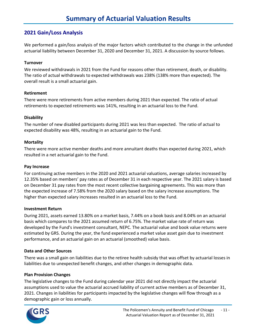### **2021 Gain/Loss Analysis**

We performed a gain/loss analysis of the major factors which contributed to the change in the unfunded actuarial liability between December 31, 2020 and December 31, 2021. A discussion by source follows.

#### **Turnover**

We reviewed withdrawals in 2021 from the Fund for reasons other than retirement, death, or disability. The ratio of actual withdrawals to expected withdrawals was 238% (138% more than expected). The overall result is a small actuarial gain.

#### **Retirement**

There were more retirements from active members during 2021 than expected. The ratio of actual retirements to expected retirements was 141%, resulting in an actuarial loss to the Fund.

#### **Disability**

The number of new disabled participants during 2021 was less than expected. The ratio of actual to expected disability was 48%, resulting in an actuarial gain to the Fund.

#### **Mortality**

There were more active member deaths and more annuitant deaths than expected during 2021, which resulted in a net actuarial gain to the Fund.

#### **Pay Increase**

For continuing active members in the 2020 and 2021 actuarial valuations, average salaries increased by 12.35% based on members' pay rates as of December 31 in each respective year. The 2021 salary is based on December 31 pay rates from the most recent collective bargaining agreements. This was more than the expected increase of 7.58% from the 2020 salary based on the salary increase assumptions. The higher than expected salary increases resulted in an actuarial loss to the Fund.

#### **Investment Return**

During 2021, assets earned 13.80% on a market basis, 7.44% on a book basis and 8.04% on an actuarial basis which compares to the 2021 assumed return of 6.75%. The market value rate of return was developed by the Fund's investment consultant, NEPC. The actuarial value and book value returns were estimated by GRS. During the year, the fund experienced a market value asset gain due to investment performance, and an actuarial gain on an actuarial (smoothed) value basis.

#### **Data and Other Sources**

There was a small gain on liabilities due to the retiree health subsidy that was offset by actuarial losses in liabilities due to unexpected benefit changes, and other changes in demographic data.

#### **Plan Provision Changes**

The legislative changes to the Fund during calendar year 2021 did not directly impact the actuarial assumptions used to value the actuarial accrued liability of current active members as of December 31, 2021. Changes in liabilities for participants impacted by the legislative changes will flow through as a demographic gain or loss annually.

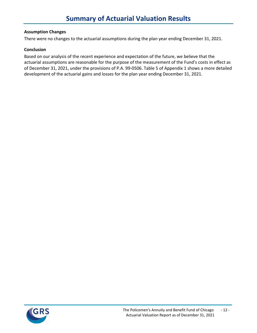#### **Assumption Changes**

There were no changes to the actuarial assumptions during the plan year ending December 31, 2021.

#### **Conclusion**

Based on our analysis of the recent experience and expectation of the future, we believe that the actuarial assumptions are reasonable for the purpose of the measurement of the Fund's costs in effect as of December 31, 2021, under the provisions of P.A. 99-0506. Table 5 of Appendix 1 shows a more detailed development of the actuarial gains and losses for the plan year ending December 31, 2021.

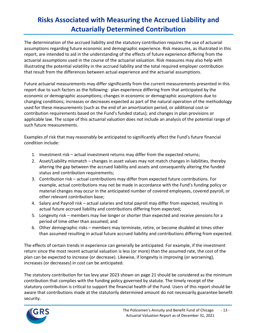# **Risks Associated with Measuring the Accrued Liability and Actuarially Determined Contribution**

The determination of the accrued liability and the statutory contribution requires the use of actuarial assumptions regarding future economic and demographic experience. Risk measures, as illustrated in this report, are intended to aid in the understanding of the effects of future experience differing from the actuarial assumptions used in the course of the actuarial valuation. Risk measures may also help with illustrating the potential volatility in the accrued liability and the total required employer contribution that result from the differences between actual experience and the actuarial assumptions.

Future actuarial measurements may differ significantly from the current measurements presented in this report due to such factors as the following: plan experience differing from that anticipated by the economic or demographic assumptions; changes in economic or demographic assumptions due to changing conditions; increases or decreases expected as part of the natural operation of the methodology used for these measurements (such as the end of an amortization period, or additional cost or contribution requirements based on the Fund's funded status); and changes in plan provisions or applicable law. The scope of this actuarial valuation does not include an analysis of the potential range of such future measurements.

Examples of risk that may reasonably be anticipated to significantly affect the Fund's future financial condition include:

- 1. Investment risk actual investment returns may differ from the expected returns;
- 2. Asset/Liability mismatch changes in asset values may not match changes in liabilities, thereby altering the gap between the accrued liability and assets and consequently altering the funded status and contribution requirements;
- 3. Contribution risk actual contributions may differ from expected future contributions. For example, actual contributions may not be made in accordance with the Fund's funding policy or material changes may occur in the anticipated number of covered employees, covered payroll, or other relevant contribution base;
- 4. Salary and Payroll risk actual salaries and total payroll may differ from expected, resulting in actual future accrued liability and contributions differing from expected;
- 5. Longevity risk members may live longer or shorter than expected and receive pensions for a period of time other than assumed; and
- 6. Other demographic risks members may terminate, retire, or become disabled at times other than assumed resulting in actual future accrued liability and contributions differing from expected.

The effects of certain trends in experience can generally be anticipated. For example, if the investment return since the most recent actuarial valuation is less (or more) than the assumed rate, the cost of the plan can be expected to increase (or decrease). Likewise, if longevity is improving (or worsening), increases (or decreases) in cost can be anticipated.

The statutory contribution for tax levy year 2023 shown on page 21 should be considered as the minimum contribution that complies with the funding policy governed by statute. The timely receipt of the statutory contribution is critical to support the financial health of the Fund. Users of this report should be aware that contributions made at the statutorily determined amount do not necessarily guarantee benefit security.

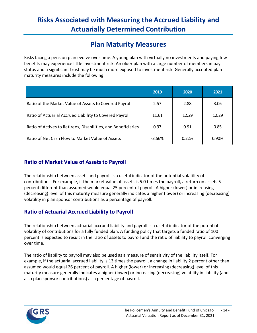# **Risks Associated with Measuring the Accrued Liability and Actuarially Determined Contribution**

# **Plan Maturity Measures**

Risks facing a pension plan evolve over time. A young plan with virtually no investments and paying few benefits may experience little investment risk. An older plan with a large number of members in pay status and a significant trust may be much more exposed to investment risk. Generally accepted plan maturity measures include the following:

|                                                               | 2019     | 2020  | 2021  |
|---------------------------------------------------------------|----------|-------|-------|
| Ratio of the Market Value of Assets to Covered Payroll        | 2.57     | 2.88  | 3.06  |
| Ratio of Actuarial Accrued Liability to Covered Payroll       | 11.61    | 12.29 | 12.29 |
| Ratio of Actives to Retirees, Disabilities, and Beneficiaries | 0.97     | 0.91  | 0.85  |
| Ratio of Net Cash Flow to Market Value of Assets              | $-3.56%$ | 0.22% | 0.90% |

### **Ratio of Market Value of Assets to Payroll**

The relationship between assets and payroll is a useful indicator of the potential volatility of contributions. For example, if the market value of assets is 5.0 times the payroll, a return on assets 5 percent different than assumed would equal 25 percent of payroll. A higher (lower) or increasing (decreasing) level of this maturity measure generally indicates a higher (lower) or increasing (decreasing) volatility in plan sponsor contributions as a percentage of payroll.

### **Ratio of Actuarial Accrued Liability to Payroll**

The relationship between actuarial accrued liability and payroll is a useful indicator of the potential volatility of contributions for a fully funded plan. A funding policy that targets a funded ratio of 100 percent is expected to result in the ratio of assets to payroll and the ratio of liability to payroll converging over time.

The ratio of liability to payroll may also be used as a measure of sensitivity of the liability itself. For example, if the actuarial accrued liability is 13 times the payroll, a change in liability 2 percent other than assumed would equal 26 percent of payroll. A higher (lower) or increasing (decreasing) level of this maturity measure generally indicates a higher (lower) or increasing (decreasing) volatility in liability (and also plan sponsor contributions) as a percentage of payroll.

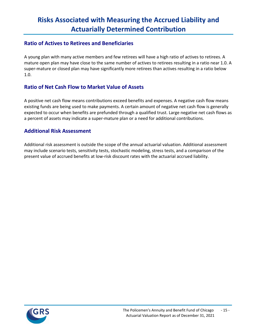# **Risks Associated with Measuring the Accrued Liability and Actuarially Determined Contribution**

#### **Ratio of Actives to Retirees and Beneficiaries**

A young plan with many active members and few retirees will have a high ratio of actives to retirees. A mature open plan may have close to the same number of actives to retirees resulting in a ratio near 1.0. A super-mature or closed plan may have significantly more retirees than actives resulting in a ratio below 1.0.

### **Ratio of Net Cash Flow to Market Value of Assets**

A positive net cash flow means contributions exceed benefits and expenses. A negative cash flow means existing funds are being used to make payments. A certain amount of negative net cash flow is generally expected to occur when benefits are prefunded through a qualified trust. Large negative net cash flows as a percent of assets may indicate a super-mature plan or a need for additional contributions.

#### **Additional Risk Assessment**

Additional risk assessment is outside the scope of the annual actuarial valuation. Additional assessment may include scenario tests, sensitivity tests, stochastic modeling, stress tests, and a comparison of the present value of accrued benefits at low-risk discount rates with the actuarial accrued liability.

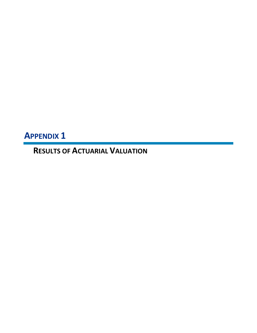**APPENDIX 1**

**RESULTS OF ACTUARIAL VALUATION**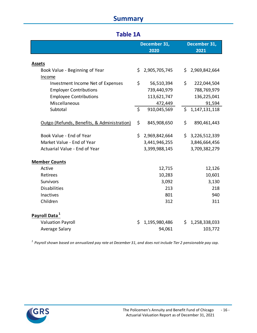# **Summary**

|                                             | December 31,<br>2020 |                 |     | December 31,<br>2021 |  |
|---------------------------------------------|----------------------|-----------------|-----|----------------------|--|
| <b>Assets</b>                               |                      |                 |     |                      |  |
| Book Value - Beginning of Year              | Ś.                   | 2,905,705,745   | \$. | 2,969,842,664        |  |
| Income                                      |                      |                 |     |                      |  |
| Investment Income Net of Expenses           | \$                   | 56,510,394      | \$  | 222,044,504          |  |
| <b>Employer Contributions</b>               |                      | 739,440,979     |     | 788,769,979          |  |
| <b>Employee Contributions</b>               |                      | 113,621,747     |     | 136,225,041          |  |
| Miscellaneous                               |                      | 472,449         |     | 91,594               |  |
| Subtotal                                    | \$                   | 910,045,569     | \$  | 1,147,131,118        |  |
|                                             |                      |                 |     |                      |  |
| Outgo (Refunds, Benefits, & Administration) | \$                   | 845,908,650     | \$  | 890,461,443          |  |
|                                             |                      |                 |     |                      |  |
| Book Value - End of Year                    |                      | \$2,969,842,664 |     | \$3,226,512,339      |  |
| Market Value - End of Year                  |                      | 3,441,946,255   |     | 3,846,664,456        |  |
| Actuarial Value - End of Year               |                      | 3,399,988,145   |     | 3,709,382,279        |  |
| <b>Member Counts</b>                        |                      |                 |     |                      |  |
| Active                                      |                      | 12,715          |     | 12,126               |  |
| Retirees                                    |                      | 10,283          |     | 10,601               |  |
| Survivors                                   |                      | 3,092           |     | 3,130                |  |
| <b>Disabilities</b>                         |                      | 213             |     | 218                  |  |
| Inactives                                   |                      | 801             |     | 940                  |  |
| Children                                    |                      | 312             |     | 311                  |  |
|                                             |                      |                 |     |                      |  |
| Payroll Data <sup>1</sup>                   |                      |                 |     |                      |  |
| <b>Valuation Payroll</b>                    | \$                   | 1,195,980,486   | \$. | 1,258,338,033        |  |
| Average Salary                              |                      | 94,061          |     | 103,772              |  |

*1 Payroll shown based on annualized pay rate at December 31, and does not include Tier 2 pensionable pay cap.*

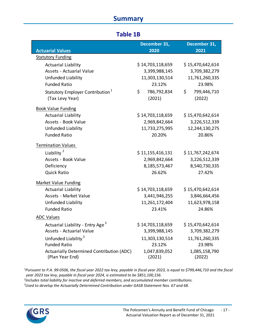# **Summary**

### **Table 1B**

|                                                  | December 31,      | December 31,      |
|--------------------------------------------------|-------------------|-------------------|
| <b>Actuarial Values</b>                          | 2020              | 2021              |
| <b>Statutory Funding</b>                         |                   |                   |
| <b>Actuarial Liability</b>                       | \$14,703,118,659  | \$15,470,642,614  |
| <b>Assets - Actuarial Value</b>                  | 3,399,988,145     | 3,709,382,279     |
| Unfunded Liability                               | 11,303,130,514    | 11,761,260,335    |
| <b>Funded Ratio</b>                              | 23.12%            | 23.98%            |
| Statutory Employer Contribution <sup>1</sup>     | \$<br>786,792,834 | \$<br>799,446,710 |
| (Tax Levy Year)                                  | (2021)            | (2022)            |
| <b>Book Value Funding</b>                        |                   |                   |
| <b>Actuarial Liability</b>                       | \$14,703,118,659  | \$15,470,642,614  |
| Assets - Book Value                              | 2,969,842,664     | 3,226,512,339     |
| Unfunded Liability                               | 11,733,275,995    | 12,244,130,275    |
| <b>Funded Ratio</b>                              | 20.20%            | 20.86%            |
| <b>Termination Values</b>                        |                   |                   |
| Liability <sup>2</sup>                           | \$11,155,416,131  | \$11,767,242,674  |
| Assets - Book Value                              | 2,969,842,664     | 3,226,512,339     |
| Deficiency                                       | 8,185,573,467     | 8,540,730,335     |
| <b>Quick Ratio</b>                               | 26.62%            | 27.42%            |
| <b>Market Value Funding</b>                      |                   |                   |
| <b>Actuarial Liability</b>                       | \$14,703,118,659  | \$15,470,642,614  |
| Assets - Market Value                            | 3,441,946,255     | 3,846,664,456     |
| Unfunded Liability                               | 11,261,172,404    | 11,623,978,158    |
| <b>Funded Ratio</b>                              | 23.41%            | 24.86%            |
| <b>ADC Values</b>                                |                   |                   |
| Actuarial Liability - Entry Age <sup>3</sup>     | \$14,703,118,659  | \$15,470,642,614  |
| <b>Assets - Actuarial Value</b>                  | 3,399,988,145     | 3,709,382,279     |
| Unfunded Liability <sup>3</sup>                  | 11,303,130,514    | 11,761,260,335    |
| <b>Funded Ratio</b>                              | 23.12%            | 23.98%            |
| <b>Actuarially Determined Contribution (ADC)</b> | 1,047,839,052     | 1,085,158,790     |
| (Plan Year End)                                  | (2021)            | (2022)            |

*1 Pursuant to P.A. 99-0506, the fiscal year 2022 tax levy, payable in fiscal year 2023, is equal to \$799,446,710 and the fiscal year 2023 tax levy, payable in fiscal year 2024, is estimated to be \$851,100,156. 2*

*Includes total liability for inactive and deferred members, and accumulated member contributions.*

*3 Used to develop the Actuarially Determined Contribution under GASB Statement Nos. 67 and 68.*

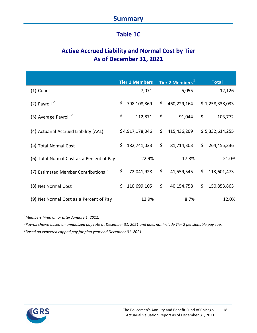# **Summary**

# **Table 1C**

# **Active Accrued Liability and Normal Cost by Tier As of December 31, 2021**

|                                                 | <b>Tier 1 Members</b> |     | Tier 2 Members <sup>1</sup> |     | <b>Total</b>    |
|-------------------------------------------------|-----------------------|-----|-----------------------------|-----|-----------------|
| $(1)$ Count                                     | 7,071                 |     | 5,055                       |     | 12,126          |
| (2) Payroll $2$                                 | \$<br>798,108,869     | \$  | 460,229,164                 |     | \$1,258,338,033 |
| (3) Average Payroll <sup>2</sup>                | \$<br>112,871         | \$  | 91,044                      | \$  | 103,772         |
| (4) Actuarial Accrued Liability (AAL)           | \$4,917,178,046       | \$. | 415,436,209                 |     | \$5,332,614,255 |
| (5) Total Normal Cost                           | \$<br>182,741,033     | \$  | 81,714,303                  | \$  | 264,455,336     |
| (6) Total Normal Cost as a Percent of Pay       | 22.9%                 |     | 17.8%                       |     | 21.0%           |
| (7) Estimated Member Contributions <sup>3</sup> | \$<br>72,041,928      | \$  | 41,559,545                  | \$. | 113,601,473     |
| (8) Net Normal Cost                             | \$<br>110,699,105     | \$  | 40,154,758                  | \$  | 150,853,863     |
| (9) Net Normal Cost as a Percent of Pay         | 13.9%                 |     | 8.7%                        |     | 12.0%           |

*1 Members hired on or after January 1, 2011.*

*2 Payroll shown based on annualized pay rate at December 31, 2021 and does not include Tier 2 pensionable pay cap. 3 Based on expected capped pay for plan year end December 31, 2021.*

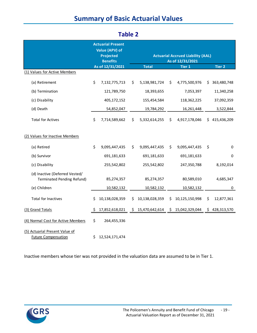# **Summary of Basic Actuarial Values**

| (1) Values for Active Members                                       | <b>Actuarial Present</b><br>Value (APV) of<br><b>Projected</b><br><b>Benefits</b><br>As of 12/31/2021<br><b>Total</b> |                |     | <b>Actuarial Accrued Liability (AAL)</b><br>As of 12/31/2021<br><b>Tier 2</b><br><b>Tier 1</b> |     |                |    |               |
|---------------------------------------------------------------------|-----------------------------------------------------------------------------------------------------------------------|----------------|-----|------------------------------------------------------------------------------------------------|-----|----------------|----|---------------|
| (a) Retirement                                                      | \$                                                                                                                    | 7,132,775,713  | Ś.  | 5,138,981,724                                                                                  | \$  | 4,775,500,976  | S. | 363,480,748   |
| (b) Termination                                                     |                                                                                                                       | 121,789,750    |     | 18,393,655                                                                                     |     | 7,053,397      |    | 11,340,258    |
| (c) Disability                                                      |                                                                                                                       | 405,172,152    |     | 155,454,584                                                                                    |     | 118,362,225    |    | 37,092,359    |
| (d) Death                                                           |                                                                                                                       | 54,852,047     |     | 19,784,292                                                                                     |     | 16,261,448     |    | 3,522,844     |
| <b>Total for Actives</b>                                            | \$                                                                                                                    | 7,714,589,662  | \$  | 5,332,614,255                                                                                  | \$  | 4,917,178,046  |    | \$415,436,209 |
| (2) Values for Inactive Members                                     |                                                                                                                       |                |     |                                                                                                |     |                |    |               |
| (a) Retired                                                         | \$                                                                                                                    | 9,095,447,435  | \$  | 9,095,447,435                                                                                  | \$  | 9,095,447,435  | \$ | 0             |
| (b) Survivor                                                        |                                                                                                                       | 691,181,633    |     | 691,181,633                                                                                    |     | 691,181,633    |    | 0             |
| (c) Disability                                                      |                                                                                                                       | 255,542,802    |     | 255,542,802                                                                                    |     | 247,350,788    |    | 8,192,014     |
| (d) Inactive (Deferred Vested/<br><b>Terminated Pending Refund)</b> |                                                                                                                       | 85,274,357     |     | 85,274,357                                                                                     |     | 80,589,010     |    | 4,685,347     |
| (e) Children                                                        |                                                                                                                       | 10,582,132     |     | 10,582,132                                                                                     |     | 10,582,132     |    | 0             |
| <b>Total for Inactives</b>                                          | Ś.                                                                                                                    | 10,138,028,359 | \$. | 10,138,028,359                                                                                 | \$  | 10,125,150,998 | \$ | 12,877,361    |
| (3) Grand Totals                                                    | \$.                                                                                                                   | 17,852,618,021 | S.  | 15,470,642,614                                                                                 | \$. | 15,042,329,044 | S. | 428,313,570   |
| (4) Normal Cost for Active Members                                  | \$                                                                                                                    | 264,455,336    |     |                                                                                                |     |                |    |               |
| (5) Actuarial Present Value of<br><b>Future Compensation</b>        | \$.                                                                                                                   | 12,524,171,474 |     |                                                                                                |     |                |    |               |

### **Table 2**

Inactive members whose tier was not provided in the valuation data are assumed to be in Tier 1.

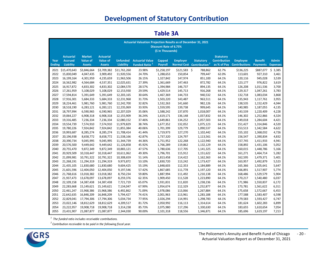# **Development of Statutory Contribution**

|               | Actuarial Valuation Projection Results as of December 31, 2021            |                 |                 |                 |                        |                |                 |                                       |                     |                      |                    |                 |
|---------------|---------------------------------------------------------------------------|-----------------|-----------------|-----------------|------------------------|----------------|-----------------|---------------------------------------|---------------------|----------------------|--------------------|-----------------|
|               | <b>Discount Rate of 6.75%</b><br>(\$ in Thousands)                        |                 |                 |                 |                        |                |                 |                                       |                     |                      |                    |                 |
|               | <b>Actuarial</b><br><b>Market</b><br><b>Statutory</b><br><b>Actuarial</b> |                 |                 |                 |                        |                |                 |                                       |                     |                      |                    |                 |
| Year          | <b>Accrued</b>                                                            | <b>Value of</b> | <b>Value of</b> | <b>Unfunded</b> | <b>Actuarial Value</b> | Capped         | <b>Employer</b> | <b>Statutory</b>                      | <b>Contribution</b> | <b>Employee</b>      | <b>Benefit</b>     | <b>Admin</b>    |
| <b>Ending</b> | Liability                                                                 | <b>Assets</b>   | <b>Assets</b>   | Liability       | <b>Funded Ratio</b>    | <b>Payroll</b> |                 | Normal Cost Contribution <sup>2</sup> | as % of Pay         | <b>Contributions</b> | <b>Payments</b>    | <b>Expenses</b> |
|               | 2021 \$15,470,643                                                         | \$3,846,664     | \$3,709,382     | \$11,761,260    | 23.98%                 | \$1,258,197    | $$121,583$ \$   | 788,862                               | 62.7%               | \$136,225            | \$887,077 \$ 3,385 |                 |
| 2022          | 15,830,049                                                                | 4,047,435       | 3,909,492       | 11,920,556      | 24.70%                 | 1,288,653      | 150,854         | 799,447                               | 62.0%               | 113,601              | 927,310            | 3,461           |
| 2023          | 16,199,164                                                                | 4,301,959       | 4,235,659       | 11,963,506      | 26.15%                 | 1,327,842      | 147,974         | 851,100                               | 64.1%               | 120,116              | 945,028            | 3,539           |
| 2024          | 16,562,982                                                                | 4,564,684       | 4,537,351       | 12,025,631      | 27.39%                 | 1,361,669      | 147,463         | 872,782                               | 64.1%               | 123,177              | 976,822            | 3,619           |
| 2025          | 16,917,872                                                                | 4,833,302       | 4,833,302       | 12,084,570      | 28.57%                 | 1,394,984      | 146,737         | 894,135                               | 64.1%               | 126,208              | 1,011,536          | 3,700           |
| 2026          | 17,261,959                                                                | 5,108,029       | 5,108,029       | 12,153,930      | 29.59%                 | 1,429,514      | 145,713         | 916,268                               | 64.1%               | 129,317              | 1,047,261          | 3,783           |
| 2027          | 17,594,814                                                                | 5,391,649       | 5,391,649       | 12,203,165      | 30.64%                 | 1,467,369      | 144,733         | 940,532                               | 64.1%               | 132,718              | 1,083,034          | 3,868           |
| 2028          | 17,916,301                                                                | 5,684,333       | 5,684,333       | 12,231,968      | 31.73%                 | 1,503,220      | 143,487         | 963,511                               | 64.1%               | 135,943              | 1,117,761          | 3,955           |
| 2029          | 18,224,461                                                                | 5,981,760       | 5,981,760       | 12,242,700      | 32.82%                 | 1,532,263      | 141,660         | 982,126                               | 64.1%               | 138,535              | 1,152,429          | 4,044           |
| 2030          | 18,518,190                                                                | 6,283,121       | 6,283,121       | 12,235,069      | 33.93%                 | 1,559,595      | 139,738         | 999,645                               | 64.1%               | 140,985              | 1,187,055          | 4,135           |
| 2031          | 18,797,994                                                                | 6,590,965       | 6,590,965       | 12,207,029      | 35.06%                 | 1,588,242      | 137,870         | 1,018,007                             | 64.1%               | 143,539              | 1,220,409          | 4,228           |
| 2032          | 19,064,227                                                                | 6,908,318       | 6,908,318       | 12,155,909      | 36.24%                 | 1,619,171      | 136,148         | 1,037,832                             | 64.1%               | 146,302              | 1,252,866          | 4,324           |
| 2033          | 19,316,485                                                                | 7,236,334       | 7,236,334       | 12,080,152      | 37.46%                 | 1,649,861      | 134,252         | 1,057,503                             | 64.1%               | 149,018              | 1,284,604          | 4,421           |
| 2034          | 19,554,739                                                                | 7,574,910       | 7,574,910       | 11,979,829      | 38.74%                 | 1,677,352      | 132,052         | 1,075,123                             | 64.1%               | 151,427              | 1,314,846          | 4,520           |
| 2035          | 19,780,226                                                                | 7,924,842       | 7,924,842       | 11,855,384      | 40.06%                 | 1,701,399      | 129,779         | 1,090,537                             | 64.1%               | 153,513              | 1,342,584          | 4,622           |
| 2036          | 19,993,687                                                                | 8,285,274       | 8,285,274       | 11,708,414      | 41.44%                 | 1,719,973      | 127,270         | 1,102,442                             | 64.1%               | 155,102              | 1,368,032          | 4,726           |
| 2037          | 20,196,938                                                                | 8,658,772       | 8,658,772       | 11,538,166      | 42.87%                 | 1,737,320      | 124,797         | 1,113,561                             | 64.1%               | 156,547              | 1,390,834          | 4,832           |
| 2038          | 20,390,734                                                                | 9,045,995       | 9,045,995       | 11,344,739      | 44.36%                 | 1,751,952      | 122,268         | 1,122,940                             | 64.1%               | 157,745              | 1,411,933          | 4,941           |
| 2039          | 20,576,500                                                                | 9,449,642       | 9,449,642       | 11,126,858      | 45.92%                 | 1,766,289      | 119,862         | 1,132,129                             | 64.1%               | 158,892              | 1,431,106          | 5,052           |
| 2040          | 20,755,470                                                                | 9,872,349       | 9,872,349       | 10,883,121      | 47.57%                 | 1,780,636      | 117,705         | 1,141,325                             | 64.1%               | 160,015              | 1,448,786          | 5,166           |
| 2041          | 20,929,509                                                                | 10,318,447      | 10,318,447      | 10,611,062      | 49.30%                 | 1,796,701      | 115,912         | 1,151,622                             | 64.1%               | 161,271              | 1,464,714          | 5,282           |
| 2042          | 21,099,981                                                                | 10,791,322      | 10,791,322      | 10,308,659      | 51.14%                 | 1,813,458      | 114,422         | 1,162,363                             | 64.1%               | 162,595              | 1,479,371          | 5,401           |
| 2043          | 21,268,191                                                                | 11,294,319      | 11,294,319      | 9,973,872       | 53.10%                 | 1,830,720      | 113,242         | 1,173,427                             | 64.1%               | 163,957              | 1,492,879          | 5,523           |
| 2044          | 21,435,105                                                                | 11,830,680      | 11,830,680      | 9,604,425       | 55.19%                 | 1,848,603      | 112,353         | 1,184,889                             | 64.1%               | 165,366              | 1,505,641          | 5,647           |
| 2045          | 21,601,596                                                                | 12,404,050      | 12,404,050      | 9,197,546       | 57.42%                 | 1,867,685      | 111,778         | 1,197,120                             | 64.1%               | 166,891              | 1,517,907          | 5,774           |
| 2046          | 21,768,616                                                                | 13,018,382      | 13,018,382      | 8,750,234       | 59.80%                 | 1,887,994      | 111,492         | 1,210,138                             | 64.1%               | 168,486              | 1,529,579          | 5,904           |
| 2047          | 21,937,473                                                                | 13,678,097      | 13,678,097      | 8,259,376       | 62.35%                 | 1,909,450      | 111,528         | 1,223,890                             | 64.1%               | 170,217              | 1,540,480          | 6,037           |
| 2048          | 22,109,158                                                                | 14,387,438      | 14,387,438      | 7,721,719       | 65.07%                 | 1,931,831      | 111,820         | 1,238,236                             | 64.1%               | 171,986              | 1,550,837          | 6,172           |
| 2049          | 22,283,668                                                                | 15,149,621      | 15,149,621      | 7,134,047       | 67.99%                 | 1,954,674      | 112,329         | 1,252,877                             | 64.1%               | 173,781              | 1,561,622          | 6,311           |
| 2050          | 22,461,247                                                                | 15,968,386      | 15,968,386      | 6,492,862       | 71.09%                 | 1,978,086      | 113,066         | 1,267,884                             | 64.1%               | 175,658              | 1,572,667          | 6,453           |
| 2051          | 22,642,635                                                                | 16,848,209      | 16,848,209      | 5,794,427       | 74.41%                 | 2,001,963      | 113,961         | 1,283,188                             | 64.1%               | 177,588              | 1,583,407          | 6,598           |
| 2052          | 22,829,041                                                                | 17,794,306      | 17,794,306      | 5,034,734       | 77.95%                 | 2,026,294      | 114,991         | 1,298,783                             | 64.1%               | 179,583              | 1,593,427          | 6,747           |
| 2053          | 23,022,146                                                                | 18,812,629      | 18,812,629      | 4,209,517       | 81.72%                 | 2,050,992      | 116,113         | 1,314,614                             | 64.1%               | 181,624              | 1,602,283          | 6,899           |
| 2054          | 23,222,957                                                                | 19,908,718      | 19,908,718      | 3,314,238       | 85.73%                 | 2,075,980      | 117,296         | 1,330,630                             | 64.1%               | 183,655              | 1,610,654          | 7,054           |
| 2055          | 23,431,907                                                                | 21,087,877      | 21,087,877      | 2,344,030       | 90.00%                 | 2,101,318      | 118,556         | 1,346,871                             | 64.1%               | 185,696              | 1,619,197          | 7,213           |

### **Table 3A**

*1 The funded ratio includes receivable contributions.*

*Contribution receivable to be paid in the following fiscal year.* 

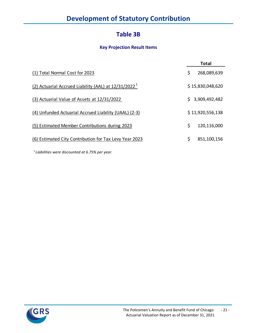### **Table 3B**

### **Key Projection Result Items**

|                                                        |    | <b>Total</b>     |
|--------------------------------------------------------|----|------------------|
| (1) Total Normal Cost for 2023                         | \$ | 268,089,639      |
| (2) Actuarial Accrued Liability (AAL) at $12/31/20221$ |    | \$15,830,048,620 |
| (3) Actuarial Value of Assets at 12/31/2022            | S. | 3,909,492,482    |
| (4) Unfunded Actuarial Accrued Liability (UAAL) (2-3)  |    | \$11,920,556,138 |
| (5) Estimated Member Contributions during 2023         | \$ | 120,116,000      |
| (6) Estimated City Contribution for Tax Levy Year 2023 | \$ | 851,100,156      |
|                                                        |    |                  |

*1 Liabilities were discounted at 6.75% per year.* 

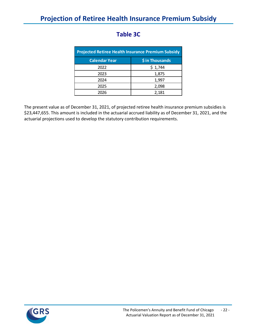| <b>Projected Retiree Health Insurance Premium Subsidy</b> |                 |  |  |  |  |  |  |
|-----------------------------------------------------------|-----------------|--|--|--|--|--|--|
| <b>Calendar Year</b>                                      | \$ in Thousands |  |  |  |  |  |  |
| 2022                                                      | \$1,744         |  |  |  |  |  |  |
| 2023                                                      | 1,875           |  |  |  |  |  |  |
| 2024                                                      | 1,997           |  |  |  |  |  |  |
| 2025                                                      | 2,098           |  |  |  |  |  |  |
| 2026                                                      | 2,181           |  |  |  |  |  |  |

# **Table 3C**

The present value as of December 31, 2021, of projected retiree health insurance premium subsidies is \$23,447,655. This amount is included in the actuarial accrued liability as of December 31, 2021, and the actuarial projections used to develop the statutory contribution requirements.

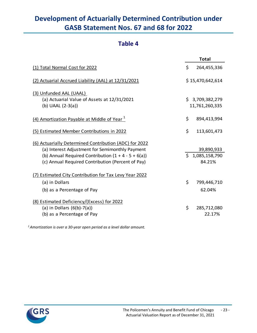# **Development of Actuarially Determined Contribution under GASB Statement Nos. 67 and 68 for 2022**

### **Table 4**

|                                                        |              | <b>Total</b>     |
|--------------------------------------------------------|--------------|------------------|
| (1) Total Normal Cost for 2022                         | \$           | 264,455,336      |
| (2) Actuarial Accrued Liability (AAL) at 12/31/2021    |              | \$15,470,642,614 |
| (3) Unfunded AAL (UAAL)                                |              |                  |
| (a) Actuarial Value of Assets at 12/31/2021            |              | \$3,709,382,279  |
| (b) UAAL $(2-3(a))$                                    |              | 11,761,260,335   |
| (4) Amortization Payable at Middle of Year $1$         | \$           | 894,413,994      |
| (5) Estimated Member Contributions in 2022             | \$           | 113,601,473      |
| (6) Actuarially Determined Contribution (ADC) for 2022 |              |                  |
| (a) Interest Adjustment for Semimonthly Payment        |              | 39,890,933       |
| (b) Annual Required Contribution $(1 + 4 - 5 + 6(a))$  | $\mathsf{S}$ | 1,085,158,790    |
| (c) Annual Required Contribution (Percent of Pay)      |              | 84.21%           |
| (7) Estimated City Contribution for Tax Levy Year 2022 |              |                  |
| (a) in Dollars                                         | \$           | 799,446,710      |
| (b) as a Percentage of Pay                             |              | 62.04%           |
| (8) Estimated Deficiency/(Excess) for 2022             |              |                  |
| (a) in Dollars $(6(b)-7(a))$                           | \$           | 285,712,080      |
| (b) as a Percentage of Pay                             |              | 22.17%           |

*1Amortization is over a 30-year open period as a level dollar amount.*

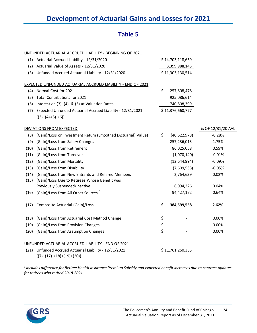### **Table 5**

|      | UNFUNDED ACTUARIAL ACCRUED LIABILITY - BEGINNING OF 2021                         |                    |                   |
|------|----------------------------------------------------------------------------------|--------------------|-------------------|
|      | (1) Actuarial Accrued Liability - 12/31/2020                                     | \$14,703,118,659   |                   |
| (2)  | Actuarial Value of Assets - 12/31/2020                                           | 3,399,988,145      |                   |
| (3)  | Unfunded Accrued Actuarial Liability - 12/31/2020                                | \$11,303,130,514   |                   |
|      | EXPECTED UNFUNDED ACTUARIAL ACCRUED LIABILITY - END OF 2021                      |                    |                   |
| (4)  | Normal Cost for 2021                                                             | \$<br>257,808,478  |                   |
| (5)  | Total Contributions for 2021                                                     | 925,086,614        |                   |
| (6)  | Interest on (3), (4), & (5) at Valuation Rates                                   | 740,808,399        |                   |
| (7)  | Expected Unfunded Actuarial Accrued Liability - 12/31/2021                       | \$11,376,660,777   |                   |
|      | $((3)+(4)-(5)+(6))$                                                              |                    |                   |
|      | DEVIATIONS FROM EXPECTED                                                         |                    | % OF 12/31/20 AAL |
| (8)  | (Gain)/Loss on Investment Return (Smoothed (Actuarial) Value)                    | \$<br>(40,622,978) | $-0.28%$          |
| (9)  | (Gain)/Loss from Salary Changes                                                  | 257,236,013        | 1.75%             |
| (10) | (Gain)/Loss from Retirement                                                      | 86,025,058         | 0.59%             |
| (11) | (Gain)/Loss from Turnover                                                        | (1,070,140)        | $-0.01%$          |
| (12) | (Gain)/Loss from Mortality                                                       | (12, 644, 994)     | $-0.09%$          |
| (13) | (Gain)/Loss from Disability                                                      | (7,609,538)        | $-0.05%$          |
| (14) | (Gain)/Loss from New Entrants and Rehired Members                                | 2,764,639          | 0.02%             |
| (15) | (Gain)/Loss Due to Retirees Whose Benefit was                                    |                    |                   |
|      | Previously Suspended/Inactive                                                    | 6,094,326          | 0.04%             |
| (16) | (Gain)/Loss from All Other Sources <sup>1</sup>                                  | 94,427,172         | 0.64%             |
| (17) | Composite Actuarial (Gain)/Loss                                                  | \$<br>384,599,558  | 2.62%             |
| (18) | (Gain)/Loss from Actuarial Cost Method Change                                    | \$                 | 0.00%             |
| (19) | (Gain)/Loss from Provision Changes                                               | \$                 | 0.00%             |
| (20) | (Gain)/Loss from Assumption Changes                                              | \$                 | 0.00%             |
|      | UNFUNDED ACTUARIAL ACCRUED LIABILITY - END OF 2021                               |                    |                   |
| (21) | Unfunded Accrued Actuarial Liability - 12/31/2021<br>$((7)+(17)+(18)+(19)+(20))$ | \$11,761,260,335   |                   |

*1 Includes difference for Retiree Health Insurance Premium Subsidy and expected benefit increases due to contract updates for retirees who retired 2018-2021.*

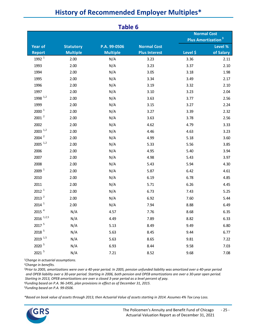| <b>Table 6</b>                  |                                     |                                 |                                            |                                                            |                      |  |  |  |
|---------------------------------|-------------------------------------|---------------------------------|--------------------------------------------|------------------------------------------------------------|----------------------|--|--|--|
|                                 |                                     |                                 |                                            | <b>Normal Cost</b><br><b>Plus Amortization<sup>3</sup></b> |                      |  |  |  |
| <b>Year of</b><br><b>Report</b> | <b>Statutory</b><br><b>Multiple</b> | P.A. 99-0506<br><b>Multiple</b> | <b>Normal Cost</b><br><b>Plus Interest</b> | Level \$                                                   | Level %<br>of Salary |  |  |  |
| 1992 <sup>1</sup>               | 2.00                                | N/A                             | 3.23                                       | 3.36                                                       | 2.11                 |  |  |  |
| 1993                            | 2.00                                | N/A                             | 3.23                                       | 3.37                                                       | 2.10                 |  |  |  |
| 1994                            | 2.00                                | N/A                             | 3.05                                       | 3.18                                                       | 1.98                 |  |  |  |
| 1995                            | 2.00                                | N/A                             | 3.34                                       | 3.49                                                       | 2.17                 |  |  |  |
| 1996                            | 2.00                                | N/A                             | 3.19                                       | 3.32                                                       | 2.10                 |  |  |  |
| 1997                            | 2.00                                | N/A                             | 3.10                                       | 3.23                                                       | 2.04                 |  |  |  |
| 1998 $^{1,2}$                   | 2.00                                | N/A                             | 3.63                                       | 3.77                                                       | 2.56                 |  |  |  |
| 1999                            | 2.00                                | N/A                             | 3.15                                       | 3.27                                                       | 2.24                 |  |  |  |
| 2000 <sup>1</sup>               | 2.00                                | N/A                             | 3.27                                       | 3.39                                                       | 2.32                 |  |  |  |
| $2001^2$                        | 2.00                                | N/A                             | 3.63                                       | 3.78                                                       | 2.56                 |  |  |  |
| 2002                            | 2.00                                | N/A                             | 4.62                                       | 4.79                                                       | 3.33                 |  |  |  |
| $2003$ <sup>1,2</sup>           | 2.00                                | N/A                             | 4.46                                       | 4.63                                                       | 3.23                 |  |  |  |
| $2004$ $^{2}$                   | 2.00                                | N/A                             | 4.99                                       | 5.18                                                       | 3.60                 |  |  |  |
| $2005$ <sup>1,2</sup>           | 2.00                                | N/A                             | 5.33                                       | 5.56                                                       | 3.85                 |  |  |  |
| 2006                            | 2.00                                | N/A                             | 4.95                                       | 5.40                                                       | 3.94                 |  |  |  |
| 2007                            | 2.00                                | N/A                             | 4.98                                       | 5.43                                                       | 3.97                 |  |  |  |
| 2008                            | 2.00                                | N/A                             | 5.43                                       | 5.94                                                       | 4.30                 |  |  |  |
| 2009 <sup>1</sup>               | 2.00                                | N/A                             | 5.87                                       | 6.42                                                       | 4.61                 |  |  |  |
| 2010                            | 2.00                                | N/A                             | 6.19                                       | 6.78                                                       | 4.85                 |  |  |  |
| 2011                            | 2.00                                | N/A                             | 5.71                                       | 6.26                                                       | 4.45                 |  |  |  |
| 2012 <sup>1</sup>               | 2.00                                | N/A                             | 6.73                                       | 7.43                                                       | 5.25                 |  |  |  |
| 2013 <sup>2</sup>               | 2.00                                | N/A                             | 6.92                                       | 7.60                                                       | 5.44                 |  |  |  |
| $2014$ <sup>1</sup>             | 2.00                                | N/A                             | 7.94                                       | 8.88                                                       | 6.49                 |  |  |  |
| 2015 $4$                        | N/A                                 | 4.57                            | 7.76                                       | 8.68                                                       | 6.35                 |  |  |  |
| $2016$ $1,2,5$                  | N/A                                 | 4.49                            | 7.89                                       | 8.82                                                       | 6.33                 |  |  |  |
| 2017 5                          | N/A                                 | 5.13                            | 8.49                                       | 9.49                                                       | 6.80                 |  |  |  |
| 2018 5                          | N/A                                 | 5.63                            | 8.45                                       | 9.44                                                       | 6.77                 |  |  |  |
| 2019 1,5                        | N/A                                 | 5.63                            | 8.65                                       | 9.81                                                       | 7.22                 |  |  |  |
| 2020 5                          | N/A                                 | 6.93                            | 8.44                                       | 9.58                                                       | 7.03                 |  |  |  |
| 2021 5                          | N/A                                 | 7.21                            | 8.52                                       | 9.68                                                       | 7.08                 |  |  |  |

# **History of Recommended Employer Multiples\***

*1Change in actuarial assumptions.*

*2Change in benefits.*

*3Prior to 2005, amortizations were over a 40-year period. In 2005, pension unfunded liability was amortized over a 40-year period and OPEB liability over a 30-year period. Starting in 2006, both pension and OPEB amortizations are over a 30-year open period. Starting in 2013, OPEB amortizations are over a closed 3-year period as a level percent of pay.*

*4Funding based on P.A. 96-1495, plan provisions in effect as of December 31, 2015.*

*5Funding based on P.A. 99-0506.*

*\*Based on book value of assets through 2013, then Actuarial Value of assets starting in 2014. Assumes 4% Tax Levy Loss.*

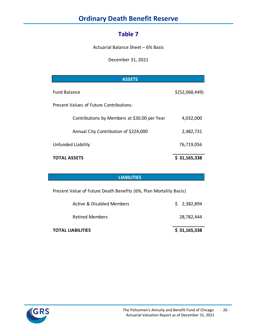# **Ordinary Death Benefit Reserve**

### **Table 7**

Actuarial Balance Sheet – 6% Basis

December 31, 2021

| <b>ASSETS</b>                                |                |
|----------------------------------------------|----------------|
| <b>Fund Balance</b>                          | \$(52,068,449) |
| Present Values of Future Contributions:      |                |
| Contributions by Members at \$30.00 per Year | 4,032,000      |
| Annual City Contribution of \$224,000        | 2,482,731      |
| Unfunded Liability                           | 76,719,056     |
| <b>TOTAL ASSETS</b>                          | \$31,165,338   |

#### **LIABILITIES**

Present Value of Future Death Benefits (6%, Plan Mortality Basis)

| <b>TOTAL LIABILITIES</b>  | \$31,165,338 |
|---------------------------|--------------|
| <b>Retired Members</b>    | 28,782,444   |
| Active & Disabled Members | \$2,382,894  |

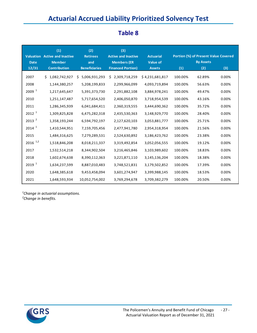# **Actuarial Accrued Liability Prioritized Solvency Test**

| <b>Date</b>           | (1)<br><b>Valuation</b> Active and Inactive<br><b>Member</b> | (2)<br><b>Retirees</b><br>and | (3)<br><b>Active and Inactive</b><br><b>Members (ER</b> | <b>Actuarial</b><br><b>Value of</b> |         | <b>Portion (%) of Present Value Covered</b><br><b>By Assets</b> |       |
|-----------------------|--------------------------------------------------------------|-------------------------------|---------------------------------------------------------|-------------------------------------|---------|-----------------------------------------------------------------|-------|
| 12/31                 | <b>Contribution</b>                                          | <b>Beneficiaries</b>          | <b>Financed Portion)</b>                                | <b>Assets</b>                       | (1)     | (2)                                                             | (3)   |
| 2007                  | \$1,082,742,927                                              | 5,006,931,293<br>Ś.           | 2,309,718,259<br>S                                      | \$4,231,681,817                     | 100.00% | 62.89%                                                          | 0.00% |
| 2008                  | 1,144,380,257                                                | 5,208,199,833                 | 2,299,966,099                                           | 4,093,719,894                       | 100.00% | 56.63%                                                          | 0.00% |
| 2009 <sup>1</sup>     | 1,217,645,647                                                | 5,391,373,730                 | 2,291,882,108                                           | 3,884,978,241                       | 100.00% | 49.47%                                                          | 0.00% |
| 2010                  | 1,251,147,487                                                | 5,717,654,520                 | 2,406,050,870                                           | 3,718,954,539                       | 100.00% | 43.16%                                                          | 0.00% |
| 2011                  | 1,286,345,939                                                | 6,041,684,411                 | 2,360,319,555                                           | 3,444,690,362                       | 100.00% | 35.72%                                                          | 0.00% |
| 2012 <sup>1</sup>     | 1,309,825,828                                                | 6,475,282,318                 | 2,435,530,363                                           | 3,148,929,770                       | 100.00% | 28.40%                                                          | 0.00% |
| 2013 <sup>2</sup>     | 1,358,193,244                                                | 6,594,792,197                 | 2,127,620,103                                           | 3,053,881,777                       | 100.00% | 25.71%                                                          | 0.00% |
| $2014$ <sup>1</sup>   | 1,410,544,951                                                | 7,159,705,456                 | 2,477,941,780                                           | 2,954,318,954                       | 100.00% | 21.56%                                                          | 0.00% |
| 2015                  | 1,484,316,625                                                | 7,279,289,531                 | 2,524,630,892                                           | 3,186,423,762                       | 100.00% | 23.38%                                                          | 0.00% |
| $2016$ <sup>1,2</sup> | 1,518,846,208                                                | 8,018,211,337                 | 3,319,492,854                                           | 3,052,056,555                       | 100.00% | 19.12%                                                          | 0.00% |
| 2017                  | 1,532,514,218                                                | 8,344,902,504                 | 3,216,465,846                                           | 3,103,989,602                       | 100.00% | 18.83%                                                          | 0.00% |
| 2018                  | 1,602,674,638                                                | 8,390,112,363                 | 3,221,871,110                                           | 3,145,136,204                       | 100.00% | 18.38%                                                          | 0.00% |
| 2019 <sup>1</sup>     | 1,634,237,599                                                | 8,887,010,483                 | 3,748,521,831                                           | 3,179,502,852                       | 100.00% | 17.39%                                                          | 0.00% |
| 2020                  | 1,648,385,618                                                | 9,453,458,094                 | 3,601,274,947                                           | 3,399,988,145                       | 100.00% | 18.53%                                                          | 0.00% |
| 2021                  | 1,648,593,934                                                | 10,052,754,002                | 3,769,294,678                                           | 3,709,382,279                       | 100.00% | 20.50%                                                          | 0.00% |

### **Table 8**

*Change in actuarial assumptions.*

*Change in benefits.*

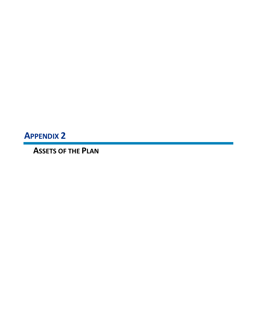**APPENDIX 2**

**ASSETS OF THE PLAN**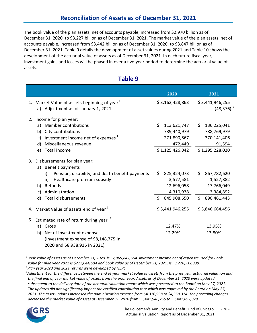#### **Reconciliation of Assets as of December 31, 2021**

The book value of the plan assets, net of accounts payable, increased from \$2.970 billion as of December 31, 2020, to \$3.227 billion as of December 31, 2021. The market value of the plan assets, net of accounts payable, increased from \$3.442 billion as of December 31, 2020, to \$3.847 billion as of December 31, 2021. Table 9 details the development of asset values during 2021 and Table 10 shows the development of the actuarial value of assets as of December 31, 2021. In each future fiscal year, investment gains and losses will be phased in over a five-year period to determine the actuarial value of assets.

|    |                                                                                        | 2020               | 2021                             |
|----|----------------------------------------------------------------------------------------|--------------------|----------------------------------|
|    | 1. Market Value of assets beginning of year $1$<br>a) Adjustment as of January 1, 2021 | \$3,162,428,863    | \$3,441,946,255<br>$(48, 376)^3$ |
| 2. | Income for plan year:                                                                  |                    |                                  |
|    | Member contributions<br>a)                                                             | \$<br>113,621,747  | 136,225,041<br>S.                |
|    | City contributions<br>b)                                                               | 739,440,979        | 788,769,979                      |
|    | Investment income net of expenses <sup>1</sup><br>c)                                   | 271,890,867        | 370,141,406                      |
|    | Miscellaneous revenue<br>d)                                                            | 472,449            | 91,594                           |
|    | Total income<br>e)                                                                     | \$1,125,426,042    | \$1,295,228,020                  |
| 3. | Disbursements for plan year:<br>a) Benefit payments                                    |                    |                                  |
|    | Pension, disability, and death benefit payments<br>i)                                  | \$.<br>825,324,073 | 867,782,620<br>\$.               |
|    | Healthcare premium subsidy<br>ii)                                                      | 3,577,581          | 1,527,882                        |
|    | Refunds<br>b)                                                                          | 12,696,058         | 17,766,049                       |
|    | Administration<br>c)                                                                   | 4,310,938          | 3,384,892                        |
|    | Total disbursements<br>d)                                                              | Ś.<br>845,908,650  | \$<br>890,461,443                |
|    | 4. Market Value of assets end of year <sup>1</sup>                                     | \$3,441,946,255    | \$3,846,664,456                  |
|    | 5. Estimated rate of return during year: <sup>2</sup>                                  |                    |                                  |
|    | Gross<br>a)                                                                            | 12.47%             | 13.95%                           |
|    | Net of investment expense<br>b)                                                        | 12.29%             | 13.80%                           |
|    | (Investment expense of \$8,148,775 in                                                  |                    |                                  |
|    | 2020 and \$8,938,916 in 2021)                                                          |                    |                                  |

#### **Table 9**

*1 Book value of assets as of December 31, 2020, is \$2,969,842,664, Investment income net of expenses used for Book value for plan year 2021 is \$222,044,504 and book value as of December 31, 2021, is \$3,226,512,339. 2 Plan year 2020 and 2021 returns were developed by NEPC.*

*3 Adjustment for the difference between the end of year market value of assets from the prior year actuarial valuation and the final end of year market value of assets from the prior year. Assets as of December 31, 2020 were updated subsequent to the delivery date of the actuarial valuation report which was presented to the Board on May 27, 2021. The updates did not significantly impact the certified contribution rate which was approved by the Board on May 27, 2021. The asset updates increased the administration expense from \$4,310,938 to \$4,359,314. The preceding changes decreased the market value of assets at December 31, 2020 from \$3,441,946,255 to \$3,441,897,879.*

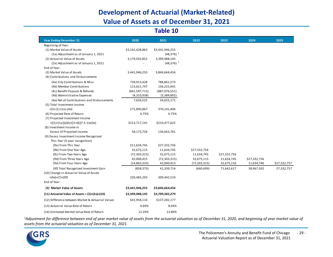# **Development of Actuarial (Market-Related) Value of Assets as of December 31, 2021**

#### **Table 10**

| <b>Year Ending December 31</b>                     | 2020            | 2021             | 2022           | 2023         | 2024         | 2025         |
|----------------------------------------------------|-----------------|------------------|----------------|--------------|--------------|--------------|
| Beginning of Year:                                 |                 |                  |                |              |              |              |
| (1) Market Value of Assets                         | \$3,162,428,863 | \$3,441,946,255  |                |              |              |              |
| (1a) Adjustment as of January 1, 2021              |                 | $(48, 376)^{-1}$ |                |              |              |              |
| (2) Actuarial Value of Assets                      | 3,179,502,852   | 3,399,988,145    |                |              |              |              |
| (2a) Adjustment as of January 1, 2021              |                 | $(48,376)^1$     |                |              |              |              |
| End of Year:                                       |                 |                  |                |              |              |              |
| (3) Market Value of Assets                         | 3,441,946,255   | 3,846,664,456    |                |              |              |              |
| (4) Contributions and Disbursements                |                 |                  |                |              |              |              |
| (4a) City Contributions & Misc.                    | 739,913,428     | 788,861,573      |                |              |              |              |
| (4b) Member Contributions                          | 113,621,747     | 136,225,041      |                |              |              |              |
| (4c) Benefit Payouts & Refunds                     | (841,597,712)   | (887,076,551)    |                |              |              |              |
| (4d) Administrative Expenses                       | (4,310,938)     | (3,384,892)      |                |              |              |              |
| (4e) Net of Contributions and Disbursements        | 7,626,525       | 34,625,171       |                |              |              |              |
| (5) Total Investment Income                        |                 |                  |                |              |              |              |
| $=(3)-(1)-(1a)-(4e)$                               | 271,890,867     | 370,141,406      |                |              |              |              |
| (6) Projected Rate of Return                       | 6.75%           | 6.75%            |                |              |              |              |
| (7) Projected Investment Income                    |                 |                  |                |              |              |              |
| $=[(1)+(1a)]x(6)+([1+(6)]^n.5-1)x(4e)$             | \$213,717,141   | \$233,477,625    |                |              |              |              |
| (8) Investment Income in                           |                 |                  |                |              |              |              |
| Excess of Projected Income                         | 58,173,726      | 136,663,781      |                |              |              |              |
| (9) Excess Investment Income Recognized            |                 |                  |                |              |              |              |
| This Year (5-year recognition)                     |                 |                  |                |              |              |              |
| (9a) From This Year                                | \$11,634,745    | \$27,332,756     |                |              |              |              |
| (9b) From One Year Ago                             | 32,675,115      | 11,634,745       | \$27,332,756   |              |              |              |
| (9c) From Two Years Ago                            | (72, 303, 315)  | 32,675,115       | 11,634,745     | \$27,332,756 |              |              |
| (9d) From Three Years Ago                          | 42,000,415      | (72, 303, 315)   | 32,675,115     | 11,634,745   | \$27,332,756 |              |
| (9e) From Four Years Ago                           | (14, 865, 333)  | 42,000,413       | (72, 303, 315) | 32,675,116   | 11,634,746   | \$27,332,757 |
| (9f) Total Recognized Investment Gain              | (858, 373)      | 41,339,714       | (660, 699)     | 71,642,617   | 38,967,502   | 27,332,757   |
| (10) Change in Actuarial Value of Assets           |                 |                  |                |              |              |              |
| $=(4e)+(7)+(9f)$                                   | 220,485,293     | 309,442,510      |                |              |              |              |
| End of Year:                                       |                 |                  |                |              |              |              |
| (3) Market Value of Assets                         | \$3,441,946,255 | \$3,846,664,456  |                |              |              |              |
| $(11)$ Actuarial Value of Assets = $(2)+(2a)+(10)$ | \$3,399,988,145 | \$3,709,382,279  |                |              |              |              |
| (12) Difference between Market & Actuarial Values  | \$41,958,110    | \$137,282,177    |                |              |              |              |
| (13) Actuarial Value Rate of Return                | 6.69%           | 8.04%            |                |              |              |              |
| (14) Estimated Market Value Rate of Return         | 12.29%          | 13.80%           |                |              |              |              |

*1 Adjustment for difference between end of year market value of assets from the actuarial valuation as of December 31, 2020, and beginning of year market value of assets from the actuarial valuation as of December 31, 2021.*

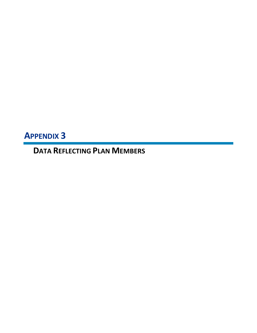**APPENDIX 3**

**DATA REFLECTING PLAN MEMBERS**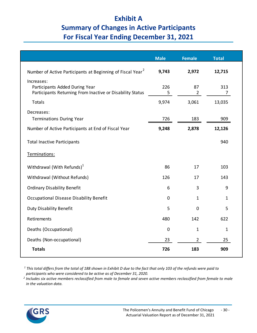# **Exhibit A Summary of Changes in Active Participants For Fiscal Year Ending December 31, 2021**

|                                                                                                           | <b>Male</b> | <b>Female</b>        | <b>Total</b> |
|-----------------------------------------------------------------------------------------------------------|-------------|----------------------|--------------|
| Number of Active Participants at Beginning of Fiscal Year <sup>2</sup>                                    | 9,743       | 2,972                | 12,715       |
| Increases:<br>Participants Added During Year<br>Participants Returning From Inactive or Disability Status | 226<br>5    | 87<br>$\overline{2}$ | 313<br>7     |
| <b>Totals</b>                                                                                             | 9,974       | 3,061                | 13,035       |
| Decreases:<br><b>Terminations During Year</b>                                                             | 726         | 183                  | 909          |
| Number of Active Participants at End of Fiscal Year                                                       | 9,248       | 2,878                | 12,126       |
| <b>Total Inactive Participants</b>                                                                        |             |                      | 940          |
| Terminations:                                                                                             |             |                      |              |
| Withdrawal (With Refunds) <sup>1</sup>                                                                    | 86          | 17                   | 103          |
| Withdrawal (Without Refunds)                                                                              | 126         | 17                   | 143          |
| <b>Ordinary Disability Benefit</b>                                                                        | 6           | 3                    | 9            |
| Occupational Disease Disability Benefit                                                                   | 0           | $\mathbf{1}$         | 1            |
| <b>Duty Disability Benefit</b>                                                                            | 5           | $\mathbf 0$          | 5            |
| Retirements                                                                                               | 480         | 142                  | 622          |
| Deaths (Occupational)                                                                                     | $\mathbf 0$ | $\mathbf{1}$         | $\mathbf{1}$ |
| Deaths (Non-occupational)                                                                                 | 23          | $\overline{2}$       | 25           |
| <b>Totals</b>                                                                                             | 726         | 183                  | 909          |

*<sup>1</sup> This total differs from the total of 188 shown in Exhibit D due to the fact that only 103 of the refunds were paid to* 

*participants who were considered to be active as of December 31, 2020. 2 Includes six active members reclassified from male to female and seven active members reclassified from female to male in the valuation data.*

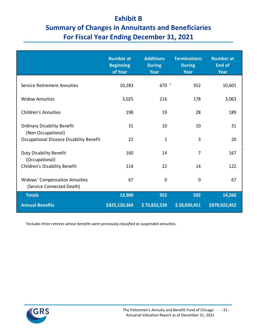## **Exhibit B**

# **Summary of Changes in Annuitants and Beneficiaries For Fiscal Year Ending December 31, 2021**

|                                                | <b>Number at</b><br><b>Beginning</b><br>of Year | <b>Additions</b><br><b>During</b><br><b>Year</b> | <b>Terminations</b><br><b>During</b><br><b>Year</b> | <b>Number at</b><br><b>End of</b><br>Year |
|------------------------------------------------|-------------------------------------------------|--------------------------------------------------|-----------------------------------------------------|-------------------------------------------|
| Service Retirement Annuities                   | 10,283                                          | $670^{-1}$                                       | 352                                                 | 10,601                                    |
|                                                |                                                 |                                                  |                                                     |                                           |
| <b>Widow Annuities</b>                         | 3,025                                           | 216                                              | 178                                                 | 3,063                                     |
| <b>Children's Annuities</b>                    | 198                                             | 19                                               | 28                                                  | 189                                       |
|                                                |                                                 |                                                  |                                                     |                                           |
| <b>Ordinary Disability Benefit</b>             | 31                                              | 10                                               | 10                                                  | 31                                        |
| (Non-Occupational)                             |                                                 |                                                  |                                                     |                                           |
| <b>Occupational Disease Disability Benefit</b> | 22                                              | $\mathbf{1}$                                     | 3                                                   | 20                                        |
| <b>Duty Disability Benefit</b>                 | 160                                             | 14                                               | 7                                                   | 167                                       |
| (Occupational)                                 |                                                 |                                                  |                                                     |                                           |
| Children's Disability Benefit                  | 114                                             | 22                                               | 14                                                  | 122                                       |
| <b>Widows' Compensation Annuities</b>          | 67                                              | $\mathbf 0$                                      | 0                                                   | 67                                        |
| (Service Connected Death)                      |                                                 |                                                  |                                                     |                                           |
| <b>Totals</b>                                  | 13,900                                          | 952                                              | 592                                                 | 14,260                                    |
| <b>Annual Benefits</b>                         | \$825,120,364                                   | \$73,832,539                                     | \$28,030,451                                        | \$870,922,452                             |

 *1 Includes three retirees whose benefits were previously classified as suspended annuities.*

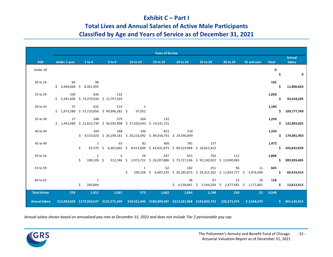#### **Exhibit C – Part I**

#### **Total Lives and Annual Salaries of Active Male Participants**

#### **Classified by Age and Years of Service as of December 31, 2021**

|                      |              |                                          |                                             |                                                                                                              | <b>Years of Service</b> |          |          |                                                                                                 |             |              |               |
|----------------------|--------------|------------------------------------------|---------------------------------------------|--------------------------------------------------------------------------------------------------------------|-------------------------|----------|----------|-------------------------------------------------------------------------------------------------|-------------|--------------|---------------|
|                      |              |                                          |                                             |                                                                                                              |                         |          |          |                                                                                                 |             |              | <b>Annual</b> |
| <b>AGE</b>           | Under 1 year | 1 to 4                                   | 5 to 9                                      | 10 to 14                                                                                                     | 15 to 19                | 20 to 24 | 25 to 29 | 30 to 34                                                                                        | 35 and over | <b>Total</b> | Salary        |
| Under 20             |              |                                          |                                             |                                                                                                              |                         |          |          |                                                                                                 |             | $\mathbf 0$  |               |
|                      |              |                                          |                                             |                                                                                                              |                         |          |          |                                                                                                 |             | \$           | 0             |
| 20 to 24             |              | 64 98                                    |                                             |                                                                                                              |                         |          |          |                                                                                                 |             | 162          |               |
|                      |              | $$3,444,668$ $$8,361,995$                |                                             |                                                                                                              |                         |          |          |                                                                                                 |             | Ŝ.           | 11,806,663    |
| 25 to 29             | 100          | 826                                      | 132                                         |                                                                                                              |                         |          |          |                                                                                                 |             | 1,058        |               |
|                      |              | $$5,341,600 \t$74,279,036 \t$12,797,569$ |                                             |                                                                                                              |                         |          |          |                                                                                                 |             | \$.          | 92,418,205    |
| 30 to 34             | 37           | 632                                      | 514                                         | $\overline{\phantom{0}}$                                                                                     |                         |          |          |                                                                                                 |             | 1,184        |               |
|                      |              |                                          | $$1,973,580$ $$57,710,856$ $$49,996,281$ \$ | 97,052                                                                                                       |                         |          |          |                                                                                                 |             |              | \$109,777,769 |
|                      |              |                                          |                                             |                                                                                                              |                         |          |          |                                                                                                 |             |              |               |
| 35 to 39             | 27           | 248                                      | 579                                         | 264                                                                                                          | 132                     |          |          |                                                                                                 |             | 1,250        |               |
|                      |              |                                          |                                             | $$1,443,980$ $$22,613,739$ $$56,592,908$ $$27,620,643$ $$14,531,731$                                         |                         |          |          |                                                                                                 |             |              | \$122,803,001 |
| 40 to 44             |              | 104                                      | 268                                         | 196                                                                                                          | 815                     | 210      |          |                                                                                                 |             | 1,593        |               |
|                      |              |                                          |                                             | \$ 9,515,020 \$ 26,209,181 \$ 20,216,092 \$ 89,550,761 \$ 24,590,849                                         |                         |          |          |                                                                                                 |             |              | \$170,081,903 |
| 45 to 49             |              | 1                                        | 65                                          | 82                                                                                                           | 406                     | 781      | 137      |                                                                                                 |             | 1,472        |               |
|                      |              | Ś.                                       |                                             | 92,570 \$ 6,363,065 \$ 8,413,609 \$ 43,631,874 \$ 90,519,068 \$ 16,812,453                                   |                         |          |          |                                                                                                 |             |              | \$165,832,639 |
| 50 to 54             |              | $\mathbf{1}$                             | 3                                           | 29                                                                                                           | 247                     | 653      | 763      | 112                                                                                             |             | 1,808        |               |
|                      |              | Ś.<br>100,328 \$                         |                                             | 312,246 \$ 2,973,722 \$ 26,207,886 \$ 73,727,336 \$ 92,130,922 \$ 13,940,965                                 |                         |          |          |                                                                                                 |             |              | \$209,393,405 |
| 55 to 59             |              |                                          |                                             | $\mathbf{1}$                                                                                                 | 62                      | 182      | 251      | 96                                                                                              | 11          | 603          |               |
|                      |              |                                          |                                             | Ś.                                                                                                           |                         |          |          | 100,328 \$ 6,487,235 \$ 20,185,873 \$ 29,315,162 \$ 11,854,727 \$ 1,476,589                     |             | $\sim$ 5     | 69,419,914    |
|                      |              |                                          |                                             |                                                                                                              |                         |          |          |                                                                                                 |             |              |               |
| 60 to 63             |              | 1                                        |                                             |                                                                                                              |                         | 38       | 47       | 22                                                                                              | 10          | 118          |               |
|                      |              | \$<br>260,004                            |                                             |                                                                                                              |                         |          |          | $\frac{1}{2}$ 4,158,841 $\frac{1}{2}$ 5,544,204 $\frac{1}{2}$ 2,477,682 $\frac{1}{2}$ 1,171,681 |             | Ŝ.           | 13,612,413    |
| <b>Total Active</b>  | 228          | 1,911                                    | 1,561                                       | 573                                                                                                          | 1,662                   | 1,864    | 1,198    | 230                                                                                             | 21          | 9,248        |               |
| <b>Annual Salary</b> |              |                                          |                                             | \$12,203,828 \$172,933,547 \$152,271,249 \$59,421,446 \$180,409,487 \$213,181,968 \$143,802,742 \$28,273,374 |                         |          |          |                                                                                                 | \$2,648,270 |              | \$965,145,912 |
|                      |              |                                          |                                             |                                                                                                              |                         |          |          |                                                                                                 |             |              |               |

*Annual salary shown based on annualized pay rate at December 31, 2021 and does not include Tier 2 pensionable pay cap.*

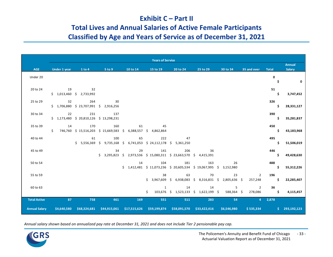#### **Exhibit C – Part II**

## **Total Lives and Annual Salaries of Active Female Participants Classified by Age and Years of Service as of December 31, 2021**

|                      |              |                                                 |                                                |          | <b>Years of Service</b>                     |                                                                    |          |                                                         |                |              |                                |
|----------------------|--------------|-------------------------------------------------|------------------------------------------------|----------|---------------------------------------------|--------------------------------------------------------------------|----------|---------------------------------------------------------|----------------|--------------|--------------------------------|
| <b>AGE</b>           | Under 1 year | 1 to 4                                          | 5 to 9                                         | 10 to 14 | 15 to 19                                    | 20 to 24                                                           | 25 to 29 | 30 to 34                                                | 35 and over    | <b>Total</b> | <b>Annual</b><br><b>Salary</b> |
| Under 20             |              |                                                 |                                                |          |                                             |                                                                    |          |                                                         |                | $\mathbf 0$  |                                |
|                      |              |                                                 |                                                |          |                                             |                                                                    |          |                                                         |                | \$           | $\mathbf 0$                    |
| 20 to 24             |              | 19 32                                           |                                                |          |                                             |                                                                    |          |                                                         |                | 51           |                                |
|                      |              | $$1,013,460 \quad $2,733,992$                   |                                                |          |                                             |                                                                    |          |                                                         |                | \$           | 3,747,452                      |
| 25 to 29             | 32           | 264                                             | $\overline{30}$                                |          |                                             |                                                                    |          |                                                         |                | 326          |                                |
|                      |              | \$1,706,880 \$23,707,991 \$2,916,256            |                                                |          |                                             |                                                                    |          |                                                         |                | \$           | 28,331,127                     |
| 30 to 34             | 22           | 231<br>$$1,173,480$ $$20,810,126$ $$13,298,231$ | 137                                            |          |                                             |                                                                    |          |                                                         |                | 390<br>Ś     |                                |
|                      |              |                                                 |                                                |          |                                             |                                                                    |          |                                                         |                |              | 35,281,837                     |
| 35 to 39             | 14           | 170                                             | 160<br>$$746,760 \$15,516,203 \$15,669,583 \$$ | 61       | 45<br>6,388,557 \$ 4,862,864                |                                                                    |          |                                                         |                | 450<br>Ś.    | 43,183,968                     |
|                      |              |                                                 |                                                |          |                                             |                                                                    |          |                                                         |                |              |                                |
| 40 to 44             |              | 61                                              | 100<br>$$5,556,369$ $$9,735,168$ \$            | 65       | 222<br>6,741,053 \$ 24,112,178 \$ 5,361,250 | 47                                                                 |          |                                                         |                | 495          | 51,506,019                     |
| 45 to 49             |              |                                                 | 34                                             | 29       | 141                                         | 206                                                                | 36       |                                                         |                | 446          |                                |
|                      |              |                                                 |                                                |          |                                             | $$3,295,823$ $$2,973,536$ $$15,080,311$ $$23,663,570$ $$4,415,391$ |          |                                                         |                | \$           | 49,428,630                     |
| 50 to 54             |              |                                                 |                                                | 14       | 104                                         | 181                                                                | 163      | 26                                                      |                | 488          |                                |
|                      |              |                                                 |                                                |          |                                             | $$1,412,481$ $$11,073,236$ $$20,605,534$ $$19,067,995$ $$$         |          | 3,152,980                                               |                | Ś.           | 55,312,226                     |
| 55 to 59             |              |                                                 |                                                |          | 38                                          | 63                                                                 | 70       | 23                                                      | $\overline{2}$ | 196          |                                |
|                      |              |                                                 |                                                |          |                                             |                                                                    |          | $$3,967,609$$ \$ 6,938,083 \$ 8,316,831 \$ 2,805,636 \$ | 257,248        | Ś            | 22,285,407                     |
| 60 to 63             |              |                                                 |                                                |          | 1                                           | 14                                                                 | 14       | 5                                                       | 2              | 36           |                                |
|                      |              |                                                 |                                                |          | Ś.                                          | 103,676 \$ 1,523,133 \$ 1,622,199 \$                               |          | 588,364 \$                                              | 278,086        | \$.          | 4,115,457                      |
| <b>Total Active</b>  | 87           | 758                                             | 461                                            | 169      | 551                                         | 511                                                                | 283      | 54                                                      |                | $4$ 2,878    |                                |
| <b>Annual Salary</b> | \$4,640,580  | \$68,324,681                                    |                                                |          |                                             | \$44,915,061 \$17,515,626 \$59,199,874 \$58,091,570 \$33,422,416   |          | \$6,546,980                                             | \$535,334      | \$.          | 293,192,123                    |

*Annual salary shown based on annualized pay rate at December 31, 2021 and does not include Tier 2 pensionable pay cap.*

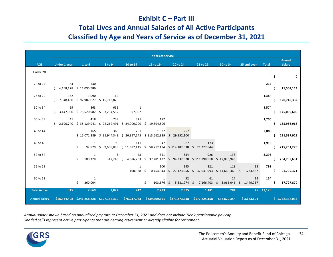#### **Exhibit C – Part III**

#### **Total Lives and Annual Salaries of All Active Participants**

### **Classified by Age and Years of Service as of December 31, 2021**

|                      |              |                                                       |        |                         | <b>Years of Service</b>                                                     |                                                                                                                          |          |          |                   |              |                         |
|----------------------|--------------|-------------------------------------------------------|--------|-------------------------|-----------------------------------------------------------------------------|--------------------------------------------------------------------------------------------------------------------------|----------|----------|-------------------|--------------|-------------------------|
| <b>AGE</b>           | Under 1 year | 1 to 4                                                | 5 to 9 | 10 to 14                | 15 to 19                                                                    | 20 to 24                                                                                                                 | 25 to 29 | 30 to 34 | 35 and over       | <b>Total</b> | <b>Annual</b><br>Salary |
| Under 20             |              |                                                       |        |                         |                                                                             |                                                                                                                          |          |          |                   | $\mathbf{0}$ |                         |
|                      |              |                                                       |        |                         |                                                                             |                                                                                                                          |          |          |                   | Ŝ.           | $\mathbf{0}$            |
| 20 to 24             |              | 83 130<br>$$4,458,128$$ $$11,095,986$                 |        |                         |                                                                             |                                                                                                                          |          |          |                   | 213          | 15,554,114              |
|                      |              |                                                       |        |                         |                                                                             |                                                                                                                          |          |          |                   |              |                         |
| 25 to 29             |              | 132 1,090<br>$$7,048,480$ $$97,987,027$ $$15,713,825$ | 162    |                         |                                                                             |                                                                                                                          |          |          |                   | 1,384        | \$120,749,332           |
| 30 to 34             |              | 59 863                                                | 651    | $\overline{\mathbf{1}}$ |                                                                             |                                                                                                                          |          |          |                   | 1,574        |                         |
|                      |              | $$3,147,060 \t$78,520,982 \t$63,294,512$              |        | 97,052                  |                                                                             |                                                                                                                          |          |          |                   |              | \$145,059,606           |
| 35 to 39             |              | 41 418                                                | 739    | 325                     | 177<br>\$ 2,190,740 \$ 38,129,941 \$ 72,262,491 \$ 34,009,200 \$ 19,394,596 |                                                                                                                          |          |          |                   | 1,700        | \$165,986,968           |
| 40 to 44             |              | 165                                                   | 368    |                         | 261<br>1,037                                                                | 257                                                                                                                      |          |          |                   | 2,088        |                         |
|                      |              |                                                       |        |                         |                                                                             | $$15,071,389$ $$35,944,349$ $$26,957,145$ $$113,662,939$ $$29,952,100$                                                   |          |          |                   |              | \$221,587,921           |
| 45 to 49             |              | 1<br>Ś.                                               | 99     | 111                     | 547                                                                         | 987<br>92,570 \$ 9,658,888 \$ 11,387,145 \$ 58,712,184 \$ 114,182,638 \$ 21,227,844                                      | 173      |          |                   | 1,918        | \$215,261,270           |
|                      |              |                                                       |        |                         | 351                                                                         |                                                                                                                          | 926      |          |                   |              |                         |
| 50 to 54             |              | 1<br>Ś.                                               | 3      | 43                      |                                                                             | 834<br>100,328 312,246 \$ 4,386,203 \$ 37,281,122 \$ 94,332,870 \$ 111,198,918 \$ 17,093,946                             |          | 138      |                   | 2,296        | \$264,705,631           |
| 55 to 59             |              |                                                       |        | 1                       | 100                                                                         | 245                                                                                                                      | 321      | 119      | 13                | 799          |                         |
|                      |              |                                                       |        |                         |                                                                             | 100,328 \$ 10,454,844 \$ 27,123,956 \$ 37,631,993 \$ 14,660,363 \$ 1,733,837                                             |          |          |                   | S.           | 91,705,321              |
| 60 to 63             |              | $\overline{1}$<br>\$                                  |        |                         | $\mathbf{1}$                                                                | 52                                                                                                                       | 61       | 27       | 12                | 154          |                         |
|                      |              | 260,004                                               |        |                         | Ś.                                                                          | 103,676 \$ 5,681,974 \$ 7,166,403 \$ 3,066,046 \$ 1,449,767                                                              |          |          |                   |              | \$17,727,870            |
| <b>Total Active</b>  | 315          | 2,669                                                 | 2,022  | 742                     | 2,213                                                                       | 2,375                                                                                                                    | 1,481    | 284      | $25 \quad 12,126$ |              |                         |
| <b>Annual Salary</b> |              |                                                       |        |                         |                                                                             | \$16,844,408 \$241,258,228 \$197,186,310 \$76,937,073 \$239,609,361 \$271,273,538 \$177,225,158 \$34,820,354 \$3,183,604 |          |          |                   |              | \$1,258,338,033         |

*Annual salary shown based on annualized pay rate at December 31, 2021 and does not include Tier 2 pensionable pay cap. Shaded cells represent active participants that are nearing retirement or already eligible for retirement.*

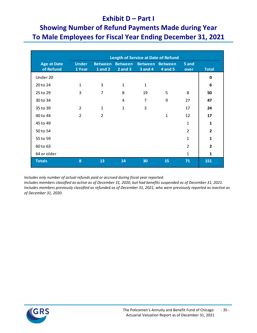#### **Exhibit D – Part I**

# **Showing Number of Refund Payments Made during Year To Male Employees for Fiscal Year Ending December 31, 2021**

|                                 | <b>Length of Service at Date of Refund</b> |                                  |                               |                                  |                                  |                |                |
|---------------------------------|--------------------------------------------|----------------------------------|-------------------------------|----------------------------------|----------------------------------|----------------|----------------|
| <b>Age at Date</b><br>of Refund | <b>Under</b><br>1 Year                     | <b>Between</b><br><b>1</b> and 2 | <b>Between</b><br>$2$ and $3$ | <b>Between</b><br><b>3 and 4</b> | <b>Between</b><br><b>4 and 5</b> | 5 and<br>over  | <b>Total</b>   |
| Under 20                        |                                            |                                  |                               |                                  |                                  |                | 0              |
| 20 to 24                        | $\mathbf{1}$                               | 3                                | 1                             | $\mathbf{1}$                     |                                  |                | 6              |
| 25 to 29                        | 3                                          | $\overline{7}$                   | 8                             | 19                               | 5                                | 8              | 50             |
| 30 to 34                        |                                            |                                  | 4                             | $\overline{7}$                   | 9                                | 27             | 47             |
| 35 to 39                        | 2                                          | $\mathbf{1}$                     | $\mathbf{1}$                  | 3                                |                                  | 17             | 24             |
| 40 to 44                        | $\overline{2}$                             | $\overline{2}$                   |                               |                                  | $\mathbf{1}$                     | 12             | 17             |
| 45 to 49                        |                                            |                                  |                               |                                  |                                  | $\mathbf{1}$   | $\mathbf{1}$   |
| 50 to 54                        |                                            |                                  |                               |                                  |                                  | $\overline{2}$ | $\overline{2}$ |
| 55 to 59                        |                                            |                                  |                               |                                  |                                  | $\mathbf{1}$   | 1              |
| 60 to 63                        |                                            |                                  |                               |                                  |                                  | $\overline{2}$ | $\overline{2}$ |
| 64 or older                     |                                            |                                  |                               |                                  |                                  | $\mathbf{1}$   | 1              |
| <b>Totals</b>                   | 8                                          | 13                               | 14                            | 30                               | 15                               | 71             | 151            |

 *Includes only number of actual refunds paid or accrued during fiscal year reported.*

*Includes members classified as active as of December 31, 2020, but had benefits suspended as of December 31, 2021. Includes members previously classified as refunded as of December 31, 2021, who were previously reported as inactive as of December 31, 2020.*

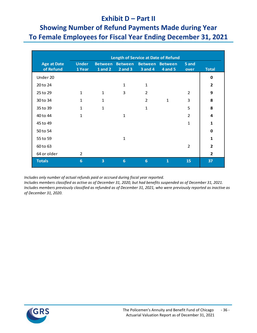#### **Exhibit D – Part II**

## **Showing Number of Refund Payments Made during Year To Female Employees for Fiscal Year Ending December 31, 2021**

|                                 | <b>Length of Service at Date of Refund</b> |                                  |                               |                |                                   |                |                |
|---------------------------------|--------------------------------------------|----------------------------------|-------------------------------|----------------|-----------------------------------|----------------|----------------|
| <b>Age at Date</b><br>of Refund | <b>Under</b><br>1 Year                     | <b>Between</b><br><b>1</b> and 2 | <b>Between</b><br>$2$ and $3$ | <b>3 and 4</b> | Between Between<br><b>4 and 5</b> | 5 and<br>over  | <b>Total</b>   |
| Under 20                        |                                            |                                  |                               |                |                                   |                | 0              |
| 20 to 24                        |                                            |                                  | $\mathbf{1}$                  | $\mathbf{1}$   |                                   |                | $\overline{2}$ |
| 25 to 29                        | $\mathbf{1}$                               | $\mathbf{1}$                     | 3                             | $\overline{2}$ |                                   | $\overline{2}$ | 9              |
| 30 to 34                        | $\mathbf{1}$                               | $\mathbf{1}$                     |                               | $\overline{2}$ | $\mathbf{1}$                      | 3              | 8              |
| 35 to 39                        | $\mathbf{1}$                               | $\mathbf{1}$                     |                               | 1              |                                   | 5              | 8              |
| 40 to 44                        | $\mathbf{1}$                               |                                  | $\mathbf{1}$                  |                |                                   | $\overline{2}$ | 4              |
| 45 to 49                        |                                            |                                  |                               |                |                                   | $\mathbf{1}$   | 1              |
| 50 to 54                        |                                            |                                  |                               |                |                                   |                | 0              |
| 55 to 59                        |                                            |                                  | $\mathbf{1}$                  |                |                                   |                | $\mathbf{1}$   |
| 60 to 63                        |                                            |                                  |                               |                |                                   | $\overline{2}$ | 2              |
| 64 or older                     | 2                                          |                                  |                               |                |                                   |                | $\overline{2}$ |
| <b>Totals</b>                   | 6                                          | $\overline{\mathbf{3}}$          | 6                             | $6\phantom{1}$ | 1                                 | 15             | 37             |

 *Includes only number of actual refunds paid or accrued during fiscal year reported.*

*Includes members classified as active as of December 31, 2020, but had benefits suspended as of December 31, 2021. Includes members previously classified as refunded as of December 31, 2021, who were previously reported as inactive as of December 31, 2020.*

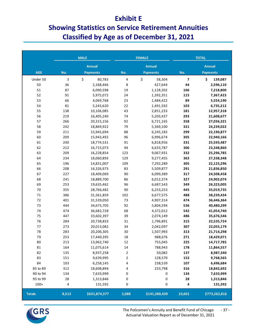#### **Exhibit E**

# **Showing Statistics on Service Retirement Annuities Classified by Age as of December 31, 2021**

|               |           | <b>MALE</b>     |       | <b>FEMALE</b>   | <b>TOTAL</b> |                 |  |
|---------------|-----------|-----------------|-------|-----------------|--------------|-----------------|--|
|               |           | <b>Annual</b>   |       | <b>Annual</b>   |              | <b>Annual</b>   |  |
| <b>AGE</b>    | No.       | <b>Payments</b> | No.   | <b>Payments</b> | No.          | <b>Payments</b> |  |
| Under 50      | 3         | \$<br>80,783    | 4     | \$<br>58,304    | 7            | \$<br>139,087   |  |
| 50            | 36        | 2,168,466       | 8     | 427,644         | 44           | 2,596,110       |  |
| 51            | 87        | 6,090,598       | 19    | 1,128,202       | 106          | 7,218,800       |  |
| 52            | 91        | 5,975,072       | 24    | 1,392,351       | 115          | 7,367,423       |  |
| 53            | 66        | 4,069,768       | 23    | 1,484,422       | 89           | 5,554,190       |  |
| 54            | 81        | 5,243,620       | 22    | 1,491,592       | 103          | 6,735,212       |  |
| 55            | 138       | 10,106,085      | 43    | 2,851,233       | 181          | 12,957,318      |  |
| 56            | 219       | 16,405,240      | 74    | 5,203,437       | 293          | 21,608,677      |  |
| 57            | 266       | 20,315,156      | 92    | 6,721,165       | 358          | 27,036,321      |  |
| 58            | 242       | 18,869,922      | 79    | 5,369,100       | 321          | 24,239,022      |  |
| 59            | 211       | 15,945,694      | 88    | 6,245,183       | 299          | 22,190,877      |  |
| 60            | 209       | 15,943,492      | 96    | 6,996,674       | 305          | 22,940,166      |  |
| 61            | 240       | 18,774,531      | 91    | 6,818,956       | 331          | 25,593,487      |  |
| 62            | 212       | 16,715,073      | 94    | 6,633,787       | 306          | 23,348,860      |  |
| 63            | 209       | 16,228,854      | 123   | 9,067,931       | 332          | 25,296,785      |  |
| 64            | 234       | 18,060,893      | 129   | 9,277,455       | 363          | 27,338,348      |  |
| 65            | 196       | 14,831,007      | 109   | 7,292,289       | 305          | 22,123,296      |  |
| 66            | 208       | 16,326,973      | 83    | 5,509,877       | 291          | 21,836,850      |  |
| 67            | 227       | 18,409,069      | 90    | 6,099,389       | 317          | 24,508,458      |  |
| 68            | 241       | 18,889,700      | 86    | 6,012,374       | 327          | 24,902,074      |  |
| 69            | 253       | 19,635,462      | 96    | 6,687,543       | 349          | 26,323,005      |  |
| $70\,$        | 355       | 28,766,482      | 90    | 6,253,253       | 445          | 35,019,735      |  |
| $71\,$        | 386       | 31,561,859      | 102   | 6,677,575       | 488          | 38,239,434      |  |
| $72\,$        | 401       | 31,539,050      | 73    | 4,907,314       | 474          | 36,446,364      |  |
| 73            | 444       | 34,675,705      | 92    | 5,804,594       | 536          | 40,480,299      |  |
| 74            | 474       | 36,682,728      | 68    | 4,372,012       | 542          | 41,054,740      |  |
| 75            | 447       | 33,602,397      | 39    | 2,074,149       | 486          | 35,676,546      |  |
| 76            | 284       | 20,738,833      | 31    | 1,796,891       | 315          | 22,535,724      |  |
| $77$          | 273       | 20,013,082      | 34    | 2,042,097       | 307          | 22,055,179      |  |
| 78            | 283       | 20,206,305      | 30    | 1,507,993       | 313          | 21,714,298      |  |
| 79            | 253       | 17,440,395      | 18    | 988,676         | 271          | 18,429,071      |  |
| 80            | 213       | 13,962,740      | 12    | 755,045         | 225          | 14,717,785      |  |
| 81            | 164       | 11,075,614      | 14    | 788,943         | 178          | 11,864,557      |  |
| 82            | 135       | 8,937,258       | 2     | 50,082          | 137          | 8,987,340       |  |
| 83            | 151       | 9,639,995       | 2     | 128,570         | 153          | 9,768,565       |  |
| 84            | 103       | 6,258,145       | 4     | 238,539         | 107          | 6,496,684       |  |
| 85 to 89      | 312       | 18,608,894      | 4     | 233,798         | 316          | 18,842,692      |  |
| 90 to 94      | 134       | 7,633,999       | 0     | 0               | 134          | 7,633,999       |  |
| 95 to 99      | 28        | 1,313,846       | 0     | 0               | 28           | 1,313,846       |  |
| $100+$        | $\pmb{4}$ | 131,592         | 0     | 0               | 4            | 131,592         |  |
| <b>Totals</b> | 8,513     | \$631,874,377   | 2,088 | \$141,388,439   | 10,601       | \$773,262,816   |  |

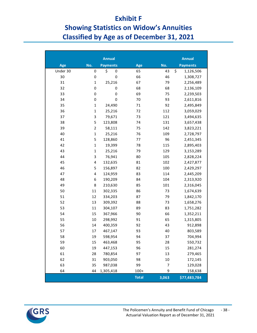### **Exhibit F**

# **Showing Statistics on Widow's Annuities Classified by Age as of December 31, 2021**

|          |                | <b>Annual</b>   |              |       | <b>Annual</b>   |
|----------|----------------|-----------------|--------------|-------|-----------------|
| Age      | No.            | <b>Payments</b> | Age          | No.   | <b>Payments</b> |
| Under 30 | 0              | \$<br>0         | 65           | 43    | \$<br>1,126,506 |
| 30       | $\pmb{0}$      | 0               | 66           | 46    | 1,308,727       |
| 31       | $\mathbf 1$    | 25,216          | 67           | 79    | 2,256,489       |
| 32       | 0              | 0               | 68           | 68    | 2,136,109       |
| 33       | 0              | 0               | 69           | 75    | 2,239,503       |
| 34       | 0              | 0               | 70           | 93    | 2,611,816       |
| 35       | $\mathbf 1$    | 24,490          | 71           | 92    | 2,495,849       |
| 36       | $\mathbf 1$    | 25,216          | 72           | 112   | 3,059,029       |
| 37       | 3              | 79,671          | 73           | 121   | 3,494,635       |
| 38       | 5              | 123,808         | 74           | 131   | 3,657,438       |
| 39       | $\overline{c}$ | 58,111          | 75           | 142   | 3,823,221       |
| 40       | $\mathbf 1$    | 25,216          | 76           | 109   | 2,728,797       |
| 41       | 5              | 128,860         | 77           | 96    | 2,451,345       |
| 42       | $\mathbf 1$    | 19,399          | 78           | 115   | 2,895,403       |
| 43       | $\mathbf 1$    | 25,216          | 79           | 129   | 3,153,289       |
| 44       | 3              | 76,941          | 80           | 105   | 2,828,224       |
| 45       | 4              | 132,635         | 81           | 102   | 2,427,877       |
| 46       | 5              | 156,897         | 82           | 100   | 2,429,297       |
| 47       | 4              | 124,959         | 83           | 114   | 2,445,209       |
| 48       | 6              | 190,209         | 84           | 104   | 2,313,920       |
| 49       | 8              | 210,630         | 85           | 101   | 2,316,045       |
| 50       | 11             | 302,335         | 86           | 73    | 1,674,639       |
| 51       | 12             | 334,203         | 87           | 79    | 1,842,170       |
| 52       | 13             | 309,392         | 88           | 73    | 1,658,276       |
| 53       | 11             | 304,107         | 89           | 83    | 1,751,282       |
| 54       | 15             | 367,966         | 90           | 66    | 1,352,211       |
| 55       | $10\,$         | 298,992         | 91           | 65    | 1,315,805       |
| 56       | 14             | 400,359         | 92           | 43    | 912,898         |
| 57       | 17             | 467,147         | 93           | 40    | 803,589         |
| 58       | 19             | 598,954         | 94           | 37    | 704,994         |
| 59       | 15             | 463,468         | 95           | 28    | 550,732         |
| 60       | 19             | 447,153         | 96           | 15    | 281,274         |
| 61       | 28             | 780,854         | 97           | 13    | 279,465         |
| 62       | 31             | 903,050         | 98           | 10    | 172,145         |
| 63       | 35             | 987,038         | 99           | 7     | 129,028         |
| 64       | 44             | 1,305,418       | $100+$       | 9     | 158,638         |
|          |                |                 | <b>Total</b> | 3,063 | \$77,483,784    |

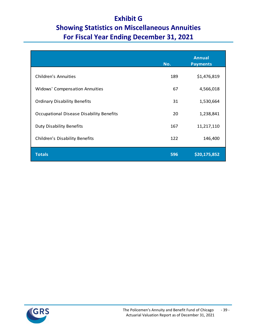# **Exhibit G Showing Statistics on Miscellaneous Annuities For Fiscal Year Ending December 31, 2021**

|                                          | No. | <b>Annual</b><br><b>Payments</b> |
|------------------------------------------|-----|----------------------------------|
| <b>Children's Annuities</b>              | 189 | \$1,476,819                      |
| Widows' Compensation Annuities           | 67  | 4,566,018                        |
| <b>Ordinary Disability Benefits</b>      | 31  | 1,530,664                        |
| Occupational Disease Disability Benefits | 20  | 1,238,841                        |
| <b>Duty Disability Benefits</b>          | 167 | 11,217,110                       |
| <b>Children's Disability Benefits</b>    | 122 | 146,400                          |
| <b>Totals</b>                            | 596 | \$20,175,852                     |

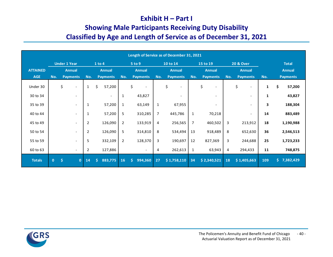#### **Exhibit H – Part I**

# **Showing Male Participants Receiving Duty Disability**

# **Classified by Age and Length of Service as of December 31, 2021**

|                 |              |     |                              |                |        |                          |                |                                |                | Length of Service as of December 31, 2021 |                |                                |     |                                |              |                 |
|-----------------|--------------|-----|------------------------------|----------------|--------|--------------------------|----------------|--------------------------------|----------------|-------------------------------------------|----------------|--------------------------------|-----|--------------------------------|--------------|-----------------|
|                 |              |     | <b>Under 1 Year</b>          |                | 1 to 4 |                          |                | 5 to 9                         |                | 10 to 14                                  |                | 15 to 19                       |     | <b>20 &amp; Over</b>           |              | <b>Total</b>    |
| <b>ATTAINED</b> |              |     | <b>Annual</b>                |                |        | <b>Annual</b>            |                | <b>Annual</b>                  |                | <b>Annual</b>                             |                | <b>Annual</b>                  |     | <b>Annual</b>                  |              | <b>Annual</b>   |
| <b>AGE</b>      | No.          |     | <b>Payments</b>              | No.            |        | <b>Payments</b>          | No.            | <b>Payments</b>                | No.            | <b>Payments</b>                           | No.            | <b>Payments</b>                | No. | <b>Payments</b>                | No.          | <b>Payments</b> |
| Under 30        |              | \$  | $\overline{\phantom{a}}$     | $\mathbf{1}$   | \$     | 57,200                   |                | \$<br>$\overline{\phantom{a}}$ |                | \$                                        |                | \$<br>$\overline{\phantom{a}}$ |     | \$<br>$\overline{\phantom{a}}$ | $\mathbf{1}$ | \$<br>57,200    |
| 30 to 34        |              |     | $\overline{\phantom{a}}$     |                |        | $\overline{\phantom{a}}$ | 1              | 43,827                         |                |                                           |                |                                |     | $\qquad \qquad \blacksquare$   | $\mathbf{1}$ | 43,827          |
| 35 to 39        |              |     | $\qquad \qquad \blacksquare$ | 1              |        | 57,200                   | 1              | 63,149                         | 1              | 67,955                                    |                |                                |     | $\overline{\phantom{0}}$       | 3            | 188,304         |
| 40 to 44        |              |     | $\overline{\phantom{a}}$     | 1              |        | 57,200                   | 5              | 310,285                        | $\overline{7}$ | 445,786                                   | $\mathbf{1}$   | 70,218                         |     | $\overline{\phantom{a}}$       | 14           | 883,489         |
| 45 to 49        |              |     | $\overline{\phantom{a}}$     | $\overline{2}$ |        | 126,090                  | $\overline{2}$ | 133,919                        | 4              | 256,565                                   | $\overline{7}$ | 460,502                        | 3   | 213,912                        | 18           | 1,190,988       |
| 50 to 54        |              |     | $\qquad \qquad \blacksquare$ | $\overline{2}$ |        | 126,090                  | 5              | 314,810                        | 8              | 534,494                                   | 13             | 918,489                        | 8   | 652,630                        | 36           | 2,546,513       |
| 55 to 59        |              |     | $\overline{\phantom{a}}$     | 5              |        | 332,109                  | $\overline{2}$ | 128,370                        | 3              | 190,697                                   | 12             | 827,369                        | 3   | 244,688                        | 25           | 1,723,233       |
| 60 to 63        |              |     | $\overline{\phantom{a}}$     | $\overline{2}$ |        | 127,886                  |                | $\overline{\phantom{a}}$       | 4              | 262,613                                   | 1              | 63,943                         | 4   | 294,433                        | 11           | 748,875         |
| <b>Totals</b>   | $\mathbf{0}$ | \$. | $\mathbf{0}$                 | 14             | Ŝ.     | 883,775                  | 16             | Ŝ.<br>994,360                  | 27             | \$1,758,110                               | 34             | \$2,340,521                    | 18  | \$1,405,663                    | 109          | $5$ 7,382,429   |

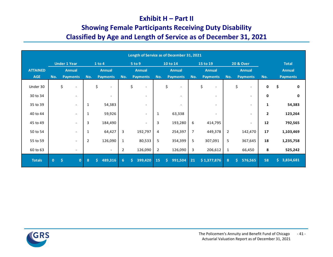#### **Exhibit H – Part II**

## **Showing Female Participants Receiving Duty Disability Classified by Age and Length of Service as of December 31, 2021**

|                 |              |                     |                          |                |                                |                | Length of Service as of December 31, 2021 |                |          |                          |                |                          |                |                                |                |                    |
|-----------------|--------------|---------------------|--------------------------|----------------|--------------------------------|----------------|-------------------------------------------|----------------|----------|--------------------------|----------------|--------------------------|----------------|--------------------------------|----------------|--------------------|
|                 |              | <b>Under 1 Year</b> |                          |                | 1 to 4                         |                | 5 to 9                                    |                | 10 to 14 |                          |                | 15 to 19                 |                | <b>20 &amp; Over</b>           |                | <b>Total</b>       |
| <b>ATTAINED</b> |              | <b>Annual</b>       |                          |                | <b>Annual</b>                  |                | <b>Annual</b>                             |                |          | <b>Annual</b>            |                | <b>Annual</b>            |                | <b>Annual</b>                  |                | <b>Annual</b>      |
| <b>AGE</b>      | No.          | <b>Payments</b>     |                          | No.            | <b>Payments</b>                | No.            | <b>Payments</b>                           | No.            |          | <b>Payments</b>          | No.            | <b>Payments</b>          | No.            | <b>Payments</b>                | No.            | <b>Payments</b>    |
| Under 30        |              | \$                  | $\overline{\phantom{a}}$ |                | \$<br>$\overline{\phantom{a}}$ |                | \$                                        |                | \$       | $\overline{\phantom{a}}$ |                | \$                       |                | \$<br>$\overline{\phantom{a}}$ | $\mathbf 0$    | \$<br>$\mathbf{0}$ |
| 30 to 34        |              |                     | $\overline{\phantom{a}}$ |                |                                |                |                                           |                |          | $\overline{\phantom{0}}$ |                |                          |                | $\overline{\phantom{a}}$       | $\mathbf{0}$   | $\mathbf{0}$       |
| 35 to 39        |              |                     | $\overline{\phantom{a}}$ | 1              | 54,383                         |                |                                           |                |          |                          |                |                          |                | $\overline{\phantom{a}}$       | 1              | 54,383             |
| 40 to 44        |              |                     | $\overline{\phantom{a}}$ | 1              | 59,926                         |                | $\overline{\phantom{a}}$                  | 1              |          | 63,338                   |                | $\overline{\phantom{0}}$ |                | $\overline{\phantom{a}}$       | $\overline{2}$ | 123,264            |
| 45 to 49        |              |                     | $\overline{\phantom{a}}$ | 3              | 184,490                        |                | $\overline{\phantom{a}}$                  | 3              |          | 193,280                  | 6              | 414,795                  |                | $\overline{\phantom{a}}$       | 12             | 792,565            |
| 50 to 54        |              |                     | $\overline{\phantom{a}}$ | 1              | 64,427                         | 3              | 192,797                                   | 4              |          | 254,397                  | $\overline{7}$ | 449,378                  | $\overline{2}$ | 142,470                        | 17             | 1,103,469          |
| 55 to 59        |              |                     | $\overline{\phantom{a}}$ | $\overline{2}$ | 126,090                        | 1              | 80,533                                    | 5              |          | 354,399                  | 5              | 307,091                  | 5              | 367,645                        | 18             | 1,235,758          |
| 60 to 63        |              |                     | $\overline{\phantom{a}}$ |                | $\overline{\phantom{a}}$       | $\overline{2}$ | 126,090                                   | $\overline{2}$ |          | 126,090                  | 3              | 206,612                  | 1              | 66,450                         | 8              | 525,242            |
| <b>Totals</b>   | $\mathbf{0}$ | $\frac{1}{2}$       | $\mathbf{0}$             | 8              | 489,316<br>Ś.                  | 6              | 399,420<br>Ś.                             | 15             | Ŝ.       | 991,504                  | 21             | \$1,377,876              | 8              | Ś<br>576,565                   | 58             | \$.<br>3,834,681   |

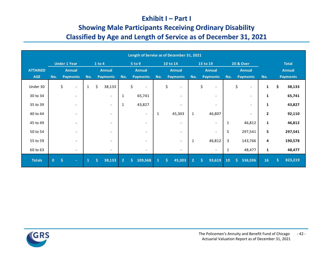#### **Exhibit I – Part I**

## **Showing Male Participants Receiving Ordinary Disability Classified by Age and Length of Service as of December 31, 2021**

|                 |              |               |                              |              |        |                          |                | Length of Service as of December 31, 2021 |              |    |                          |                |                         |                          |              |                                |                |                 |
|-----------------|--------------|---------------|------------------------------|--------------|--------|--------------------------|----------------|-------------------------------------------|--------------|----|--------------------------|----------------|-------------------------|--------------------------|--------------|--------------------------------|----------------|-----------------|
|                 |              |               | <b>Under 1 Year</b>          |              | 1 to 4 |                          |                | 5 to 9                                    |              |    | 10 to 14                 |                |                         | 15 to 19                 |              | <b>20 &amp; Over</b>           |                | <b>Total</b>    |
| <b>ATTAINED</b> |              |               | <b>Annual</b>                |              |        | <b>Annual</b>            |                | <b>Annual</b>                             |              |    | <b>Annual</b>            |                |                         | <b>Annual</b>            |              | <b>Annual</b>                  |                | <b>Annual</b>   |
| <b>AGE</b>      | No.          |               | <b>Payments</b>              | No.          |        | <b>Payments</b>          | No.            | <b>Payments</b>                           | No.          |    | <b>Payments</b>          | No.            |                         | <b>Payments</b>          | No.          | <b>Payments</b>                | No.            | <b>Payments</b> |
| Under 30        |              | \$            | $\overline{\phantom{a}}$     | $\mathbf{1}$ | \$     | 38,133                   |                | \$<br>$\overline{\phantom{a}}$            |              | \$ | $\overline{\phantom{a}}$ |                | \$                      | $\overline{\phantom{a}}$ |              | \$<br>$\overline{\phantom{a}}$ | $\mathbf{1}$   | \$<br>38,133    |
| 30 to 34        |              |               | $\overline{\phantom{a}}$     |              |        | $\overline{\phantom{a}}$ | 1              | 65,741                                    |              |    | $\overline{\phantom{a}}$ |                |                         | $\overline{\phantom{0}}$ |              | $\overline{\phantom{a}}$       | $\mathbf{1}$   | 65,741          |
| 35 to 39        |              |               | $\qquad \qquad \blacksquare$ |              |        | $\overline{\phantom{a}}$ | 1              | 43,827                                    |              |    |                          |                |                         |                          |              | $\overline{\phantom{a}}$       | $\mathbf{1}$   | 43,827          |
| 40 to 44        |              |               | $\overline{\phantom{a}}$     |              |        | $\qquad \qquad -$        |                | $\overline{\phantom{0}}$                  | 1            |    | 45,303                   | 1              |                         | 46,807                   |              | $\overline{\phantom{a}}$       | $\overline{2}$ | 92,110          |
| 45 to 49        |              |               | $\overline{\phantom{a}}$     |              |        | $\overline{\phantom{a}}$ |                | $\overline{\phantom{a}}$                  |              |    | $\overline{\phantom{a}}$ |                |                         | $\overline{\phantom{a}}$ | 1            | 46,812                         | $\mathbf{1}$   | 46,812          |
| 50 to 54        |              |               | $\overline{\phantom{a}}$     |              |        |                          |                |                                           |              |    | $\overline{\phantom{a}}$ |                |                         | $\overline{\phantom{a}}$ | 5            | 297,541                        | 5              | 297,541         |
| 55 to 59        |              |               | $\overline{\phantom{a}}$     |              |        |                          |                |                                           |              |    | $\overline{\phantom{a}}$ | 1              |                         | 46,812                   | 3            | 143,766                        | 4              | 190,578         |
| 60 to 63        |              |               | $\overline{\phantom{a}}$     |              |        | $\overline{\phantom{a}}$ |                | $\overline{\phantom{a}}$                  |              |    | $\overline{\phantom{a}}$ |                |                         | $\overline{\phantom{a}}$ | $\mathbf{1}$ | 48,477                         | 1              | 48,477          |
| <b>Totals</b>   | $\mathbf{0}$ | $\frac{1}{2}$ | $\sim$                       | $\mathbf{1}$ | Ŝ.     | 38,133                   | 2 <sup>1</sup> | 109,568<br>\$.                            | $\mathbf{1}$ | Ŝ. | 45,303                   | $\overline{2}$ | $\overline{\mathsf{S}}$ | 93,619                   | 10           | Ś.<br>536,596                  | 16             | \$<br>823,219   |

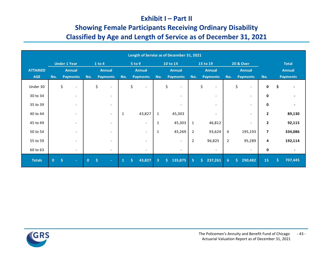### **Exhibit I – Part II**

# **Showing Female Participants Receiving Ordinary Disability Classified by Age and Length of Service as of December 31, 2021**

|                 |              |                     |                          |              |        |                          |              |        |                          |                |    | Length of Service as of December 31, 2021 |                |          |                          |                |                                |                |    |                 |
|-----------------|--------------|---------------------|--------------------------|--------------|--------|--------------------------|--------------|--------|--------------------------|----------------|----|-------------------------------------------|----------------|----------|--------------------------|----------------|--------------------------------|----------------|----|-----------------|
|                 |              | <b>Under 1 Year</b> |                          |              | 1 to 4 |                          |              | 5 to 9 |                          |                |    | 10 to 14                                  |                | 15 to 19 |                          |                | <b>20 &amp; Over</b>           |                |    | <b>Total</b>    |
| <b>ATTAINED</b> |              |                     | <b>Annual</b>            |              |        | <b>Annual</b>            |              |        | <b>Annual</b>            |                |    | <b>Annual</b>                             |                |          | <b>Annual</b>            |                | <b>Annual</b>                  |                |    | <b>Annual</b>   |
| <b>AGE</b>      | No.          |                     | <b>Payments</b>          | No.          |        | <b>Payments</b>          | No.          |        | <b>Payments</b>          | No.            |    | <b>Payments</b>                           | No.            |          | <b>Payments</b>          | No.            | <b>Payments</b>                | No.            |    | <b>Payments</b> |
| Under 30        |              | \$                  | $\overline{\phantom{a}}$ |              | \$     |                          |              | \$     |                          |                | \$ | $\overline{\phantom{0}}$                  |                | \$       |                          |                | \$<br>$\overline{\phantom{a}}$ | 0              | \$ |                 |
| 30 to 34        |              |                     | $\overline{\phantom{a}}$ |              |        |                          |              |        |                          |                |    | $\overline{\phantom{0}}$                  |                |          | $\overline{\phantom{a}}$ |                | $\overline{\phantom{a}}$       | $\mathbf{0}$   |    |                 |
| 35 to 39        |              |                     | $\overline{\phantom{a}}$ |              |        | $\overline{\phantom{a}}$ |              |        |                          |                |    |                                           |                |          |                          |                | $\overline{\phantom{a}}$       | $\mathbf{0}$   |    |                 |
| 40 to 44        |              |                     | $\overline{\phantom{a}}$ |              |        | $\overline{\phantom{a}}$ | 1            |        | 43,827                   | $\mathbf{1}$   |    | 45,303                                    |                |          | $\overline{\phantom{a}}$ |                | $\overline{\phantom{a}}$       | $\overline{2}$ |    | 89,130          |
| 45 to 49        |              |                     | $\overline{\phantom{a}}$ |              |        | $\overline{\phantom{a}}$ |              |        | $\overline{\phantom{a}}$ | 1              |    | 45,303                                    | $\mathbf{1}$   |          | 46,812                   |                | $\overline{\phantom{a}}$       | $\overline{2}$ |    | 92,115          |
| 50 to 54        |              |                     | $\overline{\phantom{a}}$ |              |        |                          |              |        | $\overline{\phantom{0}}$ | 1              |    | 45,269                                    | $\overline{2}$ |          | 93,624                   | 4              | 195,193                        | $\overline{7}$ |    | 334,086         |
| 55 to 59        |              |                     | $\overline{\phantom{a}}$ |              |        |                          |              |        | $\overline{\phantom{0}}$ |                |    | $\overline{\phantom{0}}$                  | $\overline{2}$ |          | 96,825                   | $\mathbf 2$    | 95,289                         | 4              |    | 192,114         |
| 60 to 63        |              |                     | $\overline{\phantom{a}}$ |              |        | $\overline{\phantom{a}}$ |              |        | $\overline{\phantom{a}}$ |                |    | $\overline{\phantom{a}}$                  |                |          | $\overline{\phantom{a}}$ |                | $\overline{\phantom{a}}$       | 0              |    | $\blacksquare$  |
| <b>Totals</b>   | $\mathbf{0}$ | $\hat{\mathsf{S}}$  | $\sim$                   | $\mathbf{0}$ | Ŝ.     | $\sim$                   | $\mathbf{1}$ | Ś.     | 43,827                   | $\overline{3}$ | Ŝ. | 135,875                                   | 5              | Š.       | 237,261                  | 6 <sup>1</sup> | Ś.<br>290,482                  | 15             | Ŝ. | 707,445         |

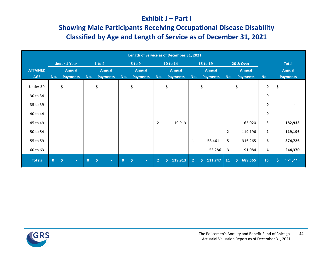#### **Exhibit J – Part I**

# **Showing Male Participants Receiving Occupational Disease Disability Classified by Age and Length of Service as of December 31, 2021**

|                 |              |                     |                              |              |        |                          |              |        |                          |                |    | Length of Service as of December 31, 2021 |                |                                |     |    |                          |                |    |                 |
|-----------------|--------------|---------------------|------------------------------|--------------|--------|--------------------------|--------------|--------|--------------------------|----------------|----|-------------------------------------------|----------------|--------------------------------|-----|----|--------------------------|----------------|----|-----------------|
|                 |              | <b>Under 1 Year</b> |                              |              | 1 to 4 |                          |              | 5 to 9 |                          |                |    | 10 to 14                                  |                | 15 to 19                       |     |    | <b>20 &amp; Over</b>     |                |    | <b>Total</b>    |
| <b>ATTAINED</b> |              |                     | <b>Annual</b>                |              |        | <b>Annual</b>            |              |        | <b>Annual</b>            |                |    | <b>Annual</b>                             |                | <b>Annual</b>                  |     |    | <b>Annual</b>            |                |    | <b>Annual</b>   |
| <b>AGE</b>      | No.          |                     | <b>Payments</b>              | No.          |        | <b>Payments</b>          | No.          |        | <b>Payments</b>          | No.            |    | <b>Payments</b>                           | No.            | <b>Payments</b>                | No. |    | <b>Payments</b>          | No.            |    | <b>Payments</b> |
| Under 30        |              | \$                  | $\overline{\phantom{a}}$     |              | \$     | $\overline{\phantom{0}}$ |              | \$     |                          |                | \$ |                                           |                | \$<br>$\overline{\phantom{a}}$ |     | \$ | $\overline{\phantom{a}}$ | 0              | \$ |                 |
| 30 to 34        |              |                     | $\overline{\phantom{a}}$     |              |        | $\overline{\phantom{a}}$ |              |        |                          |                |    | $\qquad \qquad \blacksquare$              |                | $\overline{\phantom{a}}$       |     |    | $\overline{\phantom{a}}$ | $\mathbf{0}$   |    |                 |
| 35 to 39        |              |                     | $\overline{\phantom{a}}$     |              |        |                          |              |        |                          |                |    |                                           |                |                                |     |    |                          | $\mathbf{0}$   |    |                 |
| 40 to 44        |              |                     | $\overline{\phantom{a}}$     |              |        | $\overline{\phantom{0}}$ |              |        |                          |                |    |                                           |                | $\overline{\phantom{a}}$       |     |    | $\overline{\phantom{a}}$ | $\mathbf 0$    |    |                 |
| 45 to 49        |              |                     | $\overline{\phantom{a}}$     |              |        | $\overline{\phantom{a}}$ |              |        | $\overline{\phantom{a}}$ | $\overline{2}$ |    | 119,913                                   |                | $\overline{\phantom{a}}$       | 1   |    | 63,020                   | 3              |    | 182,933         |
| 50 to 54        |              |                     | $\overline{\phantom{a}}$     |              |        |                          |              |        |                          |                |    | $\overline{\phantom{a}}$                  |                | $\overline{\phantom{a}}$       | 2   |    | 119,196                  | $\overline{2}$ |    | 119,196         |
| 55 to 59        |              |                     | $\qquad \qquad \blacksquare$ |              |        |                          |              |        |                          |                |    | $\overline{\phantom{0}}$                  | 1              | 58,461                         | 5   |    | 316,265                  | 6              |    | 374,726         |
| 60 to 63        |              |                     | $\overline{\phantom{a}}$     |              |        | $\overline{\phantom{a}}$ |              |        |                          |                |    | $\overline{\phantom{a}}$                  | 1              | 53,286                         | 3   |    | 191,084                  | 4              |    | 244,370         |
| <b>Totals</b>   | $\mathbf{0}$ | $\mathsf{S}$        | $\sim$                       | $\mathbf{0}$ | Ŝ.     | $\sim$                   | $\mathbf{0}$ | Ś      |                          | $\overline{2}$ | Ś. | 119,913                                   | $\overline{2}$ | Š.<br>111,747                  | 11  | Š. | 689,565                  | 15             | Š. | 921,225         |

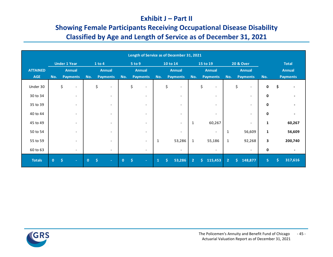#### **Exhibit J – Part II**

# **Showing Female Participants Receiving Occupational Disease Disability Classified by Age and Length of Service as of December 31, 2021**

|                 |              |                     |                              |              |        |                          |              |               |                          |              |          | Length of Service as of December 31, 2021 |                |          |                          |                |                                |                |              |                 |
|-----------------|--------------|---------------------|------------------------------|--------------|--------|--------------------------|--------------|---------------|--------------------------|--------------|----------|-------------------------------------------|----------------|----------|--------------------------|----------------|--------------------------------|----------------|--------------|-----------------|
|                 |              | <b>Under 1 Year</b> |                              |              | 1 to 4 |                          |              | 5 to 9        |                          |              | 10 to 14 |                                           |                | 15 to 19 |                          |                | <b>20 &amp; Over</b>           |                |              | <b>Total</b>    |
| <b>ATTAINED</b> |              |                     | <b>Annual</b>                |              |        | <b>Annual</b>            |              | <b>Annual</b> |                          |              |          | <b>Annual</b>                             |                |          | <b>Annual</b>            |                | <b>Annual</b>                  |                |              | <b>Annual</b>   |
| <b>AGE</b>      | No.          |                     | <b>Payments</b>              | No.          |        | <b>Payments</b>          | No.          |               | <b>Payments</b>          | No.          |          | <b>Payments</b>                           | No.            |          | <b>Payments</b>          | No.            | <b>Payments</b>                | No.            |              | <b>Payments</b> |
| Under 30        |              | \$                  | $\overline{\phantom{a}}$     |              | \$     | $\overline{\phantom{0}}$ |              | \$            |                          |              | \$       |                                           |                | \$       | $\overline{\phantom{0}}$ |                | \$<br>$\overline{\phantom{a}}$ | $\mathbf 0$    | \$           |                 |
| 30 to 34        |              |                     | $\overline{\phantom{a}}$     |              |        |                          |              |               |                          |              |          | $\qquad \qquad \blacksquare$              |                |          |                          |                | $\overline{\phantom{a}}$       | $\mathbf{0}$   |              |                 |
| 35 to 39        |              |                     | $\overline{\phantom{a}}$     |              |        |                          |              |               |                          |              |          |                                           |                |          |                          |                | $\qquad \qquad \blacksquare$   | $\mathbf{0}$   |              |                 |
| 40 to 44        |              |                     | $\overline{\phantom{a}}$     |              |        | $\overline{\phantom{0}}$ |              |               |                          |              |          | $\overline{\phantom{a}}$                  |                |          | $\overline{\phantom{a}}$ |                | $\overline{\phantom{a}}$       | $\mathbf 0$    |              |                 |
| 45 to 49        |              |                     | $\overline{\phantom{a}}$     |              |        | $\overline{\phantom{0}}$ |              |               |                          |              |          | $\overline{\phantom{0}}$                  | 1              |          | 60,267                   |                | $\overline{\phantom{a}}$       | $\mathbf{1}$   |              | 60,267          |
| 50 to 54        |              |                     | $\qquad \qquad \blacksquare$ |              |        | $\overline{\phantom{0}}$ |              |               |                          |              |          | $\overline{\phantom{a}}$                  |                |          | $\overline{\phantom{a}}$ | 1              | 56,609                         | $\mathbf{1}$   |              | 56,609          |
| 55 to 59        |              |                     | $\qquad \qquad \blacksquare$ |              |        |                          |              |               | $\overline{\phantom{0}}$ | 1            |          | 53,286                                    | 1              |          | 55,186                   | $\mathbf{1}$   | 92,268                         | 3              |              | 200,740         |
| 60 to 63        |              |                     | $\overline{\phantom{a}}$     |              |        | $\overline{\phantom{a}}$ |              |               | $\overline{\phantom{a}}$ |              |          | $\overline{\phantom{a}}$                  |                |          | $\overline{\phantom{a}}$ |                | $\overline{\phantom{a}}$       | 0              |              |                 |
| <b>Totals</b>   | $\mathbf{0}$ | $\mathsf{S}$        | $\sim$                       | $\mathbf{0}$ | Ŝ.     | $\sim$                   | $\mathbf{0}$ | Ś             |                          | $\mathbf{1}$ | Ŝ.       | 53,286                                    | $\overline{2}$ | Ś.       | 115,453                  | $\overline{2}$ | Š.<br>148,877                  | 5 <sup>7</sup> | $\mathsf{S}$ | 317,616         |

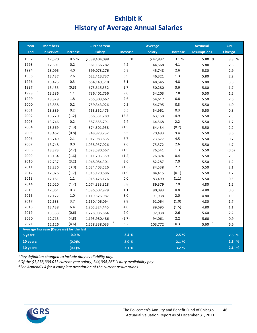# **Exhibit K History of Average Annual Salaries**

| Year      | <b>Members</b>                           |                 | <b>Current Year</b> |                         | Average       |                 | <b>Actuarial</b>              | <b>CPI</b> |
|-----------|------------------------------------------|-----------------|---------------------|-------------------------|---------------|-----------------|-------------------------------|------------|
| End       | in Service                               | <b>Increase</b> | <b>Salary</b>       | <b>Increase</b>         | <b>Salary</b> | <b>Increase</b> | <b>Assumptions</b>            | Chicago    |
| 1992      | 12,570                                   | 0.5 %           | \$538,404,098       | 3.5 %                   | \$42,832      | 3.1 %           | 5.80 %                        | 3.3 %      |
| 1993      | 12,591                                   | 0.2             | 561,156,282         | 4.2                     | 44,568        | $4.1\,$         | 5.80                          | 2.3        |
| 1994      | 13,095                                   | 4.0             | 599,073,276         | 6.8                     | 45,748        | 2.6             | 5.80                          | 2.9        |
| 1995      | 13,437                                   | 2.6             | 622,413,737         | 3.9                     | 46,321        | 1.3             | 5.80                          | 2.2        |
| 1996      | 13,475                                   | 0.3             | 654,149,310         | 5.1                     | 48,545        | 4.8             | 5.80                          | 3.8        |
| 1997      | 13,435                                   | (0.3)           | 675,515,532         | 3.7                     | 50,280        | 3.6             | 5.80                          | 1.7        |
| 1998      | 13,586                                   | 1.1             | 736,401,756         | 9.0                     | 54,203        | 7.8             | 5.50                          | 1.5        |
| 1999      | 13,829                                   | $1.8\,$         | 755,303,667         | 2.6                     | 54,617        | 0.8             | 5.50                          | $2.6\,$    |
| 2000      | 13,858                                   | 0.2             | 759,343,026         | 0.5                     | 54,795        | 0.3             | 5.50                          | $4.0\,$    |
| 2001      | 13,889                                   | 0.2             | 763,352,475         | 0.5                     | 54,961        | 0.3             | 5.50                          | 0.8        |
| 2002      | 13,720                                   | (1.2)           | 866,531,789         | 13.5                    | 63,158        | 14.9            | 5.50                          | 2.5        |
| 2003      | 13,746                                   | 0.2             | 887,555,791         | $2.4\,$                 | 64,568        | 2.2             | 5.50                          | 1.7        |
| 2004      | 13,569                                   | (1.3)           | 874,301,958         | (1.5)                   | 64,434        | (0.2)           | 5.50                          | 2.2        |
| 2005      | 13,462                                   | (0.8)           | 948, 973, 732       | 8.5                     | 70,493        | 9.4             | 5.50                          | 3.6        |
| 2006      | 13,749                                   | 2.1             | 1,012,983,635       | 6.7                     | 73,677        | 4.5             | 5.50                          | 0.7        |
| 2007      | 13,748                                   | $0.0\,$         | 1,038,957,026       | 2.6                     | 75,572        | 2.6             | 5.50                          | 4.7        |
| 2008      | 13,373                                   | (2.7)           | 1,023,580,667       | (1.5)                   | 76,541        | 1.3             | 5.50                          | (0.6)      |
| 2009      | 13,154                                   | (1.6)           | 1,011,205,359       | (1.2)                   | 76,874        | 0.4             | 5.50                          | 2.5        |
| 2010      | 12,737                                   | (3.2)           | 1,048,084,301       | 3.6                     | 82,287        | 7.0             | 5.50                          | $1.2\,$    |
| 2011      | 12,236                                   | (3.9)           | 1,034,403,526       | (1.3)                   | 84,538        | 2.7             | 5.50                          | 2.1        |
| 2012      | 12,026                                   | (1.7)           | 1,015,170,686       | (1.9)                   | 84,415        | (0.1)           | 5.50                          | $1.7$      |
| 2013      | 12,161                                   | 1.1             | 1,015,426,126       | $0.0\,$                 | 83,499        | (1.1)           | 5.50                          | 0.5        |
| 2014      | 12,020                                   | (1.2)           | 1,074,333,318       | 5.8                     | 89,379        | 7.0             | 4.80                          | 1.5        |
| 2015      | 12,061                                   | 0.3             | 1,086,607,979       | 1.1                     | 90,093        | $0.8\,$         | 4.80                          | $0.0\,$    |
| 2016      | 12,177                                   | 1.0             | 1,119,526,987       | 3.0                     | 91,938        | 2.0             | 4.80                          | 1.9        |
| 2017      | 12,633                                   | 3.7             | 1,150,406,094       | 2.8                     | 91,064        | (1.0)           | 4.80                          | 1.7        |
| 2018      | 13,438                                   | 6.4             | 1,205,324,445       | 4.8                     | 89,695        | (1.5)           | 4.80                          | 1.1        |
| 2019      | 13,353                                   | (0.6)           | 1,228,986,864       | 2.0                     | 92,038        | 2.6             | 5.60                          | 2.2        |
| 2020      | 12,715                                   | (4.8)           | 1,195,980,486       | (2.7)                   | 94,061        | $2.2\,$         | 5.60                          | 0.9        |
| 2021      | 12,126                                   | (4.6)           | 1,258,338,033       | $\overline{a}$<br>$5.2$ | 103,772       | 10.3            | $\frac{5.60}{ }$ <sup>3</sup> | 6.6        |
|           | Average Increase (Decrease) for the last |                 |                     |                         |               |                 |                               |            |
| 5 years:  |                                          | 0.0%            |                     | 2.4%                    |               | 2.5 %           |                               | 2.5%       |
| 10 years: |                                          | (0.0)%          |                     | 2.0%                    |               | 2.1%            |                               | 1.8 %      |
| 30 years: |                                          | (0.1)%          |                     | 3.1%                    |               | 3.2 %           |                               | 2.1%       |

*<sup>1</sup> Pay definition changed to include duty availability pay.*

*2 Of the \$1,258,338,033 current year salary, \$44,398,265 is duty availability pay.*

*3 See Appendix 4 for a complete description of the current assumptions.*

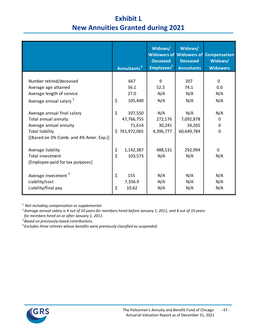# **Exhibit L New Annuities Granted during 2021**

|                                                                                                         | Annuitants <sup>4</sup>                                     | Widows/<br><b>Deceased</b><br>Employees <sup>1</sup> | Widows/<br><b>Deceased</b><br><b>Annuitants</b> | <b>Widowers of Widowers of Compensation</b><br>Widows/<br><b>Widowers</b> |
|---------------------------------------------------------------------------------------------------------|-------------------------------------------------------------|------------------------------------------------------|-------------------------------------------------|---------------------------------------------------------------------------|
| Number retired/deceased<br>Average age attained                                                         | 667<br>56.1                                                 | 9<br>52.3                                            | 207<br>74.1                                     | 0<br>0.0                                                                  |
| Average length of service<br>Average annual salary <sup>2</sup>                                         | 27.0<br>\$<br>105,440                                       | N/A<br>N/A                                           | N/A<br>N/A                                      | N/A<br>N/A                                                                |
| Average annual final salary<br>Total annual annuity<br>Average annual annuity<br><b>Total liability</b> | $\zeta$<br>107,550<br>47,766,755<br>71,614<br>\$761,972,065 | N/A<br>272,176<br>30,241<br>4,396,777                | N/A<br>7,092,878<br>34,265<br>60,649,784        | N/A<br>0<br>0<br>$\mathbf 0$                                              |
| [(Based on 3% Comb. and 4% Amer. Exp.)]<br>Average liability                                            | \$<br>1,142,387                                             | 488,531                                              | 292,994                                         | 0                                                                         |
| Total investment<br>[Employee-paid for tax purposes]                                                    | \$<br>103,573                                               | N/A                                                  | N/A                                             | N/A                                                                       |
| Average investment <sup>3</sup><br>Liability/cost<br>Liability/final pay                                | \$<br>155<br>7,356.9<br>\$<br>10.62                         | N/A<br>N/A<br>N/A                                    | N/A<br>N/A<br>N/A                               | N/A<br>N/A<br>N/A                                                         |

*<sup>1</sup> Not including compensation or supplemental.* 

*2 Average annual salary is 4 out of 10 years for members hired before January 1, 2011, and 8 out of 10 years for members hired on or after January 1, 2011.*

*3Based on previously-taxed contributions.*

*<sup>4</sup> Excludes three retirees whose benefits were previously classified as suspended.*

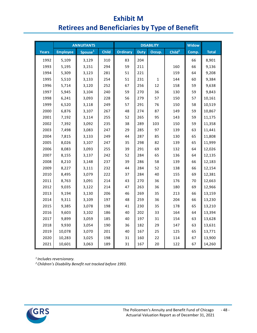# **Exhibit M Retirees and Beneficiaries by Type of Benefit**

|       |                 | <b>ANNUITANTS</b>   |              |                 |      | <b>DISABILITY</b> |                    | <b>Widow</b> |              |
|-------|-----------------|---------------------|--------------|-----------------|------|-------------------|--------------------|--------------|--------------|
| Years | <b>Employee</b> | Spouse <sup>1</sup> | <b>Child</b> | <b>Ordinary</b> | Duty | Occup.            | Child <sup>2</sup> | Comp.        | <b>Total</b> |
| 1992  | 5,109           | 3,129               | 310          | 83              | 204  |                   |                    | 66           | 8,901        |
| 1993  | 5,195           | 3,151               | 294          | 59              | 211  |                   | 160                | 66           | 9,136        |
| 1994  | 5,309           | 3,123               | 281          | 51              | 221  |                   | 159                | 64           | 9,208        |
| 1995  | 5,510           | 3,133               | 254          | 51              | 231  | 1                 | 144                | 60           | 9,384        |
| 1996  | 5,714           | 3,120               | 252          | 67              | 256  | 12                | 158                | 59           | 9,638        |
| 1997  | 5,945           | 3,104               | 240          | 59              | 270  | 36                | 130                | 59           | 9,843        |
| 1998  | 6,241           | 3,093               | 228          | 56              | 279  | 57                | 150                | 57           | 10,161       |
| 1999  | 6,520           | 3,118               | 249          | 57              | 291  | 76                | 150                | 58           | 10,519       |
| 2000  | 6,876           | 3,107               | 267          | 48              | 274  | 87                | 149                | 59           | 10,867       |
| 2001  | 7,192           | 3,114               | 255          | 52              | 265  | 95                | 143                | 59           | 11,175       |
| 2002  | 7,392           | 3,092               | 235          | 38              | 289  | 103               | 150                | 59           | 11,358       |
| 2003  | 7,498           | 3,083               | 247          | 29              | 285  | 97                | 139                | 63           | 11,441       |
| 2004  | 7,815           | 3,133               | 249          | 44              | 287  | 85                | 130                | 65           | 11,808       |
| 2005  | 8,026           | 3,107               | 247          | 35              | 298  | 82                | 139                | 65           | 11,999       |
| 2006  | 8,083           | 3,093               | 255          | 39              | 291  | 69                | 132                | 64           | 12,026       |
| 2007  | 8,155           | 3,137               | 242          | 52              | 284  | 65                | 136                | 64           | 12,135       |
| 2008  | 8,210           | 3,148               | 237          | 39              | 286  | 58                | 139                | 66           | 12,183       |
| 2009  | 8,227           | 3,111               | 232          | 44              | 284  | 52                | 138                | 66           | 12,154       |
| 2010  | 8,495           | 3,079               | 222          | 37              | 284  | 40                | 155                | 69           | 12,381       |
| 2011  | 8,763           | 3,091               | 214          | 43              | 270  | 36                | 176                | 70           | 12,663       |
| 2012  | 9,035           | 3,122               | 214          | 47              | 263  | 36                | 180                | 69           | 12,966       |
| 2013  | 9,194           | 3,130               | 206          | 46              | 269  | 35                | 213                | 66           | 13,159       |
| 2014  | 9,311           | 3,109               | 197          | 48              | 259  | 36                | 204                | 66           | 13,230       |
| 2015  | 9,385           | 3,078               | 198          | 41              | 230  | 35                | 178                | 65           | 13,210       |
| 2016  | 9,603           | 3,102               | 186          | 40              | 202  | 33                | 164                | 64           | 13,394       |
| 2017  | 9,899           | 3,059               | 185          | 40              | 197  | 31                | 154                | 63           | 13,628       |
| 2018  | 9,930           | 3,054               | 190          | 36              | 182  | 29                | 147                | 63           | 13,631       |
| 2019  | 10,078          | 3,070               | 201          | 40              | 167  | 25                | 125                | 65           | 13,771       |
| 2020  | 10,283          | 3,025               | 198          | 31              | 160  | 22                | 114                | 67           | 13,900       |
| 2021  | 10,601          | 3,063               | 189          | 31              | 167  | 20                | 122                | 67           | 14,260       |

*1 Includes reversionary.*

*2 Children's Disability Benefit not tracked before 1993.*

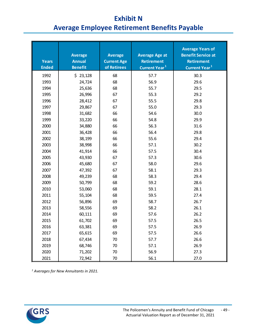# **Exhibit N Average Employee Retirement Benefits Payable**

| <b>Years</b><br><b>Ended</b> | <b>Average</b><br><b>Annual</b><br><b>Benefit</b> | <b>Average</b><br><b>Current Age</b><br>of Retirees | <b>Average Age at</b><br><b>Retirement</b><br>Current Year <sup>1</sup> | <b>Average Years of</b><br><b>Benefit Service at</b><br><b>Retirement</b><br>Current Year <sup>1</sup> |
|------------------------------|---------------------------------------------------|-----------------------------------------------------|-------------------------------------------------------------------------|--------------------------------------------------------------------------------------------------------|
| 1992                         | \$23,128                                          | 68                                                  | 57.7                                                                    | 30.3                                                                                                   |
| 1993                         | 24,724                                            | 68                                                  | 56.9                                                                    | 29.6                                                                                                   |
| 1994                         | 25,636                                            | 68                                                  | 55.7                                                                    | 29.5                                                                                                   |
| 1995                         | 26,996                                            | 67                                                  | 55.3                                                                    | 29.2                                                                                                   |
| 1996                         | 28,412                                            | 67                                                  | 55.5                                                                    | 29.8                                                                                                   |
| 1997                         | 29,867                                            | 67                                                  | 55.0                                                                    | 29.3                                                                                                   |
| 1998                         | 31,682                                            | 66                                                  | 54.6                                                                    | 30.0                                                                                                   |
| 1999                         | 33,220                                            | 66                                                  | 54.8                                                                    | 29.9                                                                                                   |
| 2000                         | 34,880                                            | 66                                                  | 56.3                                                                    | 31.6                                                                                                   |
| 2001                         | 36,428                                            | 66                                                  | 56.4                                                                    | 29.8                                                                                                   |
| 2002                         | 38,199                                            | 66                                                  | 55.6                                                                    | 29.4                                                                                                   |
| 2003                         | 38,998                                            | 66                                                  | 57.1                                                                    | 30.2                                                                                                   |
| 2004                         | 41,914                                            | 66                                                  | 57.5                                                                    | 30.4                                                                                                   |
| 2005                         | 43,930                                            | 67                                                  | 57.3                                                                    | 30.6                                                                                                   |
| 2006                         | 45,680                                            | 67                                                  | 58.0                                                                    | 29.6                                                                                                   |
| 2007                         | 47,392                                            | 67                                                  | 58.1                                                                    | 29.3                                                                                                   |
| 2008                         | 49,239                                            | 68                                                  | 58.3                                                                    | 29.4                                                                                                   |
| 2009                         | 50,799                                            | 68                                                  | 59.2                                                                    | 28.6                                                                                                   |
| 2010                         | 53,060                                            | 68                                                  | 59.1                                                                    | 28.1                                                                                                   |
| 2011                         | 55,104                                            | 68                                                  | 59.5                                                                    | 27.4                                                                                                   |
| 2012                         | 56,896                                            | 69                                                  | 58.7                                                                    | 26.7                                                                                                   |
| 2013                         | 58,556                                            | 69                                                  | 58.2                                                                    | 26.1                                                                                                   |
| 2014                         | 60,111                                            | 69                                                  | 57.6                                                                    | 26.2                                                                                                   |
| 2015                         | 61,702                                            | 69                                                  | 57.5                                                                    | 26.5                                                                                                   |
| 2016                         | 63,381                                            | 69                                                  | 57.5                                                                    | 26.9                                                                                                   |
| 2017                         | 65,615                                            | 69                                                  | 57.5                                                                    | 26.6                                                                                                   |
| 2018                         | 67,434                                            | 70                                                  | 57.7                                                                    | 26.6                                                                                                   |
| 2019                         | 68,746                                            | 70                                                  | 57.1                                                                    | 26.9                                                                                                   |
| 2020                         | 71,202                                            | 70                                                  | 56.9                                                                    | 27.3                                                                                                   |
| 2021                         | 72,942                                            | $70\,$                                              | 56.1                                                                    | 27.0                                                                                                   |

*<sup>1</sup> Averages for New Annuitants in 2021.*

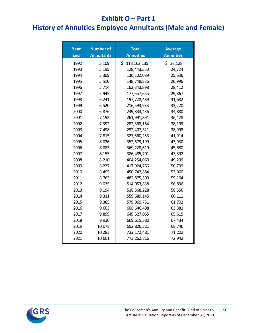### **Exhibit O – Part 1**

# **History of Annuities Employee Annuitants (Male and Female)**

| Year<br><b>End</b> | <b>Number of</b><br><b>Annuitants</b> | <b>Total</b><br><b>Annuities</b> | <b>Average</b><br><b>Annuities</b> |
|--------------------|---------------------------------------|----------------------------------|------------------------------------|
| 1992               | 5,109                                 | \$<br>118, 162, 135              | \$23,128                           |
| 1993               | 5,195                                 | 128,443,550                      | 24,724                             |
| 1994               | 5,309                                 | 136, 102, 089                    | 25,636                             |
| 1995               | 5,510                                 | 148,748,836                      | 26,996                             |
| 1996               | 5,714                                 | 162,343,898                      | 28,412                             |
| 1997               | 5,945                                 | 177,557,655                      | 29,867                             |
| 1998               | 6,241                                 | 197,728,489                      | 31,682                             |
| 1999               | 6,520                                 | 216,593,933                      | 33,220                             |
| 2000               | 6,876                                 | 239,833,436                      | 34,880                             |
| 2001               | 7,192                                 | 261,991,891                      | 36,428                             |
| 2002               | 7,392                                 | 282,368,164                      | 38,199                             |
| 2003               | 7,498                                 | 292,407,321                      | 38,998                             |
| 2004               | 7,815                                 | 327,560,253                      | 41,914                             |
| 2005               | 8,026                                 | 352,579,199                      | 43,930                             |
| 2006               | 8,083                                 | 369,228,619                      | 45,680                             |
| 2007               | 8,155                                 | 386,485,701                      | 47,392                             |
| 2008               | 8,210                                 | 404,254,060                      | 49,239                             |
| 2009               | 8,227                                 | 417,924,766                      | 50,799                             |
| 2010               | 8,495                                 | 450,742,884                      | 53,060                             |
| 2011               | 8,763                                 | 482,875,300                      | 55,104                             |
| 2012               | 9,035                                 | 514,053,838                      | 56,896                             |
| 2013               | 9,194                                 | 538,368,228                      | 58,556                             |
| 2014               | 9,311                                 | 559,689,145                      | 60,111                             |
| 2015               | 9,385                                 | 579,069,731                      | 61,702                             |
| 2016               | 9,603                                 | 608,646,498                      | 63,381                             |
| 2017               | 9,899                                 | 649,527,055                      | 65,615                             |
| 2018               | 9,930                                 | 669,615,380                      | 67,434                             |
| 2019               | 10,078                                | 692,826,321                      | 68,746                             |
| 2020               | 10,283                                | 732,172,481                      | 71,202                             |
| 2021               | 10,601                                | 773,262,816                      | 72,942                             |

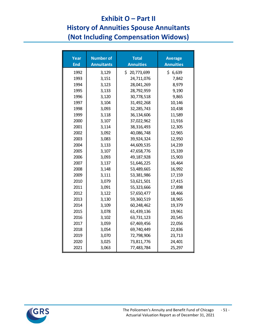# **Exhibit O – Part II History of Annuities Spouse Annuitants**

**(Not Including Compensation Widows)**

| Year<br><b>End</b> | <b>Number of</b><br><b>Annuitants</b> | <b>Total</b><br><b>Annuities</b> | <b>Average</b><br><b>Annuities</b> |
|--------------------|---------------------------------------|----------------------------------|------------------------------------|
| 1992               | 3,129                                 | \$20,773,699                     | \$6,639                            |
| 1993               | 3,151                                 | 24,711,076                       | 7,842                              |
| 1994               | 3,123                                 | 28,041,269                       | 8,979                              |
| 1995               | 3,133                                 | 28,792,959                       | 9,190                              |
| 1996               | 3,120                                 | 30,778,518                       | 9,865                              |
| 1997               | 3,104                                 | 31,492,268                       | 10,146                             |
| 1998               | 3,093                                 | 32,285,743                       | 10,438                             |
| 1999               | 3,118                                 | 36,134,606                       | 11,589                             |
| 2000               | 3,107                                 | 37,022,962                       | 11,916                             |
| 2001               | 3,114                                 | 38,316,493                       | 12,305                             |
| 2002               | 3,092                                 | 40,086,748                       | 12,965                             |
| 2003               | 3,083                                 | 39,924,324                       | 12,950                             |
| 2004               | 3,133                                 | 44,609,535                       | 14,239                             |
| 2005               | 3,107                                 | 47,658,776                       | 15,339                             |
| 2006               | 3,093                                 | 49,187,928                       | 15,903                             |
| 2007               | 3,137                                 | 51,646,225                       | 16,464                             |
| 2008               | 3,148                                 | 53,489,665                       | 16,992                             |
| 2009               | 3,111                                 | 53,381,986                       | 17,159                             |
| 2010               | 3,079                                 | 53,621,501                       | 17,415                             |
| 2011               | 3,091                                 | 55,323,666                       | 17,898                             |
| 2012               | 3,122                                 | 57,650,477                       | 18,466                             |
| 2013               | 3,130                                 | 59,360,519                       | 18,965                             |
| 2014               | 3,109                                 | 60,248,462                       | 19,379                             |
| 2015               | 3,078                                 | 61,439,136                       | 19,961                             |
| 2016               | 3,102                                 | 63,731,123                       | 20,545                             |
| 2017               | 3,059                                 | 67,469,456                       | 22,056                             |
| 2018               | 3,054                                 | 69,740,449                       | 22,836                             |
| 2019               | 3,070                                 | 72,798,906                       | 23,713                             |
| 2020               | 3,025                                 | 73,811,776                       | 24,401                             |
| 2021               | 3,063                                 | 77,483,784                       | 25,297                             |

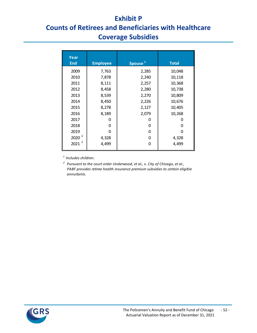## **Exhibit P**

# **Counts of Retirees and Beneficiaries with Healthcare Coverage Subsidies**

| Year<br><b>End</b> | <b>Employee</b> | Spouse <sup>1</sup> | <b>Total</b> |
|--------------------|-----------------|---------------------|--------------|
| 2009               | 7,763           | 2,285               | 10,048       |
| 2010               | 7,878           | 2,240               | 10,118       |
| 2011               | 8,111           | 2,257               | 10,368       |
| 2012               | 8,458           | 2,280               | 10,738       |
| 2013               | 8,539           | 2,270               | 10,809       |
| 2014               | 8,450           | 2,226               | 10,676       |
| 2015               | 8,278           | 2,127               | 10,405       |
| 2016               | 8,189           | 2,079               | 10,268       |
| 2017               | O               | 0                   | O            |
| 2018               | 0               | 0                   | 0            |
| 2019               | n               | 0                   | n            |
| 2020 <sup>2</sup>  | 4,328           | 0                   | 4,328        |
| 2<br>2021          | 4,499           | O                   | 4,499        |

*1 Includes children.*

<sup>2</sup> Pursuant to the court order Underwood, et al., v. City of Chicago, et al., *PABF provides retiree health insurance premium subsidies to certain eligible annuitants.*

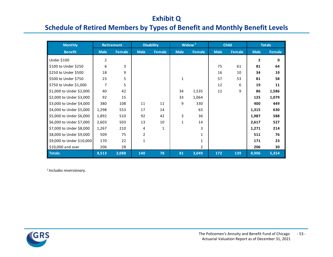## **Exhibit Q**

# **Schedule of Retired Members by Types of Benefit and Monthly Benefit Levels**

| <b>Monthly</b>            |             | <b>Retirement</b> |              | <b>Disability</b> |             | Widow <sup>1</sup> |             | <b>Child</b> |              | <b>Totals</b> |
|---------------------------|-------------|-------------------|--------------|-------------------|-------------|--------------------|-------------|--------------|--------------|---------------|
| <b>Benefit</b>            | <b>Male</b> | Female            | <b>Male</b>  | Female            | <b>Male</b> | Female             | <b>Male</b> | Female       | <b>Male</b>  | Female        |
| Under \$100               | 2           |                   |              |                   |             |                    |             |              | $\mathbf{2}$ | 0             |
| \$100 to Under \$250      | 6           | 3                 |              |                   |             |                    | 75          | 61           | 81           | 64            |
| \$250 to Under \$500      | 18          | 9                 |              |                   |             |                    | 16          | 10           | 34           | 19            |
| \$500 to Under \$750      | 23          | 5                 |              |                   | 1           |                    | 57          | 53           | 81           | 58            |
| \$750 to Under \$1,000    | 7           | 5                 |              |                   |             |                    | 12          | 6            | 19           | 11            |
| \$1,000 to Under \$2,000  | 40          | 42                |              |                   | 34          | 1,535              | 12          | 9            | 86           | 1,586         |
| \$2,000 to Under \$3,000  | 92          | 15                |              |                   | 33          | 1,064              |             |              | 125          | 1,079         |
| \$3,000 to Under \$4,000  | 380         | 108               | 11           | 11                | 9           | 330                |             |              | 400          | 449           |
| \$4,000 to Under \$5,000  | 1,298       | 553               | 17           | 14                |             | 63                 |             |              | 1,315        | 630           |
| \$5,000 to Under \$6,000  | 1,892       | 510               | 92           | 42                | 3           | 36                 |             |              | 1,987        | 588           |
| \$6,000 to Under \$7,000  | 2,603       | 503               | 13           | 10                | 1           | 14                 |             |              | 2,617        | 527           |
| \$7,000 to Under \$8,000  | 1,267       | 210               | 4            | 1                 |             | 3                  |             |              | 1,271        | 214           |
| \$8,000 to Under \$9,000  | 509         | 75                | 2            |                   |             | 1                  |             |              | 511          | 76            |
| \$9,000 to Under \$10,000 | 170         | 22                | $\mathbf{1}$ |                   |             | 1                  |             |              | 171          | 23            |
| \$10,000 and over         | 206         | 28                |              |                   |             | 2                  |             |              | 206          | 30            |
| Totals:                   | 8,513       | 2,088             | 140          | 78                | 81          | 3,049              | 172         | 139          | 8,906        | 5,354         |

*1 Includes reversionary.*

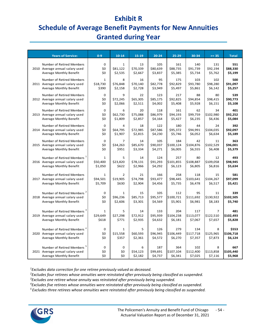## **Exhibit R**

# **Schedule of Average Benefit Payments for New Annuities Granted during Year**

| 551<br>$\Omega$<br>$\mathbf 1$<br>13<br>105<br>161<br>140<br>131<br>Number of Retired Members<br>\$0<br>\$81,122<br>\$70,339<br>\$80,639<br>\$88,735<br>\$91,739<br>\$92,194<br>\$88,330<br>2010 Average annual salary used<br>\$2,535<br>\$2,667<br>\$3,837<br>\$5,385<br>\$5,734<br>\$5,762<br>\$5,199<br>Average Monthly Benefit<br>\$0<br>500<br>Number of Retired Members<br>$\mathbf{1}$<br>8<br>16<br>95<br>175<br>103<br>102<br>\$18,730<br>\$70,140<br>\$82,778<br>\$92,829<br>\$93,780<br>\$98,280<br>\$91,097<br>2011 Average annual salary used<br>\$76,848<br>\$390<br>\$2,158<br>\$2,728<br>\$3,949<br>\$5,497<br>\$5,861<br>\$6,142<br>\$5,257<br>Average Monthly Benefit<br>Number of Retired Members<br>$\mathbf 0$<br>9<br>22<br>123<br>217<br>88<br>80<br>539<br>\$72,245<br>\$65,305<br>\$85,175<br>\$92,825<br>\$94,854<br>\$98,415<br>\$90,773<br>2012 Average annual salary used<br>\$0<br>Average Monthly Benefit<br>\$4,002<br>\$5,928<br>\$6,151<br>\$5,108<br>\$0<br>\$2,066<br>\$2,511<br>\$5,408<br>401<br>Number of Retired Members<br>$\Omega$<br>20<br>118<br>161<br>62<br>34<br>6<br>\$62,730<br>\$75,088<br>\$86,979<br>\$94,193<br>\$102,980<br>\$0<br>\$99,759<br>\$92,252<br>2013 Average annual salary used<br>\$1,809<br>\$2,857<br>\$6,235<br>Average Monthly Benefit<br>\$0<br>\$4,164<br>\$5,427<br>\$6,436<br>\$5,084<br>$\Omega$<br>122<br>44<br>392<br>Number of Retired Members<br>4<br>18<br>180<br>24<br>\$0<br>\$64,795<br>\$72,985<br>\$87,586<br>\$95,372<br>\$104,035<br>\$92,097<br>\$94,991<br>2014 Average annual salary used<br>Average Monthly Benefit<br>\$0<br>\$1,907<br>\$2,815<br>\$4,230<br>\$5,746<br>\$6,052<br>\$6,634<br>\$5,189<br>363<br>Number of Retired Members<br>$\mathbf 0$<br>14<br>105<br>184<br>42<br>7<br>11<br>\$85,670<br>\$90,037<br>\$100,124<br>\$102,529<br>\$0<br>\$34,263<br>\$104,876<br>\$96,001<br>2015 Average annual salary used<br>\$0<br>\$951<br>\$3,334<br>\$6,005<br>\$6,555<br>\$5,379<br>Average Monthly Benefit<br>\$4,271<br>\$6,408<br>Number of Retired Members <sup>1</sup><br>5<br>14<br>124<br>257<br>493<br>$\mathbf{1}$<br>80<br>12<br>\$78,131<br>\$101,855<br>\$109,058<br>\$98,945<br>\$50,400<br>\$23,820<br>\$91,293<br>\$108,887<br>2016 Average annual salary used<br>\$1,050<br>\$2,966<br>\$4,292<br>\$6,805<br>\$6,816<br>Average Monthly Benefit<br>\$622<br>\$6,123<br>\$5,634<br>258<br>581<br>Number of Retired Members<br>$\mathbf{1}$<br>$\overline{2}$<br>21<br>166<br>118<br>15<br>\$74,798<br>\$104,267<br>\$94,501<br>\$19,905<br>\$93,477<br>\$98,445<br>\$103,641<br>\$97,099<br>2017 Average annual salary used<br>\$5,709<br>\$630<br>\$2,904<br>\$4,456<br>\$5,735<br>\$6,478<br>\$6,517<br>\$5,421<br>Average Monthly Benefit<br>Number of Retired Members <sup>2</sup><br>$\mathbf 0$<br>105<br>95<br>339<br>$\mathbf{1}$<br>15<br>112<br>11<br>\$96,236<br>\$85,713<br>\$100,721<br>\$111,692<br>\$130,922<br>\$102,505<br>\$0<br>\$95,577<br>2018 Average annual salary used | <b>Years of Service:</b> | $0 - 9$ | $10 - 14$ | 15-19 | $20 - 24$ | $25 - 29$ | 30-34 | $>= 35$ | <b>Total</b> |
|-----------------------------------------------------------------------------------------------------------------------------------------------------------------------------------------------------------------------------------------------------------------------------------------------------------------------------------------------------------------------------------------------------------------------------------------------------------------------------------------------------------------------------------------------------------------------------------------------------------------------------------------------------------------------------------------------------------------------------------------------------------------------------------------------------------------------------------------------------------------------------------------------------------------------------------------------------------------------------------------------------------------------------------------------------------------------------------------------------------------------------------------------------------------------------------------------------------------------------------------------------------------------------------------------------------------------------------------------------------------------------------------------------------------------------------------------------------------------------------------------------------------------------------------------------------------------------------------------------------------------------------------------------------------------------------------------------------------------------------------------------------------------------------------------------------------------------------------------------------------------------------------------------------------------------------------------------------------------------------------------------------------------------------------------------------------------------------------------------------------------------------------------------------------------------------------------------------------------------------------------------------------------------------------------------------------------------------------------------------------------------------------------------------------------------------------------------------------------------------------------------------------------------------------------------------------------------------------------------------------------------------------------------------------------------------------------------------------------------------------------------------------------------------------------------------------------------------------------------------------------------------------------------------------------------------------------------------------------------------------------------------------------|--------------------------|---------|-----------|-------|-----------|-----------|-------|---------|--------------|
|                                                                                                                                                                                                                                                                                                                                                                                                                                                                                                                                                                                                                                                                                                                                                                                                                                                                                                                                                                                                                                                                                                                                                                                                                                                                                                                                                                                                                                                                                                                                                                                                                                                                                                                                                                                                                                                                                                                                                                                                                                                                                                                                                                                                                                                                                                                                                                                                                                                                                                                                                                                                                                                                                                                                                                                                                                                                                                                                                                                                                       |                          |         |           |       |           |           |       |         |              |
|                                                                                                                                                                                                                                                                                                                                                                                                                                                                                                                                                                                                                                                                                                                                                                                                                                                                                                                                                                                                                                                                                                                                                                                                                                                                                                                                                                                                                                                                                                                                                                                                                                                                                                                                                                                                                                                                                                                                                                                                                                                                                                                                                                                                                                                                                                                                                                                                                                                                                                                                                                                                                                                                                                                                                                                                                                                                                                                                                                                                                       |                          |         |           |       |           |           |       |         |              |
|                                                                                                                                                                                                                                                                                                                                                                                                                                                                                                                                                                                                                                                                                                                                                                                                                                                                                                                                                                                                                                                                                                                                                                                                                                                                                                                                                                                                                                                                                                                                                                                                                                                                                                                                                                                                                                                                                                                                                                                                                                                                                                                                                                                                                                                                                                                                                                                                                                                                                                                                                                                                                                                                                                                                                                                                                                                                                                                                                                                                                       |                          |         |           |       |           |           |       |         |              |
|                                                                                                                                                                                                                                                                                                                                                                                                                                                                                                                                                                                                                                                                                                                                                                                                                                                                                                                                                                                                                                                                                                                                                                                                                                                                                                                                                                                                                                                                                                                                                                                                                                                                                                                                                                                                                                                                                                                                                                                                                                                                                                                                                                                                                                                                                                                                                                                                                                                                                                                                                                                                                                                                                                                                                                                                                                                                                                                                                                                                                       |                          |         |           |       |           |           |       |         |              |
|                                                                                                                                                                                                                                                                                                                                                                                                                                                                                                                                                                                                                                                                                                                                                                                                                                                                                                                                                                                                                                                                                                                                                                                                                                                                                                                                                                                                                                                                                                                                                                                                                                                                                                                                                                                                                                                                                                                                                                                                                                                                                                                                                                                                                                                                                                                                                                                                                                                                                                                                                                                                                                                                                                                                                                                                                                                                                                                                                                                                                       |                          |         |           |       |           |           |       |         |              |
|                                                                                                                                                                                                                                                                                                                                                                                                                                                                                                                                                                                                                                                                                                                                                                                                                                                                                                                                                                                                                                                                                                                                                                                                                                                                                                                                                                                                                                                                                                                                                                                                                                                                                                                                                                                                                                                                                                                                                                                                                                                                                                                                                                                                                                                                                                                                                                                                                                                                                                                                                                                                                                                                                                                                                                                                                                                                                                                                                                                                                       |                          |         |           |       |           |           |       |         |              |
|                                                                                                                                                                                                                                                                                                                                                                                                                                                                                                                                                                                                                                                                                                                                                                                                                                                                                                                                                                                                                                                                                                                                                                                                                                                                                                                                                                                                                                                                                                                                                                                                                                                                                                                                                                                                                                                                                                                                                                                                                                                                                                                                                                                                                                                                                                                                                                                                                                                                                                                                                                                                                                                                                                                                                                                                                                                                                                                                                                                                                       |                          |         |           |       |           |           |       |         |              |
|                                                                                                                                                                                                                                                                                                                                                                                                                                                                                                                                                                                                                                                                                                                                                                                                                                                                                                                                                                                                                                                                                                                                                                                                                                                                                                                                                                                                                                                                                                                                                                                                                                                                                                                                                                                                                                                                                                                                                                                                                                                                                                                                                                                                                                                                                                                                                                                                                                                                                                                                                                                                                                                                                                                                                                                                                                                                                                                                                                                                                       |                          |         |           |       |           |           |       |         |              |
|                                                                                                                                                                                                                                                                                                                                                                                                                                                                                                                                                                                                                                                                                                                                                                                                                                                                                                                                                                                                                                                                                                                                                                                                                                                                                                                                                                                                                                                                                                                                                                                                                                                                                                                                                                                                                                                                                                                                                                                                                                                                                                                                                                                                                                                                                                                                                                                                                                                                                                                                                                                                                                                                                                                                                                                                                                                                                                                                                                                                                       |                          |         |           |       |           |           |       |         |              |
|                                                                                                                                                                                                                                                                                                                                                                                                                                                                                                                                                                                                                                                                                                                                                                                                                                                                                                                                                                                                                                                                                                                                                                                                                                                                                                                                                                                                                                                                                                                                                                                                                                                                                                                                                                                                                                                                                                                                                                                                                                                                                                                                                                                                                                                                                                                                                                                                                                                                                                                                                                                                                                                                                                                                                                                                                                                                                                                                                                                                                       |                          |         |           |       |           |           |       |         |              |
|                                                                                                                                                                                                                                                                                                                                                                                                                                                                                                                                                                                                                                                                                                                                                                                                                                                                                                                                                                                                                                                                                                                                                                                                                                                                                                                                                                                                                                                                                                                                                                                                                                                                                                                                                                                                                                                                                                                                                                                                                                                                                                                                                                                                                                                                                                                                                                                                                                                                                                                                                                                                                                                                                                                                                                                                                                                                                                                                                                                                                       |                          |         |           |       |           |           |       |         |              |
|                                                                                                                                                                                                                                                                                                                                                                                                                                                                                                                                                                                                                                                                                                                                                                                                                                                                                                                                                                                                                                                                                                                                                                                                                                                                                                                                                                                                                                                                                                                                                                                                                                                                                                                                                                                                                                                                                                                                                                                                                                                                                                                                                                                                                                                                                                                                                                                                                                                                                                                                                                                                                                                                                                                                                                                                                                                                                                                                                                                                                       |                          |         |           |       |           |           |       |         |              |
|                                                                                                                                                                                                                                                                                                                                                                                                                                                                                                                                                                                                                                                                                                                                                                                                                                                                                                                                                                                                                                                                                                                                                                                                                                                                                                                                                                                                                                                                                                                                                                                                                                                                                                                                                                                                                                                                                                                                                                                                                                                                                                                                                                                                                                                                                                                                                                                                                                                                                                                                                                                                                                                                                                                                                                                                                                                                                                                                                                                                                       |                          |         |           |       |           |           |       |         |              |
|                                                                                                                                                                                                                                                                                                                                                                                                                                                                                                                                                                                                                                                                                                                                                                                                                                                                                                                                                                                                                                                                                                                                                                                                                                                                                                                                                                                                                                                                                                                                                                                                                                                                                                                                                                                                                                                                                                                                                                                                                                                                                                                                                                                                                                                                                                                                                                                                                                                                                                                                                                                                                                                                                                                                                                                                                                                                                                                                                                                                                       |                          |         |           |       |           |           |       |         |              |
|                                                                                                                                                                                                                                                                                                                                                                                                                                                                                                                                                                                                                                                                                                                                                                                                                                                                                                                                                                                                                                                                                                                                                                                                                                                                                                                                                                                                                                                                                                                                                                                                                                                                                                                                                                                                                                                                                                                                                                                                                                                                                                                                                                                                                                                                                                                                                                                                                                                                                                                                                                                                                                                                                                                                                                                                                                                                                                                                                                                                                       |                          |         |           |       |           |           |       |         |              |
|                                                                                                                                                                                                                                                                                                                                                                                                                                                                                                                                                                                                                                                                                                                                                                                                                                                                                                                                                                                                                                                                                                                                                                                                                                                                                                                                                                                                                                                                                                                                                                                                                                                                                                                                                                                                                                                                                                                                                                                                                                                                                                                                                                                                                                                                                                                                                                                                                                                                                                                                                                                                                                                                                                                                                                                                                                                                                                                                                                                                                       |                          |         |           |       |           |           |       |         |              |
|                                                                                                                                                                                                                                                                                                                                                                                                                                                                                                                                                                                                                                                                                                                                                                                                                                                                                                                                                                                                                                                                                                                                                                                                                                                                                                                                                                                                                                                                                                                                                                                                                                                                                                                                                                                                                                                                                                                                                                                                                                                                                                                                                                                                                                                                                                                                                                                                                                                                                                                                                                                                                                                                                                                                                                                                                                                                                                                                                                                                                       |                          |         |           |       |           |           |       |         |              |
|                                                                                                                                                                                                                                                                                                                                                                                                                                                                                                                                                                                                                                                                                                                                                                                                                                                                                                                                                                                                                                                                                                                                                                                                                                                                                                                                                                                                                                                                                                                                                                                                                                                                                                                                                                                                                                                                                                                                                                                                                                                                                                                                                                                                                                                                                                                                                                                                                                                                                                                                                                                                                                                                                                                                                                                                                                                                                                                                                                                                                       |                          |         |           |       |           |           |       |         |              |
|                                                                                                                                                                                                                                                                                                                                                                                                                                                                                                                                                                                                                                                                                                                                                                                                                                                                                                                                                                                                                                                                                                                                                                                                                                                                                                                                                                                                                                                                                                                                                                                                                                                                                                                                                                                                                                                                                                                                                                                                                                                                                                                                                                                                                                                                                                                                                                                                                                                                                                                                                                                                                                                                                                                                                                                                                                                                                                                                                                                                                       |                          |         |           |       |           |           |       |         |              |
|                                                                                                                                                                                                                                                                                                                                                                                                                                                                                                                                                                                                                                                                                                                                                                                                                                                                                                                                                                                                                                                                                                                                                                                                                                                                                                                                                                                                                                                                                                                                                                                                                                                                                                                                                                                                                                                                                                                                                                                                                                                                                                                                                                                                                                                                                                                                                                                                                                                                                                                                                                                                                                                                                                                                                                                                                                                                                                                                                                                                                       |                          |         |           |       |           |           |       |         |              |
|                                                                                                                                                                                                                                                                                                                                                                                                                                                                                                                                                                                                                                                                                                                                                                                                                                                                                                                                                                                                                                                                                                                                                                                                                                                                                                                                                                                                                                                                                                                                                                                                                                                                                                                                                                                                                                                                                                                                                                                                                                                                                                                                                                                                                                                                                                                                                                                                                                                                                                                                                                                                                                                                                                                                                                                                                                                                                                                                                                                                                       |                          |         |           |       |           |           |       |         |              |
|                                                                                                                                                                                                                                                                                                                                                                                                                                                                                                                                                                                                                                                                                                                                                                                                                                                                                                                                                                                                                                                                                                                                                                                                                                                                                                                                                                                                                                                                                                                                                                                                                                                                                                                                                                                                                                                                                                                                                                                                                                                                                                                                                                                                                                                                                                                                                                                                                                                                                                                                                                                                                                                                                                                                                                                                                                                                                                                                                                                                                       |                          |         |           |       |           |           |       |         |              |
|                                                                                                                                                                                                                                                                                                                                                                                                                                                                                                                                                                                                                                                                                                                                                                                                                                                                                                                                                                                                                                                                                                                                                                                                                                                                                                                                                                                                                                                                                                                                                                                                                                                                                                                                                                                                                                                                                                                                                                                                                                                                                                                                                                                                                                                                                                                                                                                                                                                                                                                                                                                                                                                                                                                                                                                                                                                                                                                                                                                                                       |                          |         |           |       |           |           |       |         |              |
|                                                                                                                                                                                                                                                                                                                                                                                                                                                                                                                                                                                                                                                                                                                                                                                                                                                                                                                                                                                                                                                                                                                                                                                                                                                                                                                                                                                                                                                                                                                                                                                                                                                                                                                                                                                                                                                                                                                                                                                                                                                                                                                                                                                                                                                                                                                                                                                                                                                                                                                                                                                                                                                                                                                                                                                                                                                                                                                                                                                                                       |                          |         |           |       |           |           |       |         |              |
|                                                                                                                                                                                                                                                                                                                                                                                                                                                                                                                                                                                                                                                                                                                                                                                                                                                                                                                                                                                                                                                                                                                                                                                                                                                                                                                                                                                                                                                                                                                                                                                                                                                                                                                                                                                                                                                                                                                                                                                                                                                                                                                                                                                                                                                                                                                                                                                                                                                                                                                                                                                                                                                                                                                                                                                                                                                                                                                                                                                                                       |                          |         |           |       |           |           |       |         |              |
|                                                                                                                                                                                                                                                                                                                                                                                                                                                                                                                                                                                                                                                                                                                                                                                                                                                                                                                                                                                                                                                                                                                                                                                                                                                                                                                                                                                                                                                                                                                                                                                                                                                                                                                                                                                                                                                                                                                                                                                                                                                                                                                                                                                                                                                                                                                                                                                                                                                                                                                                                                                                                                                                                                                                                                                                                                                                                                                                                                                                                       |                          |         |           |       |           |           |       |         |              |
|                                                                                                                                                                                                                                                                                                                                                                                                                                                                                                                                                                                                                                                                                                                                                                                                                                                                                                                                                                                                                                                                                                                                                                                                                                                                                                                                                                                                                                                                                                                                                                                                                                                                                                                                                                                                                                                                                                                                                                                                                                                                                                                                                                                                                                                                                                                                                                                                                                                                                                                                                                                                                                                                                                                                                                                                                                                                                                                                                                                                                       |                          |         |           |       |           |           |       |         |              |
| \$5,901<br>\$5,740<br>Average Monthly Benefit<br>\$0<br>\$2,606<br>\$3,301<br>\$4,569<br>\$6,981<br>\$8,183                                                                                                                                                                                                                                                                                                                                                                                                                                                                                                                                                                                                                                                                                                                                                                                                                                                                                                                                                                                                                                                                                                                                                                                                                                                                                                                                                                                                                                                                                                                                                                                                                                                                                                                                                                                                                                                                                                                                                                                                                                                                                                                                                                                                                                                                                                                                                                                                                                                                                                                                                                                                                                                                                                                                                                                                                                                                                                           |                          |         |           |       |           |           |       |         |              |
| Number of Retired Members <sup>3</sup><br>5<br>14<br>133<br>204<br>481<br>$\mathbf{1}$<br>117<br>7                                                                                                                                                                                                                                                                                                                                                                                                                                                                                                                                                                                                                                                                                                                                                                                                                                                                                                                                                                                                                                                                                                                                                                                                                                                                                                                                                                                                                                                                                                                                                                                                                                                                                                                                                                                                                                                                                                                                                                                                                                                                                                                                                                                                                                                                                                                                                                                                                                                                                                                                                                                                                                                                                                                                                                                                                                                                                                                    |                          |         |           |       |           |           |       |         |              |
| \$72,912<br>\$104,238<br>\$102,493<br>\$29,649<br>\$27,298<br>\$95,939<br>\$113,077<br>\$122,510<br>2019 Average annual salary used                                                                                                                                                                                                                                                                                                                                                                                                                                                                                                                                                                                                                                                                                                                                                                                                                                                                                                                                                                                                                                                                                                                                                                                                                                                                                                                                                                                                                                                                                                                                                                                                                                                                                                                                                                                                                                                                                                                                                                                                                                                                                                                                                                                                                                                                                                                                                                                                                                                                                                                                                                                                                                                                                                                                                                                                                                                                                   |                          |         |           |       |           |           |       |         |              |
| Average Monthly Benefit<br>\$618<br>\$771<br>\$2,935<br>\$4,632<br>\$6,181<br>\$7,067<br>\$7,657<br>\$5,828                                                                                                                                                                                                                                                                                                                                                                                                                                                                                                                                                                                                                                                                                                                                                                                                                                                                                                                                                                                                                                                                                                                                                                                                                                                                                                                                                                                                                                                                                                                                                                                                                                                                                                                                                                                                                                                                                                                                                                                                                                                                                                                                                                                                                                                                                                                                                                                                                                                                                                                                                                                                                                                                                                                                                                                                                                                                                                           |                          |         |           |       |           |           |       |         |              |
|                                                                                                                                                                                                                                                                                                                                                                                                                                                                                                                                                                                                                                                                                                                                                                                                                                                                                                                                                                                                                                                                                                                                                                                                                                                                                                                                                                                                                                                                                                                                                                                                                                                                                                                                                                                                                                                                                                                                                                                                                                                                                                                                                                                                                                                                                                                                                                                                                                                                                                                                                                                                                                                                                                                                                                                                                                                                                                                                                                                                                       |                          |         |           |       |           |           |       |         |              |
| 279<br>\$553<br>Number of Retired Members <sup>4</sup><br>0<br>$\mathbf{1}$<br>5<br>126<br>134<br>8                                                                                                                                                                                                                                                                                                                                                                                                                                                                                                                                                                                                                                                                                                                                                                                                                                                                                                                                                                                                                                                                                                                                                                                                                                                                                                                                                                                                                                                                                                                                                                                                                                                                                                                                                                                                                                                                                                                                                                                                                                                                                                                                                                                                                                                                                                                                                                                                                                                                                                                                                                                                                                                                                                                                                                                                                                                                                                                   |                          |         |           |       |           |           |       |         |              |
| \$15,558<br>\$60,593<br>\$96,945<br>\$106,449<br>\$117,718<br>\$125,965<br>\$106,718<br>2020 Average annual salary used<br>\$0                                                                                                                                                                                                                                                                                                                                                                                                                                                                                                                                                                                                                                                                                                                                                                                                                                                                                                                                                                                                                                                                                                                                                                                                                                                                                                                                                                                                                                                                                                                                                                                                                                                                                                                                                                                                                                                                                                                                                                                                                                                                                                                                                                                                                                                                                                                                                                                                                                                                                                                                                                                                                                                                                                                                                                                                                                                                                        |                          |         |           |       |           |           |       |         |              |
| \$357<br>Average Monthly Benefit<br>\$0<br>\$2,361<br>\$4,572<br>\$6,270<br>\$7,357<br>\$7,873<br>\$6,124                                                                                                                                                                                                                                                                                                                                                                                                                                                                                                                                                                                                                                                                                                                                                                                                                                                                                                                                                                                                                                                                                                                                                                                                                                                                                                                                                                                                                                                                                                                                                                                                                                                                                                                                                                                                                                                                                                                                                                                                                                                                                                                                                                                                                                                                                                                                                                                                                                                                                                                                                                                                                                                                                                                                                                                                                                                                                                             |                          |         |           |       |           |           |       |         |              |
| Number of Retired Members <sup>5</sup><br>0<br>187<br>364<br>102<br>667<br>0<br>6<br>8                                                                                                                                                                                                                                                                                                                                                                                                                                                                                                                                                                                                                                                                                                                                                                                                                                                                                                                                                                                                                                                                                                                                                                                                                                                                                                                                                                                                                                                                                                                                                                                                                                                                                                                                                                                                                                                                                                                                                                                                                                                                                                                                                                                                                                                                                                                                                                                                                                                                                                                                                                                                                                                                                                                                                                                                                                                                                                                                |                          |         |           |       |           |           |       |         |              |
| \$54,123<br>\$107,104<br>\$112,400<br>\$113,858<br>\$105,440<br>2021 Average annual salary used<br>\$0<br>\$0<br>\$99,691                                                                                                                                                                                                                                                                                                                                                                                                                                                                                                                                                                                                                                                                                                                                                                                                                                                                                                                                                                                                                                                                                                                                                                                                                                                                                                                                                                                                                                                                                                                                                                                                                                                                                                                                                                                                                                                                                                                                                                                                                                                                                                                                                                                                                                                                                                                                                                                                                                                                                                                                                                                                                                                                                                                                                                                                                                                                                             |                          |         |           |       |           |           |       |         |              |
| \$0<br>\$0<br>\$2,182<br>\$6,341<br>\$7,025<br>\$7,116<br>\$5,968<br>Average Monthly Benefit<br>\$4,737                                                                                                                                                                                                                                                                                                                                                                                                                                                                                                                                                                                                                                                                                                                                                                                                                                                                                                                                                                                                                                                                                                                                                                                                                                                                                                                                                                                                                                                                                                                                                                                                                                                                                                                                                                                                                                                                                                                                                                                                                                                                                                                                                                                                                                                                                                                                                                                                                                                                                                                                                                                                                                                                                                                                                                                                                                                                                                               |                          |         |           |       |           |           |       |         |              |

*1 Excludes data correction for one retiree previously valued as deceased.*

*2 Excludes four retirees whose annuities were reinstated after previously being classified as suspended.*

*3 Excludes one retiree whose annuity was reinstated after previously being suspended.*

*4 Excludes five retirees whose annuities were reinstated after previously being classified as suspended.*

*5 Excludes three retirees whose annuities were reinstated after previously being classified as suspended.*

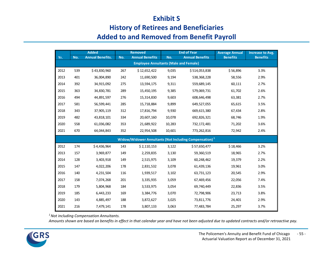## **Exhibit S**

# **History of Retirees and Beneficiaries**

# **Added to and Removed from Benefit Payroll**

|      |     | <b>Added</b>            |     | <b>Removed</b>                               |        | <b>End of Year</b>                                                 | <b>Average Annual</b> | Increase to Avg. |
|------|-----|-------------------------|-----|----------------------------------------------|--------|--------------------------------------------------------------------|-----------------------|------------------|
| Yr.  | No. | <b>Annual Benefits.</b> | No. | <b>Annual Benefits</b>                       | No.    | <b>Annual Benefits</b>                                             | <b>Benefits</b>       | <b>Benefits</b>  |
|      |     |                         |     | <b>Employee Annuitants (Male and Female)</b> |        |                                                                    |                       |                  |
| 2012 | 539 | \$43,830,960            | 267 | \$12,652,422                                 | 9,035  | \$514,053,838                                                      | \$56,896              | 3.3%             |
| 2013 | 401 | 36,004,890              | 242 | 11,690,500                                   | 9,194  | 538,368,228                                                        | 58,556                | 2.9%             |
| 2014 | 392 | 34,915,092              | 275 | 13,594,175                                   | 9,311  | 559,689,145                                                        | 60,111                | 2.7%             |
| 2015 | 363 | 34,830,781              | 289 | 15,450,195                                   | 9,385  | 579,069,731                                                        | 61,702                | 2.6%             |
| 2016 | 494 | 44,891,597              | 276 | 15,314,830                                   | 9,603  | 608,646,498                                                        | 63,381                | 2.7%             |
| 2017 | 581 | 56,599,441              | 285 | 15,718,884                                   | 9,899  | 649,527,055                                                        | 65,615                | 3.5%             |
| 2018 | 343 | 37,905,119              | 312 | 17,816,794                                   | 9,930  | 669,615,380                                                        | 67,434                | 2.8%             |
| 2019 | 482 | 43,818,101              | 334 | 20,607,160                                   | 10,078 | 692,826,321                                                        | 68,746                | 1.9%             |
| 2020 | 558 | 61,036,082              | 353 | 21,689,922                                   | 10,283 | 732,172,481                                                        | 71,202                | 3.6%             |
| 2021 | 670 | 64,044,843              | 352 | 22,954,508                                   | 10,601 | 773,262,816                                                        | 72,942                | 2.4%             |
|      |     |                         |     |                                              |        | Widow/Widower Annuitants (Not Including Compensation) <sup>1</sup> |                       |                  |
| 2012 | 174 | \$4,436,964             | 143 | \$2,110,153                                  | 3,122  | \$57,650,477                                                       | \$18,466              | 3.2%             |
| 2013 | 157 | 3,969,877               | 149 | 2,259,835                                    | 3,130  | 59,360,519                                                         | 18,965                | 2.7%             |
| 2014 | 128 | 3,403,918               | 149 | 2,515,975                                    | 3,109  | 60,248,462                                                         | 19,379                | 2.2%             |
| 2015 | 147 | 4,022,206               | 178 | 2,831,532                                    | 3,078  | 61,439,136                                                         | 19,961                | 3.0%             |
| 2016 | 140 | 4,231,504               | 116 | 1,939,517                                    | 3,102  | 63,731,123                                                         | 20,545                | 2.9%             |
| 2017 | 158 | 7,074,268               | 201 | 3,335,935                                    | 3,059  | 67,469,456                                                         | 22,056                | 7.4%             |
| 2018 | 179 | 5,804,968               | 184 | 3,533,975                                    | 3,054  | 69,740,449                                                         | 22,836                | 3.5%             |
| 2019 | 185 | 6,443,233               | 169 | 3,384,776                                    | 3,070  | 72,798,906                                                         | 23,713                | 3.8%             |
| 2020 | 143 | 4,885,497               | 188 | 3,872,627                                    | 3,025  | 73,811,776                                                         | 24,401                | 2.9%             |
| 2021 | 216 | 7,479,141               | 178 | 3,807,133                                    | 3,063  | 77,483,784                                                         | 25,297                | 3.7%             |

*1 Not including Compensation Annuitants.*

*Amounts shown are based on benefits in effect in that calendar year and have not been adjusted due to updated contracts and/or retroactive pay.*

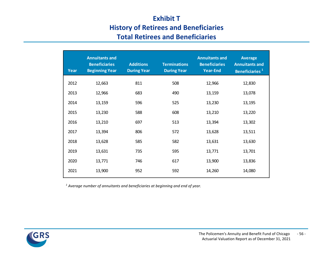# **Exhibit T History of Retirees and Beneficiaries Total Retirees and Beneficiaries**

| Year | <b>Annuitants and</b><br><b>Beneficiaries</b><br><b>Beginning Year</b> | <b>Additions</b><br><b>During Year</b> | <b>Terminations</b><br><b>During Year</b> | <b>Annuitants and</b><br><b>Beneficiaries</b><br><b>Year-End</b> | <b>Average</b><br><b>Annuitants and</b><br>Beneficiaries <sup>1</sup> |
|------|------------------------------------------------------------------------|----------------------------------------|-------------------------------------------|------------------------------------------------------------------|-----------------------------------------------------------------------|
| 2012 | 12,663                                                                 | 811                                    | 508                                       | 12,966                                                           | 12,830                                                                |
| 2013 | 12,966                                                                 | 683                                    | 490                                       | 13,159                                                           | 13,078                                                                |
| 2014 | 13,159                                                                 | 596                                    | 525                                       | 13,230                                                           | 13,195                                                                |
| 2015 | 13,230                                                                 | 588                                    | 608                                       | 13,210                                                           | 13,220                                                                |
| 2016 | 13,210                                                                 | 697                                    | 513                                       | 13,394                                                           | 13,302                                                                |
| 2017 | 13,394                                                                 | 806                                    | 572                                       | 13,628                                                           | 13,511                                                                |
| 2018 | 13,628                                                                 | 585                                    | 582                                       | 13,631                                                           | 13,630                                                                |
| 2019 | 13,631                                                                 | 735                                    | 595                                       | 13,771                                                           | 13,701                                                                |
| 2020 | 13,771                                                                 | 746                                    | 617                                       | 13,900                                                           | 13,836                                                                |
| 2021 | 13,900                                                                 | 952                                    | 592                                       | 14,260                                                           | 14,080                                                                |

*<sup>1</sup> Average number of annuitants and beneficiaries at beginning and end of year.*

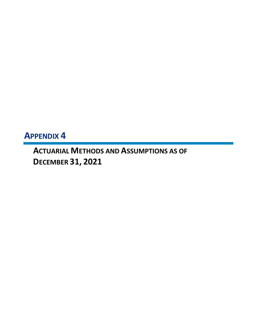**APPENDIX 4**

**ACTUARIAL METHODS AND ASSUMPTIONS AS OF DECEMBER 31, 2021**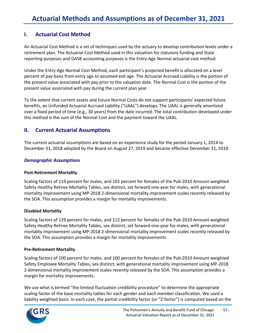#### **I. Actuarial Cost Method**

An Actuarial Cost Method is a set of techniques used by the actuary to develop contribution levels under a retirement plan. The Actuarial Cost Method used in this valuation for statutory funding and State reporting purposes and GASB accounting purposes is the Entry-Age Normal actuarial cost method.

Under the Entry-Age Normal Cost Method, each participant's projected benefit is allocated on a level percent of pay basis from entry age to assumed exit age. The Actuarial Accrued Liability is the portion of the present value associated with pay prior to the valuation date. The Normal Cost is the portion of the present value associated with pay during the current plan year.

To the extent that current assets and future Normal Costs do not support participants' expected future benefits, an Unfunded Actuarial Accrued Liability ("UAAL") develops. The UAAL is generally amortized over a fixed period of time (e.g., 30 years) from the date incurred. The total contribution developed under this method is the sum of the Normal Cost and the payment toward the UAAL.

#### **II. Current Actuarial Assumptions**

The current actuarial assumptions are based on an experience study for the period January 1, 2014 to December 31, 2018 adopted by the Board on August 27, 2019 and became effective December 31, 2019.

#### *Demographic Assumptions*

#### **Post-Retirement Mortality**

Scaling factors of 119 percent for males, and 102 percent for females of the Pub-2010 Amount-weighted Safety Healthy Retiree Mortality Tables, sex distinct, set forward one-year for males, with generational mortality improvement using MP-2018 2-dimensional mortality improvement scales recently released by the SOA. This assumption provides a margin for mortality improvements.

#### **Disabled Mortality**

Scaling factors of 129 percent for males, and 112 percent for females of the Pub-2010 Amount-weighted Safety Healthy Retiree Mortality Tables, sex distinct, set forward one-year for males, with generational mortality improvement using MP-2018 2-dimensional mortality improvement scales recently released by the SOA. This assumption provides a margin for mortality improvements.

#### **Pre-Retirement Mortality**

Scaling factors of 100 percent for males, and 100 percent for females of the Pub-2010 Amount-weighted Safety Employee Mortality Tables, sex distinct, with generational mortality improvement using MP-2018 2-dimensional mortality improvement scales recently released by the SOA. This assumption provides a margin for mortality improvements.

We use what is termed "the limited fluctuation credibility procedure" to determine the appropriate scaling factor of the base mortality tables for each gender and each member classification. We used a liability weighted basis. In each case, the partial credibility factor (or "Z-factor") is computed based on the

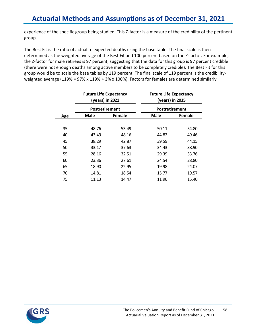# **Actuarial Methods and Assumptions as of December 31, 2021**

experience of the specific group being studied. This Z-factor is a measure of the credibility of the pertinent group.

The Best Fit is the ratio of actual to expected deaths using the base table. The final scale is then determined as the weighted average of the Best Fit and 100 percent based on the Z-factor. For example, the Z-factor for male retirees is 97 percent, suggesting that the data for this group is 97 percent credible (there were not enough deaths among active members to be completely credible). The Best Fit for this group would be to scale the base tables by 119 percent. The final scale of 119 percent is the credibilityweighted average (119% = 97% x 119% + 3% x 100%). Factors for females are determined similarly.

| Male<br>Female |       | Male                                                               | Female                                                             |
|----------------|-------|--------------------------------------------------------------------|--------------------------------------------------------------------|
|                |       |                                                                    |                                                                    |
| 48.76          | 53.49 | 50.11                                                              | 54.80                                                              |
| 43.49          | 48.16 | 44.82                                                              | 49.46                                                              |
| 38.29          | 42.87 | 39.59                                                              | 44.15                                                              |
| 33.17          | 37.63 | 34.43                                                              | 38.90                                                              |
| 28.16          | 32.51 | 29.39                                                              | 33.76                                                              |
| 23.36          | 27.61 | 24.54                                                              | 28.80                                                              |
| 18.90          | 22.95 | 19.98                                                              | 24.07                                                              |
| 14.81          | 18.54 | 15.77                                                              | 19.57                                                              |
| 11.13          | 14.47 | 11.96                                                              | 15.40                                                              |
|                |       | <b>Future Life Expectancy</b><br>(years) in 2021<br>Postretirement | <b>Future Life Expectancy</b><br>(years) in 2035<br>Postretirement |

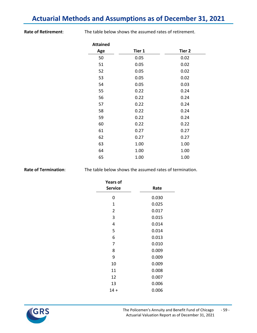# **Actuarial Methods and Assumptions as of December 31, 2021**

**Rate of Retirement**: The table below shows the assumed rates of retirement.

| <b>Attained</b> |        |        |
|-----------------|--------|--------|
| Age             | Tier 1 | Tier 2 |
| 50              | 0.05   | 0.02   |
| 51              | 0.05   | 0.02   |
| 52              | 0.05   | 0.02   |
| 53              | 0.05   | 0.02   |
| 54              | 0.05   | 0.03   |
| 55              | 0.22   | 0.24   |
| 56              | 0.22   | 0.24   |
| 57              | 0.22   | 0.24   |
| 58              | 0.22   | 0.24   |
| 59              | 0.22   | 0.24   |
| 60              | 0.22   | 0.22   |
| 61              | 0.27   | 0.27   |
| 62              | 0.27   | 0.27   |
| 63              | 1.00   | 1.00   |
| 64              | 1.00   | 1.00   |
| 65              | 1.00   | 1.00   |

**Rate of Termination:** The table below shows the assumed rates of termination.

| <b>Years of</b><br><b>Service</b> | Rate  |
|-----------------------------------|-------|
| 0                                 | 0.030 |
| 1                                 | 0.025 |
| 2                                 | 0.017 |
| 3                                 | 0.015 |
| 4                                 | 0.014 |
| 5                                 | 0.014 |
| 6                                 | 0.013 |
| 7                                 | 0.010 |
| 8                                 | 0.009 |
| 9                                 | 0.009 |
| 10                                | 0.009 |
| 11                                | 0.008 |
| 12                                | 0.007 |
| 13                                | 0.006 |
| $14 +$                            | 0.006 |

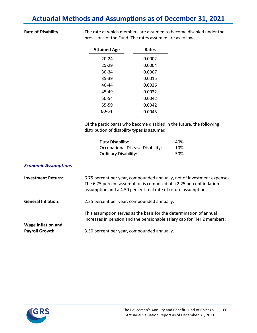## **Actuarial Methods and Assumptions as of December 31, 2021**

**Rate of Disability**: The rate at which members are assumed to become disabled under the provisions of the Fund. The rates assumed are as follows:

| <b>Attained Age</b> | Rates  |
|---------------------|--------|
| 20-24               | 0.0002 |
| 25-29               | 0.0004 |
| 30-34               | 0.0007 |
| 35-39               | 0.0015 |
| $40 - 44$           | 0.0026 |
| 45-49               | 0.0032 |
| 50-54               | 0.0042 |
| 55-59               | 0.0042 |
| 60-64               | 0.0043 |
|                     |        |

Of the participants who become disabled in the future, the following distribution of disability types is assumed:

| Duty Disability:                 | 40% |
|----------------------------------|-----|
| Occupational Disease Disability: | 10% |
| Ordinary Disability:             | 50% |

#### *Economic Assumptions*

| <b>Investment Return:</b>                           | 6.75 percent per year, compounded annually, net of investment expenses.<br>The 6.75 percent assumption is composed of a 2.25 percent inflation<br>assumption and a 4.50 percent real rate of return assumption. |
|-----------------------------------------------------|-----------------------------------------------------------------------------------------------------------------------------------------------------------------------------------------------------------------|
| <b>General Inflation:</b>                           | 2.25 percent per year, compounded annually.                                                                                                                                                                     |
|                                                     | This assumption serves as the basis for the determination of annual<br>increases in pension and the pensionable salary cap for Tier 2 members.                                                                  |
| <b>Wage Inflation and</b><br><b>Payroll Growth:</b> | 3.50 percent per year, compounded annually.                                                                                                                                                                     |

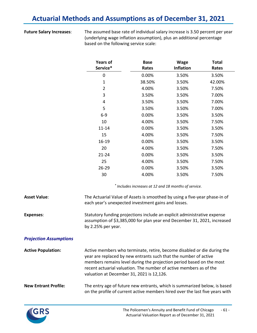# **Actuarial Methods and Assumptions as of December 31, 2021**

**Future Salary Increases**: The assumed base rate of individual salary increase is 3.50 percent per year (underlying wage inflation assumption), plus an additional percentage based on the following service scale:

| <b>Years of</b><br>Service* | <b>Base</b><br>Rates | <b>Wage</b><br><b>Inflation</b> | <b>Total</b><br>Rates |
|-----------------------------|----------------------|---------------------------------|-----------------------|
| 0                           | 0.00%                | 3.50%                           | 3.50%                 |
| $\mathbf{1}$                | 38.50%               | 3.50%                           | 42.00%                |
| 2                           | 4.00%                | 3.50%                           | 7.50%                 |
| 3                           | 3.50%                | 3.50%                           | 7.00%                 |
| 4                           | 3.50%                | 3.50%                           | 7.00%                 |
| 5                           | 3.50%                | 3.50%                           | 7.00%                 |
| $6-9$                       | 0.00%                | 3.50%                           | 3.50%                 |
| 10                          | 4.00%                | 3.50%                           | 7.50%                 |
| $11 - 14$                   | 0.00%                | 3.50%                           | 3.50%                 |
| 15                          | 4.00%                | 3.50%                           | 7.50%                 |
| 16-19                       | 0.00%                | 3.50%                           | 3.50%                 |
| 20                          | 4.00%                | 3.50%                           | 7.50%                 |
| $21 - 24$                   | 0.00%                | 3.50%                           | 3.50%                 |
| 25                          | 4.00%                | 3.50%                           | 7.50%                 |
| 26-29                       | 0.00%                | 3.50%                           | 3.50%                 |
| 30                          | 4.00%                | 3.50%                           | 7.50%                 |

*\* Includes increases at 12 and 18 months of service.*

| <b>Asset Value:</b>           | The Actuarial Value of Assets is smoothed by using a five-year phase-in of<br>each year's unexpected investment gains and losses.                                                                                                                                                                                                      |
|-------------------------------|----------------------------------------------------------------------------------------------------------------------------------------------------------------------------------------------------------------------------------------------------------------------------------------------------------------------------------------|
| <b>Expenses:</b>              | Statutory funding projections include an explicit administrative expense<br>assumption of \$3,385,000 for plan year end December 31, 2021, increased<br>by $2.25%$ per year.                                                                                                                                                           |
| <b>Projection Assumptions</b> |                                                                                                                                                                                                                                                                                                                                        |
| <b>Active Population:</b>     | Active members who terminate, retire, become disabled or die during the<br>year are replaced by new entrants such that the number of active<br>members remains level during the projection period based on the most<br>recent actuarial valuation. The number of active members as of the<br>valuation at December 31, 2021 is 12,126. |
| <b>New Entrant Profile:</b>   | The entry age of future new entrants, which is summarized below, is based<br>on the profile of current active members hired over the last five years with                                                                                                                                                                              |

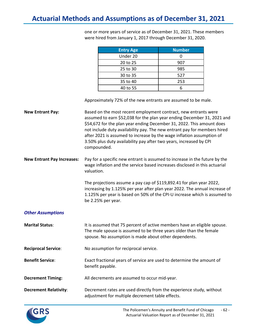one or more years of service as of December 31, 2021. These members were hired from January 1, 2017 through December 31, 2020.

| <b>Entry Age</b> | <b>Number</b> |
|------------------|---------------|
| Under 20         |               |
| 20 to 25         | 907           |
| 25 to 30         | 985           |
| 30 to 35         | 527           |
| 35 to 40         | 253           |
| 40 to 55         |               |

Approximately 72% of the new entrants are assumed to be male.

**New Entrant Pay:** Based on the most recent employment contract, new entrants were assumed to earn \$52,038 for the plan year ending December 31, 2021 and \$54,672 for the plan year ending December 31, 2022. This amount does not include duty availability pay. The new entrant pay for members hired after 2021 is assumed to increase by the wage inflation assumption of 3.50% plus duty availability pay after two years, increased by CPI compounded.

**New Entrant Pay Increases:** Pay for a specific new entrant is assumed to increase in the future by the wage inflation and the service based increases disclosed in this actuarial valuation.

> The projections assume a pay cap of \$119,892.41 for plan year 2022, increasing by 1.125% per year after plan year 2022. The annual increase of 1.125% per year is based on 50% of the CPI-U increase which is assumed to be 2.25% per year.

# *Other Assumptions*

| <b>Marital Status:</b>       | It is assumed that 75 percent of active members have an eligible spouse.<br>The male spouse is assumed to be three years older than the female<br>spouse. No assumption is made about other dependents. |
|------------------------------|---------------------------------------------------------------------------------------------------------------------------------------------------------------------------------------------------------|
| <b>Reciprocal Service:</b>   | No assumption for reciprocal service.                                                                                                                                                                   |
| <b>Benefit Service:</b>      | Exact fractional years of service are used to determine the amount of<br>benefit payable.                                                                                                               |
| <b>Decrement Timing:</b>     | All decrements are assumed to occur mid-year.                                                                                                                                                           |
| <b>Decrement Relativity:</b> | Decrement rates are used directly from the experience study, without<br>adjustment for multiple decrement table effects.                                                                                |

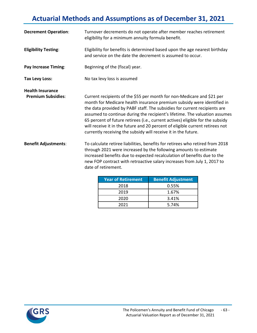# **Actuarial Methods and Assumptions as of December 31, 2021**

| <b>Decrement Operation:</b>                          | Turnover decrements do not operate after member reaches retirement<br>eligibility for a minimum annuity formula benefit.                                                                                                                                                                                                                                                                                                                                                                                                                         |  |
|------------------------------------------------------|--------------------------------------------------------------------------------------------------------------------------------------------------------------------------------------------------------------------------------------------------------------------------------------------------------------------------------------------------------------------------------------------------------------------------------------------------------------------------------------------------------------------------------------------------|--|
| <b>Eligibility Testing:</b>                          | Eligibility for benefits is determined based upon the age nearest birthday<br>and service on the date the decrement is assumed to occur.                                                                                                                                                                                                                                                                                                                                                                                                         |  |
| <b>Pay Increase Timing:</b>                          | Beginning of the (fiscal) year.                                                                                                                                                                                                                                                                                                                                                                                                                                                                                                                  |  |
| <b>Tax Levy Loss:</b>                                | No tax levy loss is assumed                                                                                                                                                                                                                                                                                                                                                                                                                                                                                                                      |  |
| <b>Health Insurance</b><br><b>Premium Subsidies:</b> | Current recipients of the \$55 per month for non-Medicare and \$21 per<br>month for Medicare health insurance premium subsidy were identified in<br>the data provided by PABF staff. The subsidies for current recipients are<br>assumed to continue during the recipient's lifetime. The valuation assumes<br>65 percent of future retirees (i.e., current actives) eligible for the subsidy<br>will receive it in the future and 20 percent of eligible current retirees not<br>currently receiving the subsidy will receive it in the future. |  |
| <b>Benefit Adjustments:</b>                          | To calculate retiree liabilities, benefits for retirees who retired from 2018<br>through 2021 were increased by the following amounts to estimate<br>increased benefits due to expected recalculation of benefits due to the<br>new FOP contract with retroactive salary increases from July 1, 2017 to<br>date of retirement.                                                                                                                                                                                                                   |  |
|                                                      | <b>Year of Retirement</b><br><b>Benefit Adjustment</b>                                                                                                                                                                                                                                                                                                                                                                                                                                                                                           |  |

| <b>Year of Retirement</b> | <b>Benefit Adjustment</b> |
|---------------------------|---------------------------|
| 2018                      | 0.55%                     |
| 2019                      | 1.67%                     |
| 2020                      | 3.41%                     |
| 2021                      | 5.74%                     |

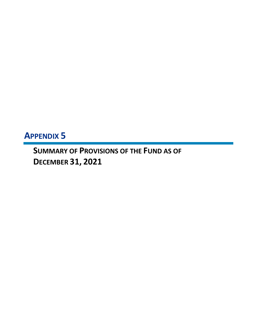# **APPENDIX 5**

**SUMMARY OF PROVISIONS OF THE FUND AS OF DECEMBER 31, 2021**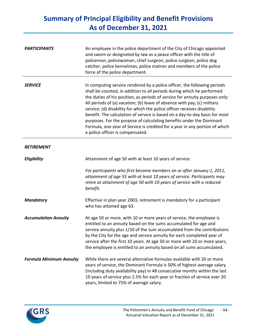| <b>PARTICIPANTS</b>            | An employee in the police department of the City of Chicago appointed<br>and sworn or designated by law as a peace officer with the title of<br>policeman, policewoman, chief surgeon, police surgeon, police dog<br>catcher, police kennelman, police matron and members of the police<br>force of the police department.                                                                                                                                                                                                                                                                                                                                           |
|--------------------------------|----------------------------------------------------------------------------------------------------------------------------------------------------------------------------------------------------------------------------------------------------------------------------------------------------------------------------------------------------------------------------------------------------------------------------------------------------------------------------------------------------------------------------------------------------------------------------------------------------------------------------------------------------------------------|
| <b>SERVICE</b>                 | In computing service rendered by a police officer, the following periods<br>shall be counted, in addition to all periods during which he performed<br>the duties of his position, as periods of service for annuity purposes only:<br>All periods of (a) vacation; (b) leave of absence with pay; (c) military<br>service; (d) disability for which the police officer receives disability<br>benefit. The calculation of service is based on a day-to-day basis for most<br>purposes. For the purpose of calculating benefits under the Dominant<br>Formula, one year of Service is credited for a year in any portion of which<br>a police officer is compensated. |
| <b>RETIREMENT</b>              |                                                                                                                                                                                                                                                                                                                                                                                                                                                                                                                                                                                                                                                                      |
| Eligibility                    | Attainment of age 50 with at least 10 years of service.                                                                                                                                                                                                                                                                                                                                                                                                                                                                                                                                                                                                              |
|                                | For participants who first became members on or after January 1, 2011,<br>attainment of age 55 with at least 10 years of service. Participants may<br>retire at attainment of age 50 with 10 years of service with a reduced<br>benefit.                                                                                                                                                                                                                                                                                                                                                                                                                             |
| <b>Mandatory</b>               | Effective in plan year 2003, retirement is mandatory for a participant<br>who has attained age 63.                                                                                                                                                                                                                                                                                                                                                                                                                                                                                                                                                                   |
| <b>Accumulation Annuity</b>    | At age 50 or more, with 10 or more years of service, the employee is<br>entitled to an annuity based on the sums accumulated for age and<br>service annuity plus 1/10 of the sum accumulated from the contributions<br>by the City for the age and service annuity for each completed year of<br>service after the first 10 years. At age 50 or more with 20 or more years,<br>the employee is entitled to an annuity based on all sums accumulated.                                                                                                                                                                                                                 |
| <b>Formula Minimum Annuity</b> | While there are several alternative formulas available with 20 or more<br>years of service, the Dominant Formula is 50% of highest average salary<br>(including duty availability pay) in 48 consecutive months within the last<br>10 years of service plus 2.5% for each year or fraction of service over 20<br>years, limited to 75% of average salary.                                                                                                                                                                                                                                                                                                            |

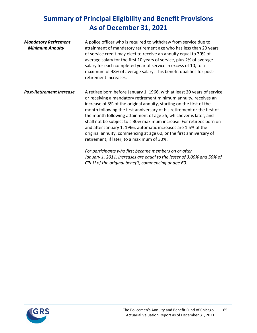| <b>Mandatory Retirement</b><br><b>Minimum Annuity</b> | A police officer who is required to withdraw from service due to<br>attainment of mandatory retirement age who has less than 20 years<br>of service credit may elect to receive an annuity equal to 30% of<br>average salary for the first 10 years of service, plus 2% of average<br>salary for each completed year of service in excess of 10, to a<br>maximum of 48% of average salary. This benefit qualifies for post-<br>retirement increases.                                                                                                                                                                                                                                                                                                                                                                           |
|-------------------------------------------------------|--------------------------------------------------------------------------------------------------------------------------------------------------------------------------------------------------------------------------------------------------------------------------------------------------------------------------------------------------------------------------------------------------------------------------------------------------------------------------------------------------------------------------------------------------------------------------------------------------------------------------------------------------------------------------------------------------------------------------------------------------------------------------------------------------------------------------------|
| <b>Post-Retirement Increase</b>                       | A retiree born before January 1, 1966, with at least 20 years of service<br>or receiving a mandatory retirement minimum annuity, receives an<br>increase of 3% of the original annuity, starting on the first of the<br>month following the first anniversary of his retirement or the first of<br>the month following attainment of age 55, whichever is later, and<br>shall not be subject to a 30% maximum increase. For retirees born on<br>and after January 1, 1966, automatic increases are 1.5% of the<br>original annuity, commencing at age 60, or the first anniversary of<br>retirement, if later, to a maximum of 30%.<br>For participants who first became members on or after<br>January 1, 2011, increases are equal to the lesser of 3.00% and 50% of<br>CPI-U of the original benefit, commencing at age 60. |

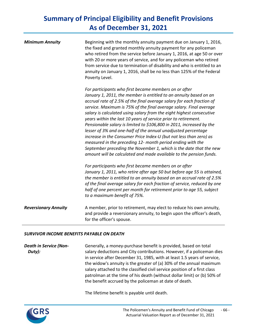| <b>Minimum Annuity</b>      | Beginning with the monthly annuity payment due on January 1, 2016,<br>the fixed and granted monthly annuity payment for any policeman<br>who retired from the service before January 1, 2016, at age 50 or over<br>with 20 or more years of service, and for any policeman who retired<br>from service due to termination of disability and who is entitled to an<br>annuity on January 1, 2016, shall be no less than 125% of the Federal<br>Poverty Level.                                                                                                                                                                                                                                                                                                                                                                                 |
|-----------------------------|----------------------------------------------------------------------------------------------------------------------------------------------------------------------------------------------------------------------------------------------------------------------------------------------------------------------------------------------------------------------------------------------------------------------------------------------------------------------------------------------------------------------------------------------------------------------------------------------------------------------------------------------------------------------------------------------------------------------------------------------------------------------------------------------------------------------------------------------|
|                             | For participants who first became members on or after<br>January 1, 2011, the member is entitled to an annuity based on an<br>accrual rate of 2.5% of the final average salary for each fraction of<br>service. Maximum is 75% of the final average salary. Final average<br>salary is calculated using salary from the eight highest consecutive<br>years within the last 10 years of service prior to retirement.<br>Pensionable salary is limited to \$106,800 in 2011, increased by the<br>lesser of 3% and one-half of the annual unadjusted percentage<br>increase in the Consumer Price Index-U (but not less than zero) as<br>measured in the preceding 12- month period ending with the<br>September preceding the November 1, which is the date that the new<br>amount will be calculated and made available to the pension funds. |
|                             | For participants who first became members on or after<br>January 1, 2011, who retire after age 50 but before age 55 is attained,<br>the member is entitled to an annuity based on an accrual rate of 2.5%<br>of the final average salary for each fraction of service, reduced by one<br>half of one percent per month for retirement prior to age 55, subject<br>to a maximum benefit of 75%.                                                                                                                                                                                                                                                                                                                                                                                                                                               |
| <b>Reversionary Annuity</b> | A member, prior to retirement, may elect to reduce his own annuity,<br>and provide a reversionary annuity, to begin upon the officer's death,<br>for the officer's spouse.                                                                                                                                                                                                                                                                                                                                                                                                                                                                                                                                                                                                                                                                   |

### *SURVIVOR INCOME BENEFITS PAYABLE ON DEATH*

*Death in Service (Non-Duty):* Generally, a money-purchase benefit is provided, based on total salary deductions and City contributions. However, if a policeman dies in service after December 31, 1985, with at least 1.5 years of service, the widow's annuity is the greater of (a) 30% of the annual maximum salary attached to the classified civil service position of a first class patrolman at the time of his death (without dollar limit) or (b) 50% of the benefit accrued by the policeman at date of death.

The lifetime benefit is payable until death.

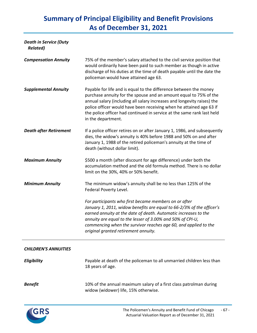# *Death in Service (Duty Related)*

| <b>Compensation Annuity</b>   | 75% of the member's salary attached to the civil service position that<br>would ordinarily have been paid to such member as though in active<br>discharge of his duties at the time of death payable until the date the<br>policeman would have attained age 63.                                                                                                                         |
|-------------------------------|------------------------------------------------------------------------------------------------------------------------------------------------------------------------------------------------------------------------------------------------------------------------------------------------------------------------------------------------------------------------------------------|
| <b>Supplemental Annuity</b>   | Payable for life and is equal to the difference between the money<br>purchase annuity for the spouse and an amount equal to 75% of the<br>annual salary (including all salary increases and longevity raises) the<br>police officer would have been receiving when he attained age 63 if<br>the police officer had continued in service at the same rank last held<br>in the department. |
| <b>Death after Retirement</b> | If a police officer retires on or after January 1, 1986, and subsequently<br>dies, the widow's annuity is 40% before 1988 and 50% on and after<br>January 1, 1988 of the retired policeman's annuity at the time of<br>death (without dollar limit).                                                                                                                                     |
| <b>Maximum Annuity</b>        | \$500 a month (after discount for age difference) under both the<br>accumulation method and the old formula method. There is no dollar<br>limit on the 30%, 40% or 50% benefit.                                                                                                                                                                                                          |
| <b>Minimum Annuity</b>        | The minimum widow's annuity shall be no less than 125% of the<br>Federal Poverty Level.                                                                                                                                                                                                                                                                                                  |
|                               | For participants who first became members on or after<br>January 1, 2011, widow benefits are equal to 66-2/3% of the officer's<br>earned annuity at the date of death. Automatic increases to the<br>annuity are equal to the lesser of 3.00% and 50% of CPI-U,<br>commencing when the survivor reaches age 60, and applied to the<br>original granted retirement annuity.               |
| <b>CHILDREN'S ANNUITIES</b>   |                                                                                                                                                                                                                                                                                                                                                                                          |
| Eligibility                   | Payable at death of the policeman to all unmarried children less than<br>18 years of age.                                                                                                                                                                                                                                                                                                |

**Benefit** 10% of the annual maximum salary of a first class patrolman during widow (widower) life, 15% otherwise.



 $\overline{a}$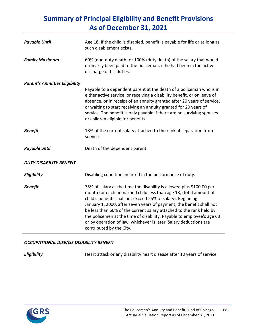| <b>Payable Until</b>                  | Age 18. If the child is disabled, benefit is payable for life or as long as<br>such disablement exists.                                                                                                                                                                                                                                                                                                                                                                                                                            |  |
|---------------------------------------|------------------------------------------------------------------------------------------------------------------------------------------------------------------------------------------------------------------------------------------------------------------------------------------------------------------------------------------------------------------------------------------------------------------------------------------------------------------------------------------------------------------------------------|--|
| <b>Family Maximum</b>                 | 60% (non-duty death) or 100% (duty death) of the salary that would<br>ordinarily been paid to the policeman, if he had been in the active<br>discharge of his duties.                                                                                                                                                                                                                                                                                                                                                              |  |
| <b>Parent's Annuities Eligibility</b> | Payable to a dependent parent at the death of a policeman who is in<br>either active service, or receiving a disability benefit, or on leave of<br>absence, or in receipt of an annuity granted after 20 years of service,<br>or waiting to start receiving an annuity granted for 20 years of<br>service. The benefit is only payable if there are no surviving spouses<br>or children eligible for benefits.                                                                                                                     |  |
| <b>Benefit</b>                        | 18% of the current salary attached to the rank at separation from<br>service.                                                                                                                                                                                                                                                                                                                                                                                                                                                      |  |
| Payable until                         | Death of the dependent parent.                                                                                                                                                                                                                                                                                                                                                                                                                                                                                                     |  |
| <b>DUTY DISABILITY BENEFIT</b>        |                                                                                                                                                                                                                                                                                                                                                                                                                                                                                                                                    |  |
| Eligibility                           | Disabling condition incurred in the performance of duty.                                                                                                                                                                                                                                                                                                                                                                                                                                                                           |  |
| <b>Benefit</b>                        | 75% of salary at the time the disability is allowed plus \$100.00 per<br>month for each unmarried child less than age 18, (total amount of<br>child's benefits shall not exceed 25% of salary). Beginning<br>January 1, 2000, after seven years of payment, the benefit shall not<br>be less than 60% of the current salary attached to the rank held by<br>the policemen at the time of disability. Payable to employee's age 63<br>or by operation of law, whichever is later. Salary deductions are<br>contributed by the City. |  |

# *OCCUPATIONAL DISEASE DISABILITY BENEFIT*

*Eligibility* Heart attack or any disability heart disease after 10 years of service.

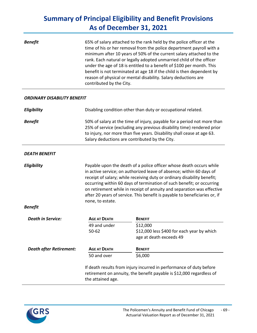| <b>Benefit</b>                     | 65% of salary attached to the rank held by the police officer at the<br>time of his or her removal from the police department payroll with a<br>minimum after 10 years of 50% of the current salary attached to the<br>rank. Each natural or legally adopted unmarried child of the officer<br>under the age of 18 is entitled to a benefit of \$100 per month. This<br>benefit is not terminated at age 18 if the child is then dependent by<br>reason of physical or mental disability. Salary deductions are<br>contributed by the City. |                                                                                                     |
|------------------------------------|---------------------------------------------------------------------------------------------------------------------------------------------------------------------------------------------------------------------------------------------------------------------------------------------------------------------------------------------------------------------------------------------------------------------------------------------------------------------------------------------------------------------------------------------|-----------------------------------------------------------------------------------------------------|
| <b>ORDINARY DISABILITY BENEFIT</b> |                                                                                                                                                                                                                                                                                                                                                                                                                                                                                                                                             |                                                                                                     |
| Eligibility                        | Disabling condition other than duty or occupational related.                                                                                                                                                                                                                                                                                                                                                                                                                                                                                |                                                                                                     |
| <b>Benefit</b>                     | 50% of salary at the time of injury, payable for a period not more than<br>25% of service (excluding any previous disability time) rendered prior<br>to injury, nor more than five years. Disability shall cease at age 63.<br>Salary deductions are contributed by the City.                                                                                                                                                                                                                                                               |                                                                                                     |
| <b>DEATH BENEFIT</b>               |                                                                                                                                                                                                                                                                                                                                                                                                                                                                                                                                             |                                                                                                     |
| Eligibility                        | Payable upon the death of a police officer whose death occurs while<br>in active service; on authorized leave of absence; within 60 days of<br>receipt of salary; while receiving duty or ordinary disability benefit;<br>occurring within 60 days of termination of such benefit; or occurring<br>on retirement while in receipt of annuity and separation was effective<br>after 20 years of service. This benefit is payable to beneficiaries or, if<br>none, to estate.                                                                 |                                                                                                     |
| <b>Benefit</b>                     |                                                                                                                                                                                                                                                                                                                                                                                                                                                                                                                                             |                                                                                                     |
| <b>Death in Service:</b>           | <b>AGE AT DEATH</b><br>49 and under<br>$50 - 62$                                                                                                                                                                                                                                                                                                                                                                                                                                                                                            | <b>BENEFIT</b><br>\$12,000<br>\$12,000 less \$400 for each year by which<br>age at death exceeds 49 |
| <b>Death after Retirement:</b>     | <b>AGE AT DEATH</b><br>50 and over                                                                                                                                                                                                                                                                                                                                                                                                                                                                                                          | <b>BENEFIT</b><br>\$6,000                                                                           |
|                                    | If death results from injury incurred in performance of duty before<br>retirement on annuity, the benefit payable is \$12,000 regardless of<br>the attained age.                                                                                                                                                                                                                                                                                                                                                                            |                                                                                                     |

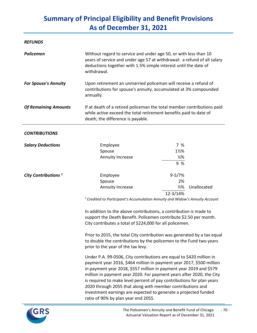#### *REFUNDS*

| <b>Policemen</b>                | Without regard to service and under age 50, or with less than 10<br>years of service and under age 57 at withdrawal: a refund of all salary<br>deductions together with 1.5% simple interest until the date of<br>withdrawal. |                  |             |
|---------------------------------|-------------------------------------------------------------------------------------------------------------------------------------------------------------------------------------------------------------------------------|------------------|-------------|
| <b>For Spouse's Annuity</b>     | Upon retirement an unmarried policeman will receive a refund of<br>contributions for spouse's annuity, accumulated at 3% compounded<br>annually.                                                                              |                  |             |
| <b>Of Remaining Amounts</b>     | If at death of a retired policeman the total member contributions paid<br>while active exceed the total retirement benefits paid to date of<br>death, the difference is payable.                                              |                  |             |
| <b>CONTRIBUTIONS</b>            |                                                                                                                                                                                                                               |                  |             |
| <b>Salary Deductions</b>        | Employee                                                                                                                                                                                                                      | 7 %              |             |
|                                 | Spouse                                                                                                                                                                                                                        | $1\frac{1}{2}$ % |             |
|                                 | Annuity Increase                                                                                                                                                                                                              | $\frac{1}{2}$ %  |             |
|                                 |                                                                                                                                                                                                                               | 9 %              |             |
| City Contributions <sup>1</sup> | Employee                                                                                                                                                                                                                      | $9 - 5/7%$       |             |
|                                 | Spouse                                                                                                                                                                                                                        | 2%               |             |
|                                 | <b>Annuity Increase</b>                                                                                                                                                                                                       | $\frac{1}{2}$ %  | Unallocated |
|                                 |                                                                                                                                                                                                                               | 12-3/14%         |             |

*1 Credited to Participant's Accumulation Annuity and Widow's Annuity Account*

In addition to the above contributions, a contribution is made to support the Death Benefit. Policemen contribute \$2.50 per month. City contributes a total of \$224,000 for all policemen.

Prior to 2015, the total City contribution was generated by a tax equal to double the contributions by the policemen to the Fund two years prior to the year of the tax levy.

Under P.A. 99-0506, City contributions are equal to \$420 million in payment year 2016, \$464 million in payment year 2017, \$500 million in payment year 2018, \$557 million in payment year 2019 and \$579 million in payment year 2020. For payment years after 2020, the City is required to make level percent of pay contributions for plan years 2020 through 2055 that along with member contributions and investment earnings are expected to generate a projected funded ratio of 90% by plan year end 2055.

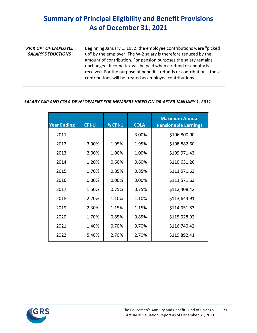| "PICK UP" OF EMPLOYEE<br><b>SALARY DEDUCTIONS</b> | Beginning January 1, 1982, the employee contributions were "picked"<br>up" by the employer. The W-2 salary is therefore reduced by the<br>amount of contribution. For pension purposes the salary remains<br>unchanged. Income tax will be paid when a refund or annuity is |
|---------------------------------------------------|-----------------------------------------------------------------------------------------------------------------------------------------------------------------------------------------------------------------------------------------------------------------------------|
|                                                   | received. For the purpose of benefits, refunds or contributions, these<br>contributions will be treated as employee contributions.                                                                                                                                          |

# *SALARY CAP AND COLA DEVELOPMENT FOR MEMBERS HIRED ON OR AFTER JANUARY 1, 2011*

| <b>Year Ending</b> | <b>CPI-U</b> | $2$ CPI-U | <b>COLA</b> | <b>Maximum Annual</b><br><b>Pensionable Earnings</b> |
|--------------------|--------------|-----------|-------------|------------------------------------------------------|
| 2011               |              |           | 3.00%       | \$106,800.00                                         |
| 2012               | 3.90%        | 1.95%     | 1.95%       | \$108,882.60                                         |
| 2013               | 2.00%        | 1.00%     | 1.00%       | \$109,971.43                                         |
| 2014               | 1.20%        | 0.60%     | 0.60%       | \$110,631.26                                         |
| 2015               | 1.70%        | 0.85%     | 0.85%       | \$111,571.63                                         |
| 2016               | 0.00%        | 0.00%     | 0.00%       | \$111,571.63                                         |
| 2017               | 1.50%        | 0.75%     | 0.75%       | \$112,408.42                                         |
| 2018               | 2.20%        | 1.10%     | 1.10%       | \$113,644.91                                         |
| 2019               | 2.30%        | 1.15%     | 1.15%       | \$114,951.83                                         |
| 2020               | 1.70%        | 0.85%     | 0.85%       | \$115,928.92                                         |
| 2021               | 1.40%        | 0.70%     | 0.70%       | \$116,740.42                                         |
| 2022               | 5.40%        | 2.70%     | 2.70%       | \$119,892.41                                         |

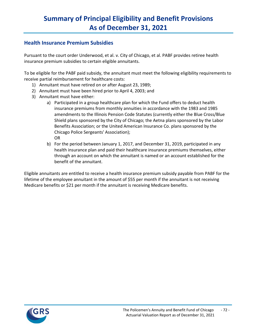# **Health Insurance Premium Subsidies**

Pursuant to the court order Underwood, et al. v. City of Chicago, et al. PABF provides retiree health insurance premium subsidies to certain eligible annuitants.

To be eligible for the PABF paid subsidy, the annuitant must meet the following eligibility requirements to receive partial reimbursement for healthcare costs:

- 1) Annuitant must have retired on or after August 23, 1989;
- 2) Annuitant must have been hired prior to April 4, 2003; and
- 3) Annuitant must have either:
	- a) Participated in a group healthcare plan for which the Fund offers to deduct health insurance premiums from monthly annuities in accordance with the 1983 and 1985 amendments to the Illinois Pension Code Statutes (currently either the Blue Cross/Blue Shield plans sponsored by the City of Chicago; the Aetna plans sponsored by the Labor Benefits Association; or the United American Insurance Co. plans sponsored by the Chicago Police Sergeants' Association); OR
	- b) For the period between January 1, 2017, and December 31, 2019, participated in any health insurance plan and paid their healthcare insurance premiums themselves, either through an account on which the annuitant is named or an account established for the benefit of the annuitant.

Eligible annuitants are entitled to receive a health insurance premium subsidy payable from PABF for the lifetime of the employee annuitant in the amount of \$55 per month if the annuitant is not receiving Medicare benefits or \$21 per month if the annuitant is receiving Medicare benefits.

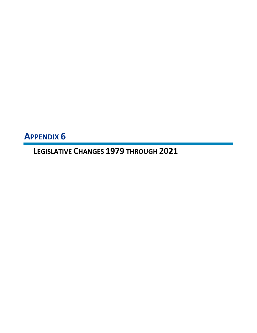**APPENDIX 6**

**LEGISLATIVE CHANGES 1979 THROUGH 2021**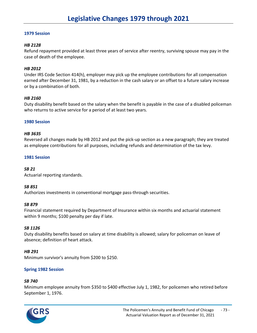### *HB 2128*

Refund repayment provided at least three years of service after reentry, surviving spouse may pay in the case of death of the employee.

#### *HB 2012*

Under IRS Code Section 414(h), employer may pick up the employee contributions for all compensation earned after December 31, 1981, by a reduction in the cash salary or an offset to a future salary increase or by a combination of both.

#### *HB 2160*

Duty disability benefit based on the salary when the benefit is payable in the case of a disabled policeman who returns to active service for a period of at least two years.

#### **1980 Session**

#### *HB 3635*

Reversed all changes made by HB 2012 and put the pick-up section as a new paragraph; they are treated as employee contributions for all purposes, including refunds and determination of the tax levy.

#### **1981 Session**

#### *SB 21*

Actuarial reporting standards.

#### *SB 851*

Authorizes investments in conventional mortgage pass-through securities.

#### *SB 879*

Financial statement required by Department of Insurance within six months and actuarial statement within 9 months; \$100 penalty per day if late.

#### *SB 1126*

Duty disability benefits based on salary at time disability is allowed; salary for policeman on leave of absence; definition of heart attack.

#### *HB 291*

Minimum survivor's annuity from \$200 to \$250.

### **Spring 1982 Session**

#### *SB 740*

Minimum employee annuity from \$350 to \$400 effective July 1, 1982, for policemen who retired before September 1, 1976.

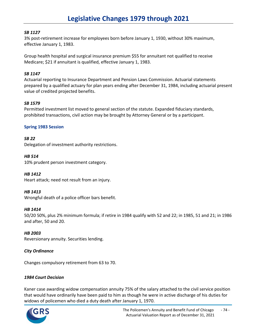# *SB 1127*

3% post-retirement increase for employees born before January 1, 1930, without 30% maximum, effective January 1, 1983.

Group health hospital and surgical insurance premium \$55 for annuitant not qualified to receive Medicare; \$21 if annuitant is qualified, effective January 1, 1983.

# *SB 1147*

Actuarial reporting to Insurance Department and Pension Laws Commission. Actuarial statements prepared by a qualified actuary for plan years ending after December 31, 1984, including actuarial present value of credited projected benefits.

# *SB 1579*

Permitted investment list moved to general section of the statute. Expanded fiduciary standards, prohibited transactions, civil action may be brought by Attorney General or by a participant.

### **Spring 1983 Session**

# *SB 22*

Delegation of investment authority restrictions.

### *HB 514*

10% prudent person investment category.

### *HB 1412*

Heart attack; need not result from an injury.

### *HB 1413*

Wrongful death of a police officer bars benefit.

### *HB 1414*

50/20 50%, plus 2% minimum formula; if retire in 1984 qualify with 52 and 22; in 1985, 51 and 21; in 1986 and after, 50 and 20.

### *HB 2003*

Reversionary annuity. Securities lending.

### *City Ordinance*

Changes compulsory retirement from 63 to 70.

### *1984 Court Decision*

Kaner case awarding widow compensation annuity 75% of the salary attached to the civil service position that would have ordinarily have been paid to him as though he were in active discharge of his duties for widows of policemen who died a duty death after January 1, 1970.

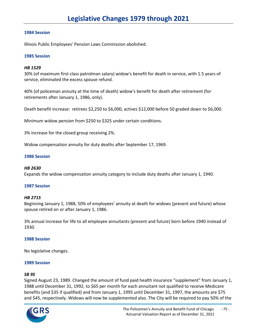Illinois Public Employees' Pension Laws Commission abolished.

### **1985 Session**

### *HB 1529*

30% (of maximum first class patrolman salary) widow's benefit for death in service, with 1.5 years of service, eliminated the excess spouse refund.

40% (of policeman annuity at the time of death) widow's benefit for death after retirement (for retirements after January 1, 1986, only).

Death benefit increase: retirees \$2,250 to \$6,000, actives \$12,000 before 50 graded down to \$6,000.

Minimum widow pension from \$250 to \$325 under certain conditions.

3% increase for the closed group receiving 2%.

Widow compensation annuity for duty deaths after September 17, 1969.

#### **1986 Session**

#### *HB 2630*

Expands the widow compensation annuity category to include duty deaths after January 1, 1940.

#### **1987 Session**

#### *HB 2715*

Beginning January 1, 1988, 50% of employees' annuity at death for widows (present and future) whose spouse retired on or after January 1, 1986.

3% annual increase for life to all employee annuitants (present and future) born before 1940 instead of 1930.

### **1988 Session**

No legislative changes.

### **1989 Session**

### *SB 95*

Signed August 23, 1989. Changed the amount of fund paid health insurance "supplement" from January 1, 1988 until December 31, 1992, to \$65 per month for each annuitant not qualified to receive Medicare benefits (and \$35 if qualified) and from January 1, 1995 until December 31, 1997, the amounts are \$75 and \$45, respectively. Widows will now be supplemented also. The City will be required to pay 50% of the

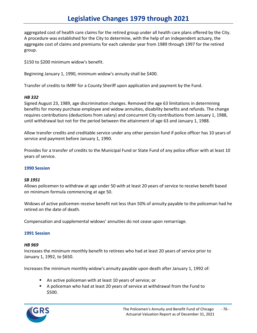aggregated cost of health care claims for the retired group under all health care plans offered by the City. A procedure was established for the City to determine, with the help of an independent actuary, the aggregate cost of claims and premiums for each calendar year from 1989 through 1997 for the retired group.

\$150 to \$200 minimum widow's benefit.

Beginning January 1, 1990, minimum widow's annuity shall be \$400.

Transfer of credits to IMRF for a County Sheriff upon application and payment by the Fund.

# *HB 332*

Signed August 23, 1989, age discrimination changes. Removed the age 63 limitations in determining benefits for money purchase employee and widow annuities, disability benefits and refunds. The change requires contributions (deductions from salary) and concurrent City contributions from January 1, 1988, until withdrawal but not for the period between the attainment of age 63 and January 1, 1988.

Allow transfer credits and creditable service under any other pension fund if police officer has 10 years of service and payment before January 1, 1990.

Provides for a transfer of credits to the Municipal Fund or State Fund of any police officer with at least 10 years of service.

### **1990 Session**

### *SB 1951*

Allows policemen to withdraw at age under 50 with at least 20 years of service to receive benefit based on minimum formula commencing at age 50.

Widows of active policemen receive benefit not less than 50% of annuity payable to the policeman had he retired on the date of death.

Compensation and supplemental widows' annuities do not cease upon remarriage.

### **1991 Session**

### *HB 969*

Increases the minimum monthly benefit to retirees who had at least 20 years of service prior to January 1, 1992, to \$650.

Increases the minimum monthly widow's annuity payable upon death after January 1, 1992 of:

- An active policeman with at least 10 years of service; or
- A policeman who had at least 20 years of service at withdrawal from the Fund to \$500.

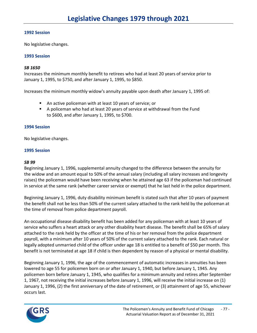No legislative changes.

# **1993 Session**

# *SB 1650*

Increases the minimum monthly benefit to retirees who had at least 20 years of service prior to January 1, 1995, to \$750, and after January 1, 1995, to \$850.

Increases the minimum monthly widow's annuity payable upon death after January 1, 1995 of:

- An active policeman with at least 10 years of service; or
- A policeman who had at least 20 years of service at withdrawal from the Fund to \$600, and after January 1, 1995, to \$700.

### **1994 Session**

No legislative changes.

### **1995 Session**

#### *SB 99*

Beginning January 1, 1996, supplemental annuity changed to the difference between the annuity for the widow and an amount equal to 50% of the annual salary (including all salary increases and longevity raises) the policeman would have been receiving when he attained age 63 if the policeman had continued in service at the same rank (whether career service or exempt) that he last held in the police department.

Beginning January 1, 1996, duty disability minimum benefit is stated such that after 10 years of payment the benefit shall not be less than 50% of the current salary attached to the rank held by the policeman at the time of removal from police department payroll.

An occupational disease disability benefit has been added for any policeman with at least 10 years of service who suffers a heart attack or any other disability heart disease. The benefit shall be 65% of salary attached to the rank held by the officer at the time of his or her removal from the police department payroll, with a minimum after 10 years of 50% of the current salary attached to the rank. Each natural or legally adopted unmarried child of the officer under age 18 is entitled to a benefit of \$50 per month. This benefit is not terminated at age 18 if child is then dependent by reason of a physical or mental disability.

Beginning January 1, 1996, the age of the commencement of automatic increases in annuities has been lowered to age 55 for policemen born on or after January 1, 1940, but before January 1, 1945. Any policemen born before January 1, 1945, who qualifies for a minimum annuity and retires after September 1, 1967, not receiving the initial increases before January 1, 1996, will receive the initial increase on (1) January 1, 1996, (2) the first anniversary of the date of retirement, or (3) attainment of age 55, whichever occurs last.

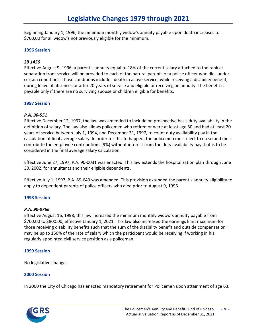Beginning January 1, 1996, the minimum monthly widow's annuity payable upon death increases to \$700.00 for all widow's not previously eligible for the minimum.

#### **1996 Session**

### *SB 1456*

Effective August 9, 1996, a parent's annuity equal to 18% of the current salary attached to the rank at separation from service will be provided to each of the natural parents of a police officer who dies under certain conditions. Those conditions include: death in active service, while receiving a disability benefit, during leave of absences or after 20 years of service and eligible or receiving an annuity. The benefit is payable only if there are no surviving spouse or children eligible for benefits.

### **1997 Session**

### *P.A. 90-551*

Effective December 12, 1997, the law was amended to include on prospective basis duty availability in the definition of salary. The law also allows policemen who retired or were at least age 50 and had at least 20 years of service between July 1, 1994, and December 31, 1997, to count duty availability pay in the calculation of final average salary. In order for this to happen, the policemen must elect to do so and must contribute the employee contributions (9%) without interest from the duty availability pay that is to be considered in the final average salary calculation.

Effective June 27, 1997, P.A. 90-0031 was enacted. This law extends the hospitalization plan through June 30, 2002, for annuitants and their eligible dependents.

Effective July 1, 1997, P.A. 89-643 was amended. This provision extended the parent's annuity eligibility to apply to dependent parents of police officers who died prior to August 9, 1996.

### **1998 Session**

### *P.A. 90-0766*

Effective August 16, 1998, this law increased the minimum monthly widow's annuity payable from \$700.00 to \$800.00, effective January 1, 2021. This law also increased the earnings limit maximum for those receiving disability benefits such that the sum of the disability benefit and outside compensation may be up to 150% of the rate of salary which the participant would be receiving if working in his regularly appointed civil service position as a policeman.

### **1999 Session**

No legislative changes.

### **2000 Session**

In 2000 the City of Chicago has enacted mandatory retirement for Policemen upon attainment of age 63.

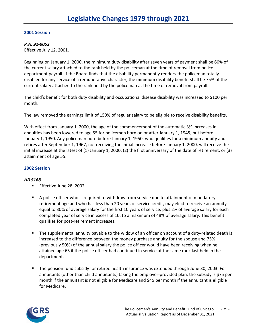### *P.A. 92-0052*

Effective July 12, 2001.

Beginning on January 1, 2000, the minimum duty disability after seven years of payment shall be 60% of the current salary attached to the rank held by the policeman at the time of removal from police department payroll. If the Board finds that the disability permanently renders the policeman totally disabled for any service of a remunerative character, the minimum disability benefit shall be 75% of the current salary attached to the rank held by the policeman at the time of removal from payroll.

The child's benefit for both duty disability and occupational disease disability was increased to \$100 per month.

The law removed the earnings limit of 150% of regular salary to be eligible to receive disability benefits.

With effect from January 1, 2000, the age of the commencement of the automatic 3% increases in annuities has been lowered to age 55 for policemen born on or after January 1, 1945, but before January 1, 1950. Any policeman born before January 1, 1950, who qualifies for a minimum annuity and retires after September 1, 1967, not receiving the initial increase before January 1, 2000, will receive the initial increase at the latest of (1) January 1, 2000, (2) the first anniversary of the date of retirement, or (3) attainment of age 55.

### **2002 Session**

### *HB 5168*

- **Effective June 28, 2002.**
- A police officer who is required to withdraw from service due to attainment of mandatory retirement age and who has less than 20 years of service credit, may elect to receive an annuity equal to 30% of average salary for the first 10 years of service, plus 2% of average salary for each completed year of service in excess of 10, to a maximum of 48% of average salary. This benefit qualifies for post-retirement increases.
- **The supplemental annuity payable to the widow of an officer on account of a duty-related death is** increased to the difference between the money purchase annuity for the spouse and 75% (previously 50%) of the annual salary the police officer would have been receiving when he attained age 63 if the police officer had continued in service at the same rank last held in the department.
- The pension fund subsidy for retiree health insurance was extended through June 30, 2003. For annuitants (other than child annuitants) taking the employer-provided plan, the subsidy is \$75 per month if the annuitant is not eligible for Medicare and \$45 per month if the annuitant is eligible for Medicare.

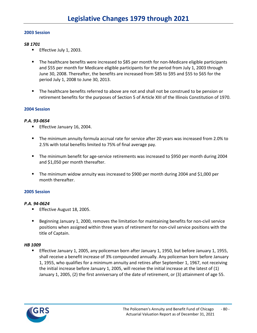### *SB 1701*

- **Effective July 1, 2003.**
- The healthcare benefits were increased to \$85 per month for non-Medicare eligible participants and \$55 per month for Medicare eligible participants for the period from July 1, 2003 through June 30, 2008. Thereafter, the benefits are increased from \$85 to \$95 and \$55 to \$65 for the period July 1, 2008 to June 30, 2013.
- The healthcare benefits referred to above are not and shall not be construed to be pension or retirement benefits for the purposes of Section 5 of Article XIII of the Illinois Constitution of 1970.

# **2004 Session**

# *P.A. 93-0654*

- **Effective January 16, 2004.**
- The minimum annuity formula accrual rate for service after 20 years was increased from 2.0% to 2.5% with total benefits limited to 75% of final average pay.
- The minimum benefit for age-service retirements was increased to \$950 per month during 2004 and \$1,050 per month thereafter.
- The minimum widow annuity was increased to \$900 per month during 2004 and \$1,000 per month thereafter.

# **2005 Session**

# *P.A. 94-0624*

- **Effective August 18, 2005.**
- Beginning January 1, 2000, removes the limitation for maintaining benefits for non-civil service positions when assigned within three years of retirement for non-civil service positions with the title of Captain.

# *HB 1009*

**Effective January 1, 2005, any policeman born after January 1, 1950, but before January 1, 1955,** shall receive a benefit increase of 3% compounded annually. Any policeman born before January 1, 1955, who qualifies for a minimum annuity and retires after September 1, 1967, not receiving the initial increase before January 1, 2005, will receive the initial increase at the latest of (1) January 1, 2005, (2) the first anniversary of the date of retirement, or (3) attainment of age 55.

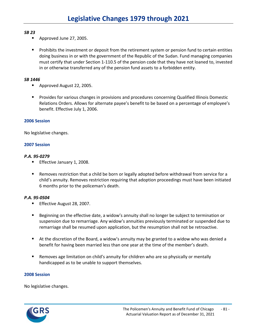# *SB 23*

- Approved June 27, 2005.
- **Prohibits the investment or deposit from the retirement system or pension fund to certain entities** doing business in or with the government of the Republic of the Sudan. Fund managing companies must certify that under Section 1-110.5 of the pension code that they have not loaned to, invested in or otherwise transferred any of the pension fund assets to a forbidden entity.

# *SB 1446*

- Approved August 22, 2005.
- **Provides for various changes in provisions and procedures concerning Qualified Illinois Domestic** Relations Orders. Allows for alternate payee's benefit to be based on a percentage of employee's benefit. Effective July 1, 2006.

# **2006 Session**

No legislative changes.

# **2007 Session**

# *P.A. 95-0279*

- **Effective January 1, 2008.**
- Removes restriction that a child be born or legally adopted before withdrawal from service for a child's annuity. Removes restriction requiring that adoption proceedings must have been initiated 6 months prior to the policeman's death.

# *P.A. 95-0504*

- **Effective August 28, 2007.**
- Beginning on the effective date, a widow's annuity shall no longer be subject to termination or suspension due to remarriage. Any widow's annuities previously terminated or suspended due to remarriage shall be resumed upon application, but the resumption shall not be retroactive.
- At the discretion of the Board, a widow's annuity may be granted to a widow who was denied a benefit for having been married less than one year at the time of the member's death.
- Removes age limitation on child's annuity for children who are so physically or mentally handicapped as to be unable to support themselves.

### **2008 Session**

No legislative changes.

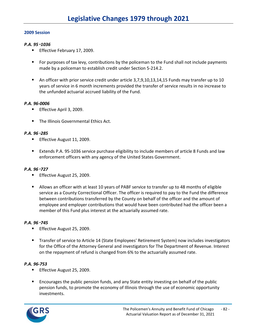### *P.A. 95*‑*1036*

- **Effective February 17, 2009.**
- **F** For purposes of tax levy, contributions by the policeman to the Fund shall not include payments made by a policeman to establish credit under Section 5-214.2.
- An officer with prior service credit under article 3,7,9,10,13,14,15 Funds may transfer up to 10 years of service in 6 month increments provided the transfer of service results in no increase to the unfunded actuarial accrued liability of the Fund.

# *P.A. 96-0006*

- **Effective April 3, 2009.**
- The Illinois Governmental Ethics Act.

### *P.A. 96*‑*285*

- **Effective August 11, 2009.**
- Extends P.A. 95-1036 service purchase eligibility to include members of article 8 Funds and law enforcement officers with any agency of the United States Government.

### *P.A. 96*‑*727*

- **Effective August 25, 2009.**
- Allows an officer with at least 10 years of PABF service to transfer up to 48 months of eligible service as a County Correctional Officer. The officer is required to pay to the Fund the difference between contributions transferred by the County on behalf of the officer and the amount of employee and employer contributions that would have been contributed had the officer been a member of this Fund plus interest at the actuarially assumed rate.

### *P.A. 96*‑*745*

- **Effective August 25, 2009.**
- **Transfer of service to Article 14 (State Employees' Retirement System) now includes investigators** for the Office of the Attorney General and investigators for The Department of Revenue. Interest on the repayment of refund is changed from 6% to the actuarially assumed rate.

### *P.A. 96-753*

- **Effective August 25, 2009.**
- **Encourages the public pension funds, and any State entity investing on behalf of the public** pension funds, to promote the economy of Illinois through the use of economic opportunity investments.

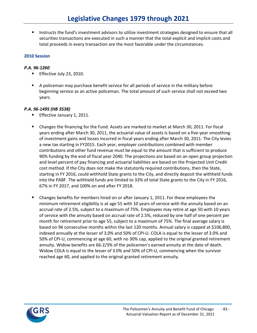**Instructs the fund's investment advisors to utilize investment strategies designed to ensure that all** securities transactions are executed in such a manner that the total explicit and implicit costs and total proceeds in every transaction are the most favorable under the circumstances.

# **2010 Session**

# *P.A. 96-1260*

- **Effective July 23, 2010.**
- A policeman may purchase benefit service for all periods of service in the military before beginning service as an active policeman. The total amount of such service shall not exceed two years.

# *P.A. 96-1495 (HB 3538)*

- **Effective January 1, 2011.**
- Changes the financing for the Fund. Assets are marked to market at March 30, 2011. For fiscal years ending after March 30, 2011, the actuarial value of assets is based on a five-year smoothing of investment gains and losses incurred in fiscal years ending after March 30, 2011. The City levies a new tax starting in FY2015. Each year, employer contributions combined with member contributions and other fund revenue must be equal to the amount that is sufficient to produce 90% funding by the end of fiscal year 2040. The projections are based on an open group projection and level percent of pay financing and actuarial liabilities are based on the Projected Unit Credit cost method. If the City does not make the statutorily required contributions, then the State, starting in FY 2016, could withhold State grants to the City, and directly deposit the withheld funds into the PABF. The withheld funds are limited to 33% of total State grants to the City in FY 2016, 67% in FY 2017, and 100% on and after FY 2018.
- **EXA** Changes benefits for members hired on or after January 1, 2011. For these employees the minimum retirement eligibility is at age 55 with 10 years of service with the annuity based on an accrual rate of 2.5%, subject to a maximum of 75%. Employees may retire at age 50 with 10 years of service with the annuity based on accrual rate of 2.5%, reduced by one half of one percent per month for retirement prior to age 55, subject to a maximum of 75%. The final average salary is based on 96 consecutive months within the last 120 months. Annual salary is capped at \$106,800, indexed annually at the lesser of 3.0% and 50% of CPI-U. COLA is equal to the lesser of 3.0% and 50% of CPI-U, commencing at age 60, with no 30% cap, applied to the original granted retirement annuity. Widow benefits are 66-2/3% of the policemen's earned annuity at the date of death. Widow COLA is equal to the lesser of 3.0% and 50% of CPI-U, commencing when the survivor reached age 60, and applied to the original granted retirement annuity.

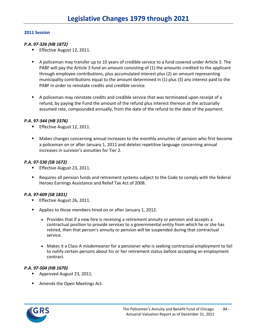#### *P.A. 97-326 (HB 1872)*

- Effective August 12, 2011.
- A policeman may transfer up to 10 years of credible service to a fund covered under Article 3. The PABF will pay the Article 3 fund an amount consisting of (1) the amounts credited to the applicant through employee contributions, plus accumulated interest plus (2) an amount representing municipality contributions equal to the amount determined in (1) plus (3) any interest paid to the PABF in order to reinstate credits and credible service.
- A policeman may reinstate credits and credible service that was terminated upon receipt of a refund, by paying the Fund the amount of the refund plus interest thereon at the actuarially assumed rate, compounded annually, from the date of the refund to the date of the payment.

#### *P.A. 97-344 (HB 3376)*

- **Effective August 12, 2011.**
- Makes changes concerning annual increases to the monthly annuities of persons who first become a policeman on or after January 1, 2011 and deletes repetitive language concerning annual increases in survivor's annuities for Tier 2.

### *P.A. 97-530 (SB 1672)*

- **Effective August 23, 2011.**
- Requires all pension funds and retirement systems subject to the Code to comply with the federal Heroes Earnings Assistance and Relief Tax Act of 2008.

#### *P.A. 97-609 (SB 1831)*

- **Effective August 26, 2011.**
- **Applies to those members hired on or after January 1, 2012.** 
	- Provides that if a new hire is receiving a retirement annuity or pension and accepts a contractual position to provide services to a governmental entity from which he or she has retired, then that person's annuity or pension will be suspended during that contractual service.
	- Makes it a Class A misdemeanor for a pensioner who is seeking contractual employment to fail to notify certain persons about his or her retirement status before accepting an employment contract.

# *P.A. 97-504 (HB 1670)*

- **Approved August 23, 2011.**
- **Amends the Open Meetings Act.**

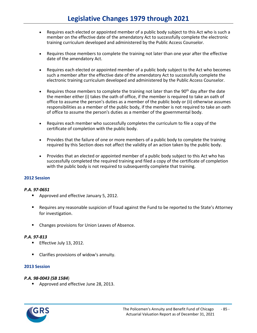- Requires each elected or appointed member of a public body subject to this Act who is such a member on the effective date of the amendatory Act to successfully complete the electronic training curriculum developed and administered by the Public Access Counselor.
- Requires those members to complete the training not later than one year after the effective date of the amendatory Act.
- Requires each elected or appointed member of a public body subject to the Act who becomes such a member after the effective date of the amendatory Act to successfully complete the electronic training curriculum developed and administered by the Public Access Counselor.
- Requires those members to complete the training not later than the  $90<sup>th</sup>$  day after the date the member either (i) takes the oath of office, if the member is required to take an oath of office to assume the person's duties as a member of the public body or (ii) otherwise assumes responsibilities as a member of the public body, if the member is not required to take an oath of office to assume the person's duties as a member of the governmental body.
- Requires each member who successfully completes the curriculum to file a copy of the certificate of completion with the public body.
- Provides that the failure of one or more members of a public body to complete the training required by this Section does not affect the validity of an action taken by the public body.
- Provides that an elected or appointed member of a public body subject to this Act who has successfully completed the required training and filed a copy of the certificate of completion with the public body is not required to subsequently complete that training.

### *P.A. 97-0651*

- Approved and effective January 5, 2012.
- Requires any reasonable suspicion of fraud against the Fund to be reported to the State's Attorney for investigation.
- Changes provisions for Union Leaves of Absence.

### *P.A. 97-813*

- **Effective July 13, 2012.**
- Clarifies provisions of widow's annuity.

### **2013 Session**

### *P.A. 98-0043 (SB 1584*)

Approved and effective June 28, 2013.

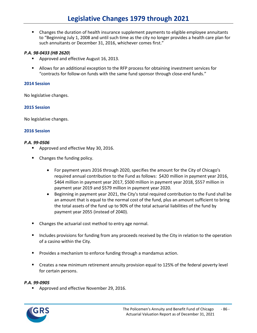Changes the duration of health insurance supplement payments to eligible employee annuitants to "Beginning July 1, 2008 and until such time as the city no longer provides a health care plan for such annuitants or December 31, 2016, whichever comes first."

### *P.A. 98-0433 (HB 2620*)

- **Approved and effective August 16, 2013.**
- Allows for an additional exception to the RFP process for obtaining investment services for "contracts for follow-on funds with the same fund sponsor through close-end funds."

#### **2014 Session**

No legislative changes.

#### **2015 Session**

No legislative changes.

#### **2016 Session**

#### *P.A. 99-0506*

- **Approved and effective May 30, 2016.**
- Changes the funding policy.
	- For payment years 2016 through 2020, specifies the amount for the City of Chicago's required annual contribution to the Fund as follows: \$420 million in payment year 2016, \$464 million in payment year 2017, \$500 million in payment year 2018, \$557 million in payment year 2019 and \$579 million in payment year 2020.
	- Beginning in payment year 2021, the City's total required contribution to the Fund shall be an amount that is equal to the normal cost of the fund, plus an amount sufficient to bring the total assets of the fund up to 90% of the total actuarial liabilities of the fund by payment year 2055 (instead of 2040).
- Changes the actuarial cost method to entry age normal.
- **Includes provisions for funding from any proceeds received by the City in relation to the operation** of a casino within the City.
- **Provides a mechanism to enforce funding through a mandamus action.**
- Creates a new minimum retirement annuity provision equal to 125% of the federal poverty level for certain persons.

#### *P.A. 99-0905*

**Approved and effective November 29, 2016.** 

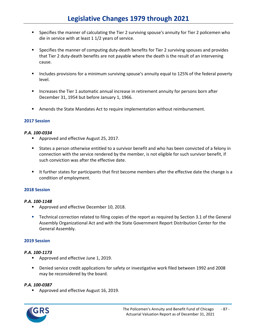- **Specifies the manner of calculating the Tier 2 surviving spouse's annuity for Tier 2 policemen who** die in service with at least 1 1/2 years of service.
- **Specifies the manner of computing duty-death benefits for Tier 2 surviving spouses and provides** that Tier 2 duty-death benefits are not payable where the death is the result of an intervening cause.
- **Includes provisions for a minimum surviving spouse's annuity equal to 125% of the federal poverty** level.
- **Increases the Tier 1 automatic annual increase in retirement annuity for persons born after** December 31, 1954 but before January 1, 1966.
- **F** Amends the State Mandates Act to require implementation without reimbursement.

#### *P.A. 100-0334*

- **Approved and effective August 25, 2017.**
- States a person otherwise entitled to a survivor benefit and who has been convicted of a felony in connection with the service rendered by the member, is not eligible for such survivor benefit, if such conviction was after the effective date.
- It further states for participants that first become members after the effective date the change is a condition of employment.

### **2018 Session**

#### *P.A. 100-1148*

- **Approved and effective December 10, 2018.**
- Technical correction related to filing copies of the report as required by Section 3.1 of the General Assembly Organizational Act and with the State Government Report Distribution Center for the General Assembly.

# **2019 Session**

#### *P.A. 100-1173*

- **Approved and effective June 1, 2019.**
- Denied service credit applications for safety or investigative work filed between 1992 and 2008 may be reconsidered by the board.

### *P.A. 100-0387*

**Approved and effective August 16, 2019.** 

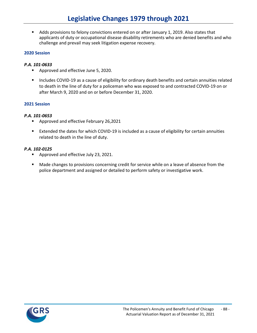Adds provisions to felony convictions entered on or after January 1, 2019. Also states that applicants of duty or occupational disease disability retirements who are denied benefits and who challenge and prevail may seek litigation expense recovery.

# **2020 Session**

### *P.A. 101-0633*

- **Approved and effective June 5, 2020.**
- **Includes COVID-19 as a cause of eligibility for ordinary death benefits and certain annuities related** to death in the line of duty for a policeman who was exposed to and contracted COVID-19 on or after March 9, 2020 and on or before December 31, 2020.

# **2021 Session**

### *P.A. 101-0653*

- **Approved and effective February 26,2021**
- Extended the dates for which COVID-19 is included as a cause of eligibility for certain annuities related to death in the line of duty.

# *P.A. 102-0125*

- **Approved and effective July 23, 2021.**
- **Made changes to provisions concerning credit for service while on a leave of absence from the** police department and assigned or detailed to perform safety or investigative work.

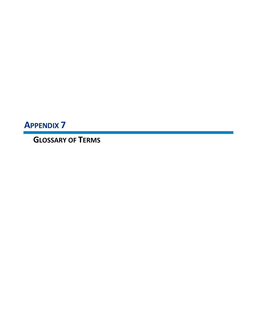**APPENDIX 7**

**GLOSSARY OF TERMS**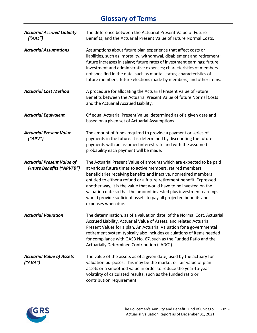# **Glossary of Terms**

| <b>Actuarial Accrued Liability</b><br>(''AAL'')                       | The difference between the Actuarial Present Value of Future<br>Benefits, and the Actuarial Present Value of Future Normal Costs.                                                                                                                                                                                                                                                                                                                                                                                         |
|-----------------------------------------------------------------------|---------------------------------------------------------------------------------------------------------------------------------------------------------------------------------------------------------------------------------------------------------------------------------------------------------------------------------------------------------------------------------------------------------------------------------------------------------------------------------------------------------------------------|
| <b>Actuarial Assumptions</b>                                          | Assumptions about future plan experience that affect costs or<br>liabilities, such as: mortality, withdrawal, disablement and retirement;<br>future increases in salary; future rates of investment earnings; future<br>investment and administrative expenses; characteristics of members<br>not specified in the data, such as marital status; characteristics of<br>future members; future elections made by members; and other items.                                                                                 |
| <b>Actuarial Cost Method</b>                                          | A procedure for allocating the Actuarial Present Value of Future<br>Benefits between the Actuarial Present Value of future Normal Costs<br>and the Actuarial Accrued Liability.                                                                                                                                                                                                                                                                                                                                           |
| <b>Actuarial Equivalent</b>                                           | Of equal Actuarial Present Value, determined as of a given date and<br>based on a given set of Actuarial Assumptions.                                                                                                                                                                                                                                                                                                                                                                                                     |
| <b>Actuarial Present Value</b><br>(''APV")                            | The amount of funds required to provide a payment or series of<br>payments in the future. It is determined by discounting the future<br>payments with an assumed interest rate and with the assumed<br>probability each payment will be made.                                                                                                                                                                                                                                                                             |
| <b>Actuarial Present Value of</b><br><b>Future Benefits ("APVFB")</b> | The Actuarial Present Value of amounts which are expected to be paid<br>at various future times to active members, retired members,<br>beneficiaries receiving benefits and inactive, nonretired members<br>entitled to either a refund or a future retirement benefit. Expressed<br>another way, it is the value that would have to be invested on the<br>valuation date so that the amount invested plus investment earnings<br>would provide sufficient assets to pay all projected benefits and<br>expenses when due. |
| <b>Actuarial Valuation</b>                                            | The determination, as of a valuation date, of the Normal Cost, Actuarial<br>Accrued Liability, Actuarial Value of Assets, and related Actuarial<br>Present Values for a plan. An Actuarial Valuation for a governmental<br>retirement system typically also includes calculations of items needed<br>for compliance with GASB No. 67, such as the Funded Ratio and the<br>Actuarially Determined Contribution ("ADC").                                                                                                    |
| <b>Actuarial Value of Assets</b><br>(''AVA'')                         | The value of the assets as of a given date, used by the actuary for<br>valuation purposes. This may be the market or fair value of plan<br>assets or a smoothed value in order to reduce the year-to-year<br>volatility of calculated results, such as the funded ratio or<br>contribution requirement.                                                                                                                                                                                                                   |

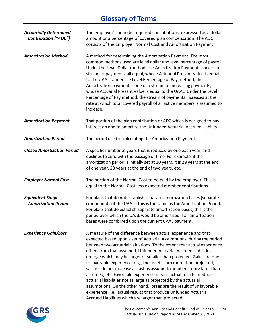# **Glossary of Terms**

| <b>Actuarially Determined</b><br><b>Contribution ("ADC")</b> | The employer's periodic required contributions, expressed as a dollar<br>amount or a percentage of covered plan compensation. The ADC<br>consists of the Employer Normal Cost and Amortization Payment.                                                                                                                                                                                                                                                                                                                                                                                                                                                                                                                                                                                                                                                   |
|--------------------------------------------------------------|-----------------------------------------------------------------------------------------------------------------------------------------------------------------------------------------------------------------------------------------------------------------------------------------------------------------------------------------------------------------------------------------------------------------------------------------------------------------------------------------------------------------------------------------------------------------------------------------------------------------------------------------------------------------------------------------------------------------------------------------------------------------------------------------------------------------------------------------------------------|
| <b>Amortization Method</b>                                   | A method for determining the Amortization Payment. The most<br>common methods used are level dollar and level percentage of payroll.<br>Under the Level Dollar method, the Amortization Payment is one of a<br>stream of payments, all equal, whose Actuarial Present Value is equal<br>to the UAAL. Under the Level Percentage of Pay method, the<br>Amortization payment is one of a stream of increasing payments,<br>whose Actuarial Present Value is equal to the UAAL. Under the Level<br>Percentage of Pay method, the stream of payments increases at the<br>rate at which total covered payroll of all active members is assumed to<br>increase.                                                                                                                                                                                                 |
| <b>Amortization Payment</b>                                  | That portion of the plan contribution or ADC which is designed to pay<br>interest on and to amortize the Unfunded Actuarial Accrued Liability.                                                                                                                                                                                                                                                                                                                                                                                                                                                                                                                                                                                                                                                                                                            |
| <b>Amortization Period</b>                                   | The period used in calculating the Amortization Payment.                                                                                                                                                                                                                                                                                                                                                                                                                                                                                                                                                                                                                                                                                                                                                                                                  |
| <b>Closed Amortization Period</b>                            | A specific number of years that is reduced by one each year, and<br>declines to zero with the passage of time. For example, if the<br>amortization period is initially set at 30 years, it is 29 years at the end<br>of one year, 28 years at the end of two years, etc.                                                                                                                                                                                                                                                                                                                                                                                                                                                                                                                                                                                  |
| <b>Employer Normal Cost</b>                                  | The portion of the Normal Cost to be paid by the employer. This is<br>equal to the Normal Cost less expected member contributions.                                                                                                                                                                                                                                                                                                                                                                                                                                                                                                                                                                                                                                                                                                                        |
| <b>Equivalent Single</b><br><b>Amortization Period</b>       | For plans that do not establish separate amortization bases (separate<br>components of the UAAL), this is the same as the Amortization Period.<br>For plans that do establish separate amortization bases, this is the<br>period over which the UAAL would be amortized if all amortization<br>bases were combined upon the current UAAL payment.                                                                                                                                                                                                                                                                                                                                                                                                                                                                                                         |
| <b>Experience Gain/Loss</b>                                  | A measure of the difference between actual experience and that<br>expected based upon a set of Actuarial Assumptions, during the period<br>between two actuarial valuations. To the extent that actual experience<br>differs from that assumed, Unfunded Actuarial Accrued Liabilities<br>emerge which may be larger or smaller than projected. Gains are due<br>to favorable experience; e.g., the assets earn more than projected,<br>salaries do not increase as fast as assumed, members retire later than<br>assumed, etc. Favorable experience means actual results produce<br>actuarial liabilities not as large as projected by the actuarial<br>assumptions. On the other hand, losses are the result of unfavorable<br>experience; i.e., actual results that produce Unfunded Actuarial<br>Accrued Liabilities which are larger than projected. |